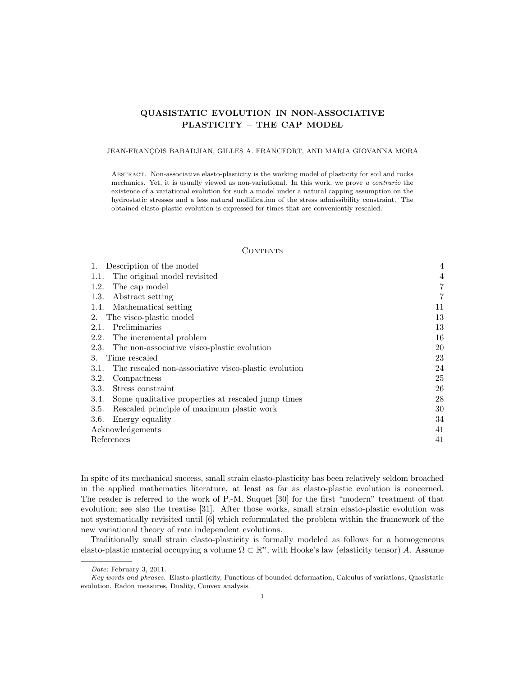# QUASISTATIC EVOLUTION IN NON-ASSOCIATIVE PLASTICITY – THE CAP MODEL

# JEAN-FRANÇOIS BABADJIAN, GILLES A. FRANCFORT, AND MARIA GIOVANNA MORA

Abstract. Non-associative elasto-plasticity is the working model of plasticity for soil and rocks mechanics. Yet, it is usually viewed as non-variational. In this work, we prove a contrario the existence of a variational evolution for such a model under a natural capping assumption on the hydrostatic stresses and a less natural mollification of the stress admissibility constraint. The obtained elasto-plastic evolution is expressed for times that are conveniently rescaled.

### **CONTENTS**

| 1. Description of the model                                  | $\overline{4}$ |
|--------------------------------------------------------------|----------------|
| The original model revisited<br>1.1.                         | 4              |
| 1.2.<br>The cap model                                        | $\overline{7}$ |
| Abstract setting<br>1.3.                                     | $\overline{7}$ |
| 1.4. Mathematical setting                                    | 11             |
| The visco-plastic model<br>2.                                | 13             |
| Preliminaries<br>2.1.                                        | 13             |
| 2.2.<br>The incremental problem                              | 16             |
| The non-associative visco-plastic evolution<br>2.3.          | 20             |
| Time rescaled<br>3.                                          | 23             |
| The rescaled non-associative visco-plastic evolution<br>3.1. | 24             |
| Compactness<br>3.2.                                          | 25             |
| 3.3.<br>Stress constraint                                    | 26             |
| Some qualitative properties at rescaled jump times<br>3.4.   | 28             |
| 3.5.<br>Rescaled principle of maximum plastic work           | 30             |
| 3.6.<br>Energy equality                                      | 34             |
| Acknowledgements                                             | 41             |
| References                                                   | 41             |

In spite of its mechanical success, small strain elasto-plasticity has been relatively seldom broached in the applied mathematics literature, at least as far as elasto-plastic evolution is concerned. The reader is referred to the work of P.-M. Suquet [30] for the first "modern" treatment of that evolution; see also the treatise [31]. After those works, small strain elasto-plastic evolution was not systematically revisited until [6] which reformulated the problem within the framework of the new variational theory of rate independent evolutions.

Traditionally small strain elasto-plasticity is formally modeled as follows for a homogeneous elasto-plastic material occupying a volume  $\Omega \subset \mathbb{R}^n$ , with Hooke's law (elasticity tensor) A. Assume

Date: February 3, 2011.

Key words and phrases. Elasto-plasticity, Functions of bounded deformation, Calculus of variations, Quasistatic evolution, Radon measures, Duality, Convex analysis.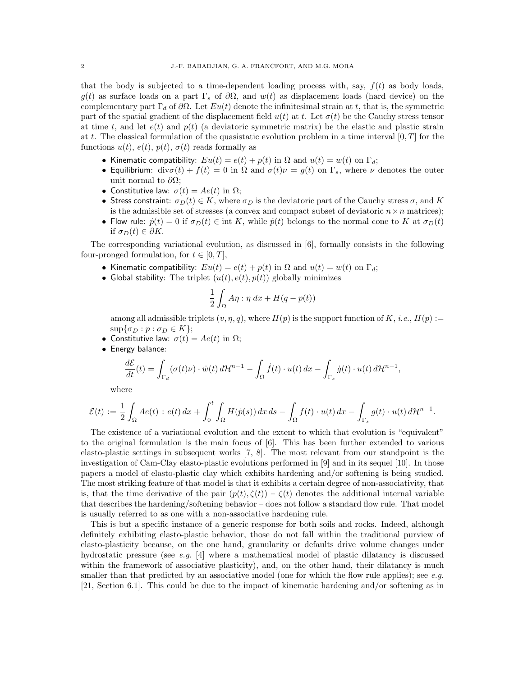that the body is subjected to a time-dependent loading process with, say,  $f(t)$  as body loads, g(t) as surface loads on a part  $\Gamma_s$  of  $\partial\Omega$ , and  $w(t)$  as displacement loads (hard device) on the complementary part  $\Gamma_d$  of  $\partial\Omega$ . Let  $Eu(t)$  denote the infinitesimal strain at t, that is, the symmetric part of the spatial gradient of the displacement field  $u(t)$  at t. Let  $\sigma(t)$  be the Cauchy stress tensor at time t, and let  $e(t)$  and  $p(t)$  (a deviatoric symmetric matrix) be the elastic and plastic strain at t. The classical formulation of the quasistatic evolution problem in a time interval  $[0, T]$  for the functions  $u(t)$ ,  $e(t)$ ,  $p(t)$ ,  $\sigma(t)$  reads formally as

- Kinematic compatibility:  $Eu(t) = e(t) + p(t)$  in  $\Omega$  and  $u(t) = w(t)$  on  $\Gamma_d$ ;
- Equilibrium: div $\sigma(t) + f(t) = 0$  in  $\Omega$  and  $\sigma(t)\nu = g(t)$  on  $\Gamma_s$ , where  $\nu$  denotes the outer unit normal to  $\partial\Omega$ ;
- Constitutive law:  $\sigma(t) = Ae(t)$  in  $\Omega$ ;
- Stress constraint:  $\sigma_D(t) \in K$ , where  $\sigma_D$  is the deviatoric part of the Cauchy stress  $\sigma$ , and K is the admissible set of stresses (a convex and compact subset of deviatoric  $n \times n$  matrices);
- Flow rule:  $\dot{p}(t) = 0$  if  $\sigma_D(t) \in \text{int } K$ , while  $\dot{p}(t)$  belongs to the normal cone to K at  $\sigma_D(t)$ if  $\sigma_D(t) \in \partial K$ .

The corresponding variational evolution, as discussed in [6], formally consists in the following four-pronged formulation, for  $t \in [0, T]$ ,

- Kinematic compatibility:  $Eu(t) = e(t) + p(t)$  in  $\Omega$  and  $u(t) = w(t)$  on  $\Gamma_d$ ;
- Global stability: The triplet  $(u(t), e(t), p(t))$  globally minimizes

$$
\frac{1}{2} \int_{\Omega} A \eta : \eta \, dx + H(q - p(t))
$$

among all admissible triplets  $(v, \eta, q)$ , where  $H(p)$  is the support function of K, i.e.,  $H(p) :=$  $\sup\{\sigma_D : p : \sigma_D \in K\};$ 

- Constitutive law:  $\sigma(t) = Ae(t)$  in  $\Omega$ ;
- Energy balance:

$$
\frac{d\mathcal{E}}{dt}(t) = \int_{\Gamma_d} (\sigma(t)\nu) \cdot \dot{w}(t) d\mathcal{H}^{n-1} - \int_{\Omega} \dot{f}(t) \cdot u(t) dx - \int_{\Gamma_s} \dot{g}(t) \cdot u(t) d\mathcal{H}^{n-1},
$$

where

$$
\mathcal{E}(t) := \frac{1}{2} \int_{\Omega} Ae(t) : e(t) dx + \int_0^t \int_{\Omega} H(\dot{p}(s)) dx ds - \int_{\Omega} f(t) \cdot u(t) dx - \int_{\Gamma_s} g(t) \cdot u(t) d\mathcal{H}^{n-1}.
$$

The existence of a variational evolution and the extent to which that evolution is "equivalent" to the original formulation is the main focus of [6]. This has been further extended to various elasto-plastic settings in subsequent works [7, 8]. The most relevant from our standpoint is the investigation of Cam-Clay elasto-plastic evolutions performed in [9] and in its sequel [10]. In those papers a model of elasto-plastic clay which exhibits hardening and/or softening is being studied. The most striking feature of that model is that it exhibits a certain degree of non-associativity, that is, that the time derivative of the pair  $(p(t), \zeta(t)) - \zeta(t)$  denotes the additional internal variable that describes the hardening/softening behavior – does not follow a standard flow rule. That model is usually referred to as one with a non-associative hardening rule.

This is but a specific instance of a generic response for both soils and rocks. Indeed, although definitely exhibiting elasto-plastic behavior, those do not fall within the traditional purview of elasto-plasticity because, on the one hand, granularity or defaults drive volume changes under hydrostatic pressure (see e.g. [4] where a mathematical model of plastic dilatancy is discussed within the framework of associative plasticity), and, on the other hand, their dilatancy is much smaller than that predicted by an associative model (one for which the flow rule applies); see  $e.g.$ [21, Section 6.1]. This could be due to the impact of kinematic hardening and/or softening as in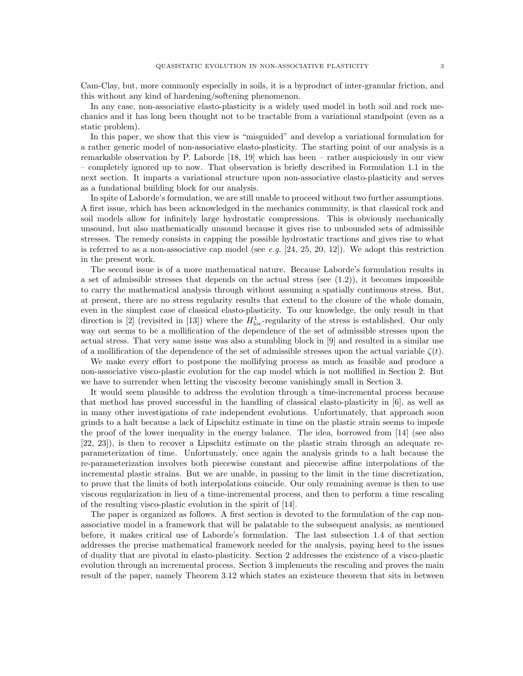Cam-Clay, but, more commonly especially in soils, it is a byproduct of inter-granular friction, and this without any kind of hardening/softening phenomenon.

In any case, non-associative elasto-plasticity is a widely used model in both soil and rock mechanics and it has long been thought not to be tractable from a variational standpoint (even as a static problem).

In this paper, we show that this view is "misguided" and develop a variational formulation for a rather generic model of non-associative elasto-plasticity. The starting point of our analysis is a remarkable observation by P. Laborde [18, 19] which has been – rather auspiciously in our view – completely ignored up to now. That observation is briefly described in Formulation 1.1 in the next section. It imparts a variational structure upon non-associative elasto-plasticity and serves as a fundational building block for our analysis.

In spite of Laborde's formulation, we are still unable to proceed without two further assumptions. A first issue, which has been acknowledged in the mechanics community, is that classical rock and soil models allow for infinitely large hydrostatic compressions. This is obviously mechanically unsound, but also mathematically unsound because it gives rise to unbounded sets of admissible stresses. The remedy consists in capping the possible hydrostatic tractions and gives rise to what is referred to as a non-associative cap model (see e.g.  $[24, 25, 20, 12]$ ). We adopt this restriction in the present work.

The second issue is of a more mathematical nature. Because Laborde's formulation results in a set of admissible stresses that depends on the actual stress (see  $(1.2)$ ), it becomes impossible to carry the mathematical analysis through without assuming a spatially continuous stress. But, at present, there are no stress regularity results that extend to the closure of the whole domain, even in the simplest case of classical elasto-plasticity. To our knowledge, the only result in that direction is [2] (revisited in [13]) where the  $H_{\text{loc}}^1$ -regularity of the stress is established. Our only way out seems to be a mollification of the dependence of the set of admissible stresses upon the actual stress. That very same issue was also a stumbling block in [9] and resulted in a similar use of a mollification of the dependence of the set of admissible stresses upon the actual variable  $\zeta(t)$ .

We make every effort to postpone the mollifying process as much as feasible and produce a non-associative visco-plastic evolution for the cap model which is not mollified in Section 2. But we have to surrender when letting the viscosity become vanishingly small in Section 3.

It would seem plausible to address the evolution through a time-incremental process because that method has proved successful in the handling of classical elasto-plasticity in [6], as well as in many other investigations of rate independent evolutions. Unfortunately, that approach soon grinds to a halt because a lack of Lipschitz estimate in time on the plastic strain seems to impede the proof of the lower inequality in the energy balance. The idea, borrowed from [14] (see also [22, 23]), is then to recover a Lipschitz estimate on the plastic strain through an adequate reparameterization of time. Unfortunately, once again the analysis grinds to a halt because the re-parameterization involves both piecewise constant and piecewise affine interpolations of the incremental plastic strains. But we are unable, in passing to the limit in the time discretization, to prove that the limits of both interpolations coincide. Our only remaining avenue is then to use viscous regularization in lieu of a time-incremental process, and then to perform a time rescaling of the resulting visco-plastic evolution in the spirit of [14].

The paper is organized as follows. A first section is devoted to the formulation of the cap nonassociative model in a framework that will be palatable to the subsequent analysis; as mentioned before, it makes critical use of Laborde's formulation. The last subsection 1.4 of that section addresses the precise mathematical framework needed for the analysis, paying heed to the issues of duality that are pivotal in elasto-plasticity. Section 2 addresses the existence of a visco-plastic evolution through an incremental process. Section 3 implements the rescaling and proves the main result of the paper, namely Theorem 3.12 which states an existence theorem that sits in between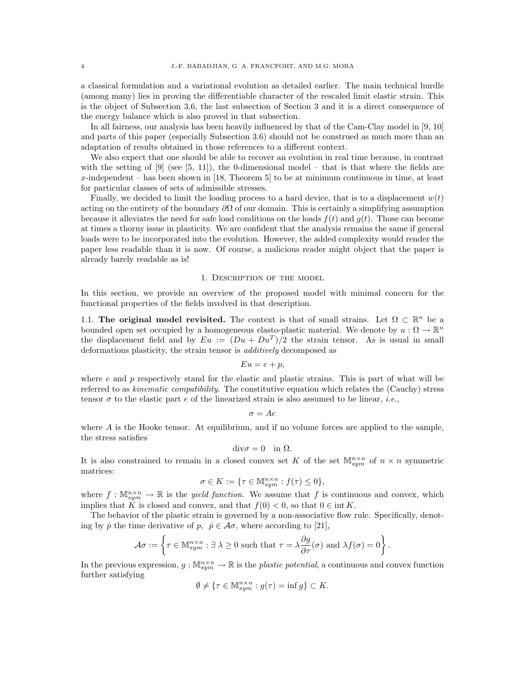a classical formulation and a variational evolution as detailed earlier. The main technical hurdle (among many) lies in proving the differentiable character of the rescaled limit elastic strain. This is the object of Subsection 3.6, the last subsection of Section 3 and it is a direct consequence of the energy balance which is also proved in that subsection.

In all fairness, our analysis has been heavily influenced by that of the Cam-Clay model in [9, 10] and parts of this paper (especially Subsection 3.6) should not be construed as much more than an adaptation of results obtained in those references to a different context.

We also expect that one should be able to recover an evolution in real time because, in contrast with the setting of  $[9]$  (see  $[5, 11]$ ), the 0-dimensional model – that is that where the fields are x-independent – has been shown in  $[18,$  Theorem 5 to be at minimum continuous in time, at least for particular classes of sets of admissible stresses.

Finally, we decided to limit the loading process to a hard device, that is to a displacement  $w(t)$ acting on the entirety of the boundary  $\partial\Omega$  of our domain. This is certainly a simplifying assumption because it alleviates the need for safe load conditions on the loads  $f(t)$  and  $g(t)$ . Those can become at times a thorny issue in plasticity. We are confident that the analysis remains the same if general loads were to be incorporated into the evolution. However, the added complexity would render the paper less readable than it is now. Of course, a malicious reader might object that the paper is already barely readable as is!

### 1. Description of the model

In this section, we provide an overview of the proposed model with minimal concern for the functional properties of the fields involved in that description.

1.1. The original model revisited. The context is that of small strains. Let  $\Omega \subset \mathbb{R}^n$  be a bounded open set occupied by a homogeneous elasto-plastic material. We denote by  $u : \Omega \to \mathbb{R}^n$ the displacement field and by  $Eu := (Du + Du^T)/2$  the strain tensor. As is usual in small deformations plasticity, the strain tensor is additively decomposed as

$$
Eu = e + p,
$$

where  $e$  and  $p$  respectively stand for the elastic and plastic strains. This is part of what will be referred to as kinematic compatibility. The constitutive equation which relates the (Cauchy) stress tensor  $\sigma$  to the elastic part e of the linearized strain is also assumed to be linear, *i.e.*,

$$
\sigma=Ae
$$

where  $A$  is the Hooke tensor. At equilibrium, and if no volume forces are applied to the sample, the stress satisfies

$$
\mathrm{div}\sigma=0\quad\text{in }\Omega.
$$

It is also constrained to remain in a closed convex set K of the set  $\mathbb{M}^{n \times n}_{sym}$  of  $n \times n$  symmetric matrices:

$$
\sigma \in K := \{ \tau \in \mathbb{M}^{n \times n}_{sym} : f(\tau) \le 0 \},
$$

where  $f: \mathbb{M}^{n \times n}_{sym} \to \mathbb{R}$  is the *yield function*. We assume that f is continuous and convex, which implies that K is closed and convex, and that  $f(0) < 0$ , so that  $0 \in \text{int } K$ .

The behavior of the plastic strain is governed by a non-associative flow rule. Specifically, denoting by  $\dot{p}$  the time derivative of  $p, \dot{p} \in \mathcal{A}\sigma$ , where according to [21],

$$
\mathcal{A}\sigma := \left\{ \tau \in \mathbb{M}^{n \times n}_{sym} : \exists \lambda \geq 0 \text{ such that } \tau = \lambda \frac{\partial g}{\partial \tau}(\sigma) \text{ and } \lambda f(\sigma) = 0 \right\}.
$$

In the previous expression,  $g: \mathbb{M}_{sym}^{n\times n} \to \mathbb{R}$  is the *plastic potential*, a continuous and convex function further satisfying

$$
\emptyset \neq \{ \tau \in \mathbb{M}^{n \times n}_{sym} : g(\tau) = \inf g \} \subset K.
$$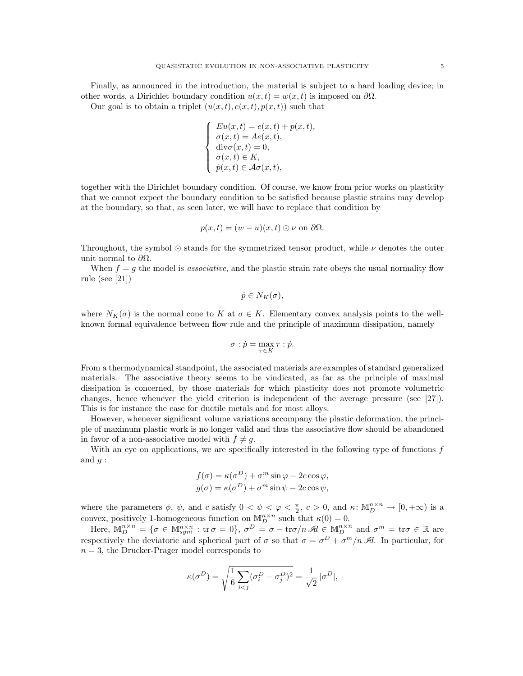Finally, as announced in the introduction, the material is subject to a hard loading device; in other words, a Dirichlet boundary condition  $u(x, t) = w(x, t)$  is imposed on  $\partial\Omega$ .

Our goal is to obtain a triplet  $(u(x,t), e(x,t), p(x,t))$  such that

$$
\begin{cases}\nEu(x,t) = e(x,t) + p(x,t), \\
\sigma(x,t) = Ae(x,t), \\
\text{div}\sigma(x,t) = 0, \\
\sigma(x,t) \in K, \\
\dot{p}(x,t) \in \mathcal{A}\sigma(x,t),\n\end{cases}
$$

together with the Dirichlet boundary condition. Of course, we know from prior works on plasticity that we cannot expect the boundary condition to be satisfied because plastic strains may develop at the boundary, so that, as seen later, we will have to replace that condition by

$$
p(x,t) = (w - u)(x,t) \odot \nu
$$
 on  $\partial \Omega$ .

Throughout, the symbol  $\odot$  stands for the symmetrized tensor product, while  $\nu$  denotes the outer unit normal to  $\partial \Omega$ .

When  $f = g$  the model is *associative*, and the plastic strain rate obeys the usual normality flow rule (see [21])

$$
\dot{p} \in N_K(\sigma),
$$

where  $N_K(\sigma)$  is the normal cone to K at  $\sigma \in K$ . Elementary convex analysis points to the wellknown formal equivalence between flow rule and the principle of maximum dissipation, namely

$$
\sigma : \dot{p} = \max_{\tau \in K} \tau : \dot{p}.
$$

From a thermodynamical standpoint, the associated materials are examples of standard generalized materials. The associative theory seems to be vindicated, as far as the principle of maximal dissipation is concerned, by those materials for which plasticity does not promote volumetric changes, hence whenever the yield criterion is independent of the average pressure (see [27]). This is for instance the case for ductile metals and for most alloys.

However, whenever significant volume variations accompany the plastic deformation, the principle of maximum plastic work is no longer valid and thus the associative flow should be abandoned in favor of a non-associative model with  $f \neq q$ .

With an eye on applications, we are specifically interested in the following type of functions  $f$ and  $q$  :

$$
f(\sigma) = \kappa(\sigma^D) + \sigma^m \sin \varphi - 2c \cos \varphi,
$$
  

$$
g(\sigma) = \kappa(\sigma^D) + \sigma^m \sin \psi - 2c \cos \psi,
$$

where the parameters  $\phi$ ,  $\psi$ , and c satisfy  $0 < \psi < \phi < \frac{\pi}{2}$ ,  $c > 0$ , and  $\kappa \colon \mathbb{M}_{D}^{n \times n} \to [0, +\infty)$  is a convex, positively 1-homogeneous function on  $\mathbb{M}_{D}^{n\times n}$  such that  $\kappa(0)=0$ .

Here,  $\mathbb{M}_{D}^{n\times n} = \{\sigma \in \mathbb{M}_{sym}^{n\times n} : \text{tr}\,\sigma=0\}, \sigma^{D}=\sigma-\text{tr}\sigma/n\,\mathscr{A}\in \mathbb{M}_{D}^{n\times n} \text{ and } \sigma^{m}=\text{tr}\sigma\in\mathbb{R} \text{ are }$ respectively the deviatoric and spherical part of  $\sigma$  so that  $\sigma = \sigma^D + \sigma^m/n$  A. In particular, for  $n = 3$ , the Drucker-Prager model corresponds to

$$
\kappa(\sigma^D) = \sqrt{\frac{1}{6} \sum_{i < j} (\sigma_i^D - \sigma_j^D)^2} = \frac{1}{\sqrt{2}} |\sigma^D|,
$$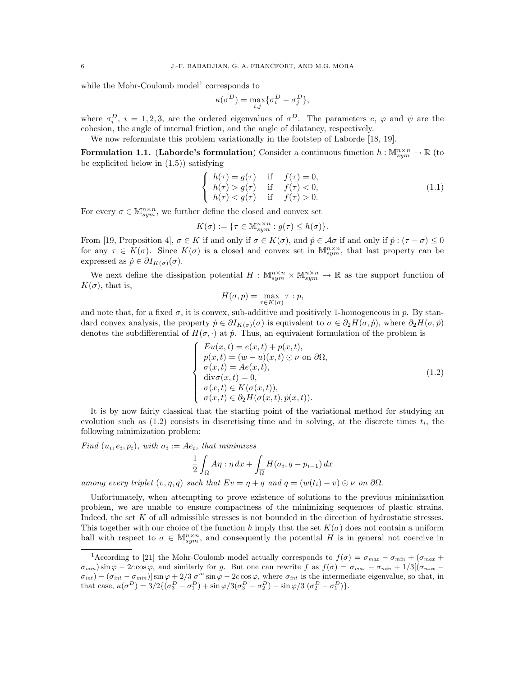while the Mohr-Coulomb model<sup>1</sup> corresponds to

$$
\kappa(\sigma^D) = \max_{i,j} \{ \sigma_i^D - \sigma_j^D \},\
$$

where  $\sigma_i^D$ ,  $i = 1, 2, 3$ , are the ordered eigenvalues of  $\sigma^D$ . The parameters c,  $\varphi$  and  $\psi$  are the cohesion, the angle of internal friction, and the angle of dilatancy, respectively.

We now reformulate this problem variationally in the footstep of Laborde [18, 19].

Formulation 1.1. (Laborde's formulation) Consider a continuous function  $h: \mathbb{M}^{n \times n}_{sym} \to \mathbb{R}$  (to be explicited below in (1.5)) satisfying

$$
\begin{cases}\nh(\tau) = g(\tau) & \text{if } f(\tau) = 0, \\
h(\tau) > g(\tau) & \text{if } f(\tau) < 0, \\
h(\tau) < g(\tau) & \text{if } f(\tau) > 0.\n\end{cases}
$$
\n(1.1)

For every  $\sigma \in \mathbb{M}^{n \times n}_{sym}$ , we further define the closed and convex set

$$
K(\sigma) := \{ \tau \in \mathbb{M}^{n \times n}_{sym} : g(\tau) \le h(\sigma) \}.
$$

From [19, Proposition 4],  $\sigma \in K$  if and only if  $\sigma \in K(\sigma)$ , and  $\dot{p} \in \mathcal{A}\sigma$  if and only if  $\dot{p} : (\tau - \sigma) \leq 0$ for any  $\tau \in K(\sigma)$ . Since  $K(\sigma)$  is a closed and convex set in  $\mathbb{M}^{n \times n}_{sym}$ , that last property can be expressed as  $\dot{p} \in \partial I_{K(\sigma)}(\sigma)$ .

We next define the dissipation potential  $H: \mathbb{M}_{sym}^{n\times n} \times \mathbb{M}_{sym}^{n\times n} \to \mathbb{R}$  as the support function of  $K(\sigma)$ , that is,

$$
H(\sigma, p) = \max_{\tau \in K(\sigma)} \tau : p,
$$

and note that, for a fixed  $\sigma$ , it is convex, sub-additive and positively 1-homogeneous in p. By standard convex analysis, the property  $\dot{p} \in \partial I_{K(\sigma)}(\sigma)$  is equivalent to  $\sigma \in \partial_2H(\sigma, \dot{p})$ , where  $\partial_2H(\sigma, \dot{p})$ denotes the subdifferential of  $H(\sigma, \cdot)$  at  $\dot{p}$ . Thus, an equivalent formulation of the problem is

$$
\begin{cases}\nEu(x,t) = e(x,t) + p(x,t), \\
p(x,t) = (w-u)(x,t) \odot \nu \text{ on } \partial\Omega, \\
\sigma(x,t) = Ae(x,t), \\
\text{div}\sigma(x,t) = 0, \\
\sigma(x,t) \in K(\sigma(x,t)), \\
\sigma(x,t) \in \partial_2 H(\sigma(x,t), \dot{p}(x,t)).\n\end{cases}
$$
\n(1.2)

It is by now fairly classical that the starting point of the variational method for studying an evolution such as  $(1.2)$  consists in discretising time and in solving, at the discrete times  $t_i$ , the following minimization problem:

Find  $(u_i, e_i, p_i)$ , with  $\sigma_i := Ae_i$ , that minimizes

$$
\frac{1}{2} \int_{\Omega} A \eta : \eta \, dx + \int_{\overline{\Omega}} H(\sigma_i, q - p_{i-1}) \, dx
$$

among every triplet  $(v, \eta, q)$  such that  $Ev = \eta + q$  and  $q = (w(t_i) - v) \odot \nu$  on  $\partial \Omega$ .

Unfortunately, when attempting to prove existence of solutions to the previous minimization problem, we are unable to ensure compactness of the minimizing sequences of plastic strains. Indeed, the set K of all admissible stresses is not bounded in the direction of hydrostatic stresses. This together with our choice of the function h imply that the set  $K(\sigma)$  does not contain a uniform ball with respect to  $\sigma \in M_{sym}^{n \times n}$ , and consequently the potential H is in general not coercive in

<sup>&</sup>lt;sup>1</sup>According to [21] the Mohr-Coulomb model actually corresponds to  $f(\sigma) = \sigma_{max} - \sigma_{min} + (\sigma_{max} + \sigma_{max})$  $\sigma_{min}$ ) sin  $\varphi - 2c \cos \varphi$ , and similarly for g. But one can rewrite f as  $f(\sigma) = \sigma_{max} - \sigma_{min} + 1/3[(\sigma_{max} - \sigma_{min})^2]$  $\sigma_{int}$  –  $(\sigma_{int} - \sigma_{min})$  sin  $\varphi + 2/3 \sigma^m \sin \varphi - 2c \cos \varphi$ , where  $\sigma_{int}$  is the intermediate eigenvalue, so that, in that case,  $\kappa(\sigma^D) = 3/2\{(\sigma_3^D - \sigma_1^D) + \sin\varphi/3(\sigma_3^D - \sigma_2^D) - \sin\varphi/3(\sigma_2^D - \sigma_1^D)\}.$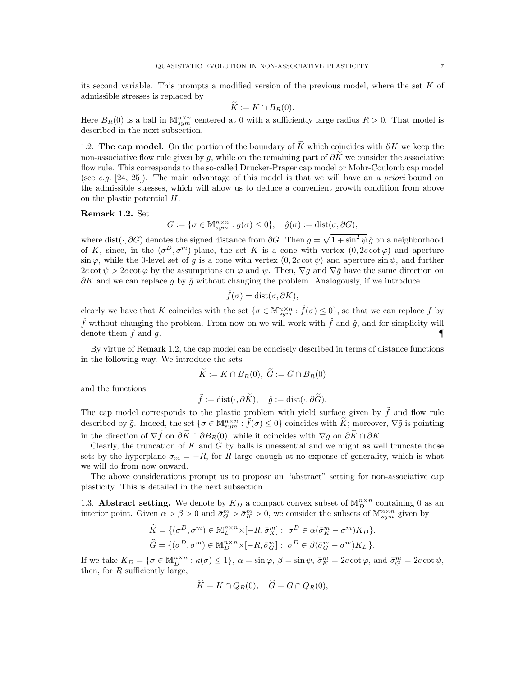its second variable. This prompts a modified version of the previous model, where the set K of admissible stresses is replaced by

$$
\widetilde{K} := K \cap B_R(0).
$$

Here  $B_R(0)$  is a ball in  $\mathbb{M}^{n\times n}_{sym}$  centered at 0 with a sufficiently large radius  $R>0$ . That model is described in the next subsection.

1.2. The cap model. On the portion of the boundary of  $\tilde{K}$  which coincides with ∂K we keep the non-associative flow rule given by q, while on the remaining part of  $\partial \widetilde{K}$  we consider the associative flow rule. This corresponds to the so-called Drucker-Prager cap model or Mohr-Coulomb cap model (see e.g. [24, 25]). The main advantage of this model is that we will have an a priori bound on the admissible stresses, which will allow us to deduce a convenient growth condition from above on the plastic potential H.

### Remark 1.2. Set

 $G := \{ \sigma \in \mathbb{M}^{n \times n}_{sym} : g(\sigma) \leq 0 \}, \quad \hat{g}(\sigma) := \text{dist}(\sigma, \partial G),$ 

where dist( $\cdot$ , ∂G) denotes the signed distance from ∂G. Then  $g = \sqrt{1 + \sin^2 \psi} \hat{g}$  on a neighborhood of K, since, in the  $(\sigma^D, \sigma^m)$ -plane, the set K is a cone with vertex  $(0, 2c \cot \varphi)$  and aperture sin  $\varphi$ , while the 0-level set of g is a cone with vertex  $(0, 2c \cot \psi)$  and aperture sin  $\psi$ , and further  $2c \cot \psi > 2c \cot \varphi$  by the assumptions on  $\varphi$  and  $\psi$ . Then,  $\nabla g$  and  $\nabla \hat{g}$  have the same direction on  $\partial K$  and we can replace g by  $\hat{g}$  without changing the problem. Analogously, if we introduce

$$
\hat{f}(\sigma) = \text{dist}(\sigma, \partial K),
$$

clearly we have that K coincides with the set  $\{\sigma \in \mathbb{M}_{sym}^{n \times n} : \hat{f}(\sigma) \leq 0\}$ , so that we can replace f by  $\hat{f}$  without changing the problem. From now on we will work with  $\hat{f}$  and  $\hat{g}$ , and for simplicity will denote them  $f$  and  $q$ .

By virtue of Remark 1.2, the cap model can be concisely described in terms of distance functions in the following way. We introduce the sets

$$
\widetilde{K} := K \cap B_R(0), \ \widetilde{G} := G \cap B_R(0)
$$

and the functions

$$
\tilde{f} := \text{dist}(\cdot, \partial \tilde{K}), \quad \tilde{g} := \text{dist}(\cdot, \partial \tilde{G}).
$$

The cap model corresponds to the plastic problem with yield surface given by  $\tilde{f}$  and flow rule described by  $\tilde{g}$ . Indeed, the set  $\{\sigma \in M_{sym}^{n \times n} : \tilde{f}(\sigma) \leq 0\}$  coincides with  $\tilde{K}$ ; moreover,  $\nabla \tilde{g}$  is pointing in the direction of  $\nabla \tilde{f}$  on  $\partial K \cap \partial B_R(0)$ , while it coincides with  $\nabla g$  on  $\partial K \cap \partial K$ .

Clearly, the truncation of  $K$  and  $G$  by balls is unessential and we might as well truncate those sets by the hyperplane  $\sigma_m = -R$ , for R large enough at no expense of generality, which is what we will do from now onward.

The above considerations prompt us to propose an "abstract" setting for non-associative cap plasticity. This is detailed in the next subsection.

1.3. **Abstract setting.** We denote by  $K_D$  a compact convex subset of  $\mathbb{M}_{D}^{n \times n}$  containing 0 as an interior point. Given  $\alpha > \beta > 0$  and  $\bar{\sigma}_{\alpha}^{m} > \bar{\sigma}_{K}^{m} > 0$ , we consider the subsets of  $\mathbb{M}_{sym}^{n \times n}$  given by

$$
\widehat{K} = \{ (\sigma^D, \sigma^m) \in \mathbb{M}_D^{n \times n} \times [-R, \bar{\sigma}_K^m] : \ \sigma^D \in \alpha (\bar{\sigma}_K^m - \sigma^m) K_D \},
$$
  

$$
\widehat{G} = \{ (\sigma^D, \sigma^m) \in \mathbb{M}_D^{n \times n} \times [-R, \bar{\sigma}_G^m] : \ \sigma^D \in \beta (\bar{\sigma}_G^m - \sigma^m) K_D \}.
$$

If we take  $K_D = \{ \sigma \in \mathbb{M}_{D}^{n \times n} : \kappa(\sigma) \leq 1 \}, \ \alpha = \sin \varphi, \ \beta = \sin \psi, \ \bar{\sigma}_{K}^{m} = 2c \cot \varphi, \text{ and } \bar{\sigma}_{G}^{m} = 2c \cot \psi,$ then, for  $R$  sufficiently large,

$$
\widehat{K} = K \cap Q_R(0), \quad \widehat{G} = G \cap Q_R(0),
$$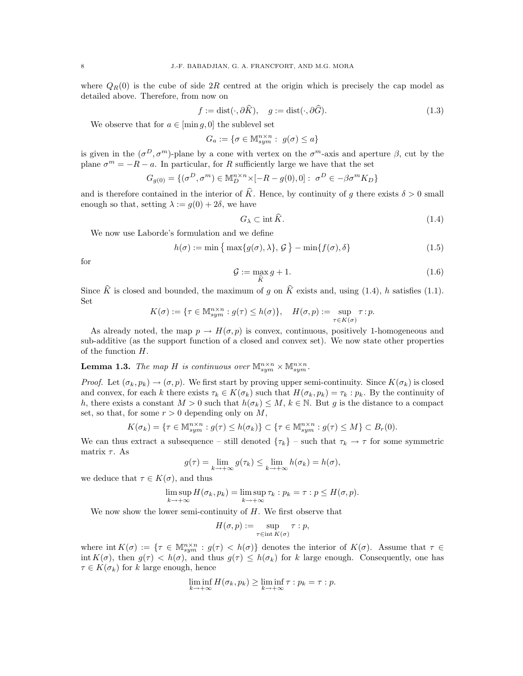where  $Q_R(0)$  is the cube of side 2R centred at the origin which is precisely the cap model as detailed above. Therefore, from now on

$$
f := \text{dist}(\cdot, \partial \hat{K}), \quad g := \text{dist}(\cdot, \partial \hat{G}). \tag{1.3}
$$

We observe that for  $a \in [\min g, 0]$  the sublevel set

$$
G_a := \{ \sigma \in \mathbb{M}^{n \times n}_{sym} : g(\sigma) \le a \}
$$

is given in the  $(\sigma^D, \sigma^m)$ -plane by a cone with vertex on the  $\sigma^m$ -axis and aperture  $\beta$ , cut by the plane  $\sigma^m = -R - a$ . In particular, for R sufficiently large we have that the set

$$
G_{g(0)} = \{ (\sigma^D, \sigma^m) \in \mathbb{M}_D^{n \times n} \times [-R - g(0), 0] : \ \sigma^D \in -\beta \sigma^m K_D \}
$$

and is therefore contained in the interior of  $\widehat{K}$ . Hence, by continuity of q there exists  $\delta > 0$  small enough so that, setting  $\lambda := q(0) + 2\delta$ , we have

$$
G_{\lambda} \subset \text{int } K. \tag{1.4}
$$

We now use Laborde's formulation and we define

$$
h(\sigma) := \min\left\{ \max\{g(\sigma), \lambda\}, \mathcal{G} \right\} - \min\{f(\sigma), \delta\} \tag{1.5}
$$

for

$$
\mathcal{G} := \max_{\hat{K}} g + 1. \tag{1.6}
$$

Since K is closed and bounded, the maximum of g on K exists and, using  $(1.4)$ , h satisfies  $(1.1)$ . Set

$$
K(\sigma) := \{ \tau \in \mathbb{M}^{n \times n}_{sym} : g(\tau) \le h(\sigma) \}, \quad H(\sigma, p) := \sup_{\tau \in K(\sigma)} \tau : p.
$$

As already noted, the map  $p \to H(\sigma, p)$  is convex, continuous, positively 1-homogeneous and sub-additive (as the support function of a closed and convex set). We now state other properties of the function H.

# **Lemma 1.3.** The map H is continuous over  $\mathbb{M}^{n \times n}_{sym} \times \mathbb{M}^{n \times n}_{sym}$ .

*Proof.* Let  $(\sigma_k, p_k) \to (\sigma, p)$ . We first start by proving upper semi-continuity. Since  $K(\sigma_k)$  is closed and convex, for each k there exists  $\tau_k \in K(\sigma_k)$  such that  $H(\sigma_k, p_k) = \tau_k : p_k$ . By the continuity of h, there exists a constant  $M > 0$  such that  $h(\sigma_k) \leq M$ ,  $k \in \mathbb{N}$ . But g is the distance to a compact set, so that, for some  $r > 0$  depending only on M,

$$
K(\sigma_k) = \{ \tau \in \mathbb{M}^{n \times n}_{sym} : g(\tau) \le h(\sigma_k) \} \subset \{ \tau \in \mathbb{M}^{n \times n}_{sym} : g(\tau) \le M \} \subset B_r(0).
$$

We can thus extract a subsequence – still denoted  $\{\tau_k\}$  – such that  $\tau_k \to \tau$  for some symmetric matrix  $\tau$ . As

$$
g(\tau) = \lim_{k \to +\infty} g(\tau_k) \le \lim_{k \to +\infty} h(\sigma_k) = h(\sigma),
$$

we deduce that  $\tau \in K(\sigma)$ , and thus

$$
\limsup_{k \to +\infty} H(\sigma_k, p_k) = \limsup_{k \to +\infty} \tau_k : p_k = \tau : p \le H(\sigma, p).
$$

We now show the lower semi-continuity of  $H$ . We first observe that

$$
H(\sigma, p) := \sup_{\tau \in \text{int } K(\sigma)} \tau : p,
$$

where  $\text{int } K(\sigma) := \{ \tau \in \mathbb{M}_{sym}^{n \times n} : g(\tau) < h(\sigma) \}$  denotes the interior of  $K(\sigma)$ . Assume that  $\tau \in$ int  $K(\sigma)$ , then  $g(\tau) < h(\sigma)$ , and thus  $g(\tau) \leq h(\sigma_k)$  for k large enough. Consequently, one has  $\tau \in K(\sigma_k)$  for k large enough, hence

$$
\liminf_{k \to +\infty} H(\sigma_k, p_k) \ge \liminf_{k \to +\infty} \tau : p_k = \tau : p.
$$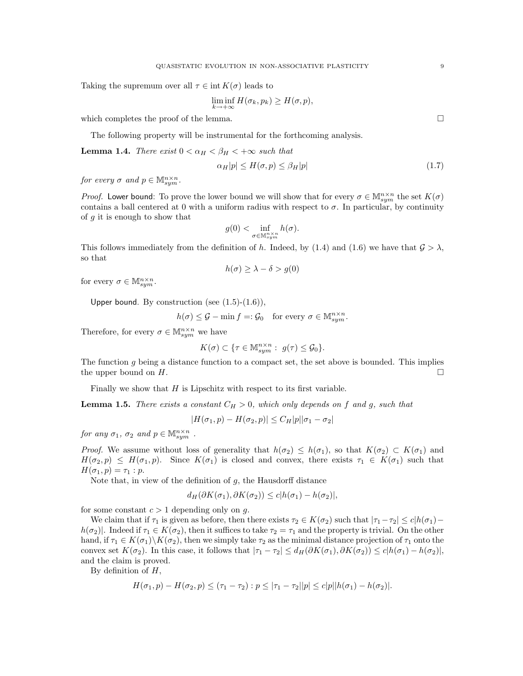Taking the supremum over all  $\tau \in \text{int } K(\sigma)$  leads to

$$
\liminf_{k \to +\infty} H(\sigma_k, p_k) \ge H(\sigma, p),
$$

which completes the proof of the lemma.  $\Box$ 

The following property will be instrumental for the forthcoming analysis.

**Lemma 1.4.** There exist  $0 < \alpha_H < \beta_H < +\infty$  such that

$$
\alpha_H |p| \le H(\sigma, p) \le \beta_H |p| \tag{1.7}
$$

for every  $\sigma$  and  $p \in \mathbb{M}^{n \times n}_{sym}$ .

*Proof.* Lower bound: To prove the lower bound we will show that for every  $\sigma \in M_{sym}^{n \times n}$  the set  $K(\sigma)$ contains a ball centered at 0 with a uniform radius with respect to  $\sigma$ . In particular, by continuity of  $q$  it is enough to show that

$$
g(0) < \inf_{\sigma \in \mathbb{M}^n_{sym}} h(\sigma).
$$

This follows immediately from the definition of h. Indeed, by (1.4) and (1.6) we have that  $\mathcal{G} > \lambda$ , so that

$$
h(\sigma) \ge \lambda - \delta > g(0)
$$

for every  $\sigma \in \mathbb{M}^{n \times n}_{sym}$ .

Upper bound. By construction (see  $(1.5)-(1.6)$ ),

$$
h(\sigma) \le \mathcal{G} - \min f =: \mathcal{G}_0 \quad \text{for every } \sigma \in \mathbb{M}^{n \times n}_{sym}.
$$

Therefore, for every  $\sigma \in \mathbb{M}_{sym}^{n \times n}$  we have

$$
K(\sigma) \subset \{\tau \in \mathbb{M}_{sym}^{n \times n} : g(\tau) \leq \mathcal{G}_0\}.
$$

The function g being a distance function to a compact set, the set above is bounded. This implies the upper bound on  $H$ .

Finally we show that  $H$  is Lipschitz with respect to its first variable.

**Lemma 1.5.** There exists a constant  $C_H > 0$ , which only depends on f and g, such that

$$
|H(\sigma_1, p) - H(\sigma_2, p)| \le C_H |p||\sigma_1 - \sigma_2|
$$

for any  $\sigma_1$ ,  $\sigma_2$  and  $p \in M_{sym}^{n \times n}$ .

*Proof.* We assume without loss of generality that  $h(\sigma_2) \leq h(\sigma_1)$ , so that  $K(\sigma_2) \subset K(\sigma_1)$  and  $H(\sigma_2, p) \leq H(\sigma_1, p)$ . Since  $K(\sigma_1)$  is closed and convex, there exists  $\tau_1 \in K(\sigma_1)$  such that  $H(\sigma_1, p) = \tau_1 : p.$ 

Note that, in view of the definition of  $g$ , the Hausdorff distance

$$
d_H(\partial K(\sigma_1), \partial K(\sigma_2)) \le c |h(\sigma_1) - h(\sigma_2)|,
$$

for some constant  $c > 1$  depending only on g.

We claim that if  $\tau_1$  is given as before, then there exists  $\tau_2 \in K(\sigma_2)$  such that  $|\tau_1-\tau_2| \leq c|h(\sigma_1)-\tau_2|$  $h(\sigma_2)$ . Indeed if  $\tau_1 \in K(\sigma_2)$ , then it suffices to take  $\tau_2 = \tau_1$  and the property is trivial. On the other hand, if  $\tau_1 \in K(\sigma_1) \backslash K(\sigma_2)$ , then we simply take  $\tau_2$  as the minimal distance projection of  $\tau_1$  onto the convex set  $K(\sigma_2)$ . In this case, it follows that  $|\tau_1 - \tau_2| \leq d_H(\partial K(\sigma_1), \partial K(\sigma_2)) \leq c|h(\sigma_1) - h(\sigma_2)|$ , and the claim is proved.

By definition of  $H$ ,

$$
H(\sigma_1, p) - H(\sigma_2, p) \le (\tau_1 - \tau_2) : p \le |\tau_1 - \tau_2||p| \le c|p||h(\sigma_1) - h(\sigma_2)|.
$$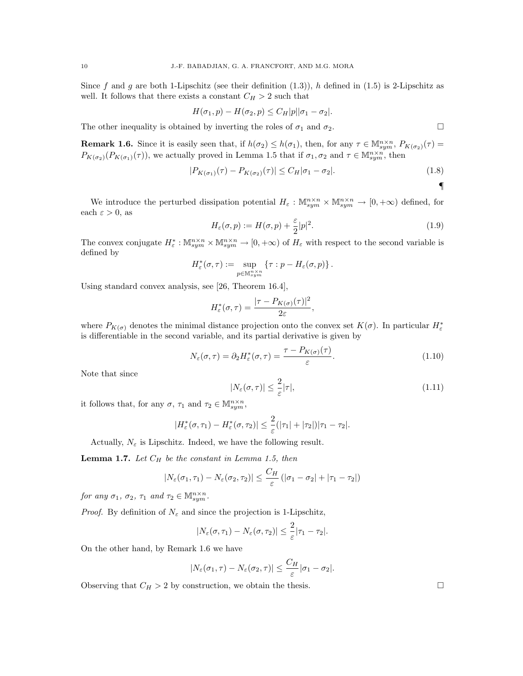Since f and g are both 1-Lipschitz (see their definition  $(1.3)$ ), h defined in  $(1.5)$  is 2-Lipschitz as well. It follows that there exists a constant  $C_H > 2$  such that

$$
H(\sigma_1, p) - H(\sigma_2, p) \le C_H |p||\sigma_1 - \sigma_2|.
$$

The other inequality is obtained by inverting the roles of  $\sigma_1$  and  $\sigma_2$ .

**Remark 1.6.** Since it is easily seen that, if  $h(\sigma_2) \leq h(\sigma_1)$ , then, for any  $\tau \in M_{sym}^{n \times n}$ ,  $P_{K(\sigma_2)}(\tau) =$  $P_{K(\sigma_2)}(P_{K(\sigma_1)}(\tau))$ , we actually proved in Lemma 1.5 that if  $\sigma_1, \sigma_2$  and  $\tau \in M_{sym}^{n \times n}$ , then

$$
|P_{K(\sigma_1)}(\tau) - P_{K(\sigma_2)}(\tau)| \le C_H |\sigma_1 - \sigma_2|.
$$
\n(1.8)

We introduce the perturbed dissipation potential  $H_{\varepsilon}: \mathbb{M}_{sym}^{n \times n} \times \mathbb{M}_{sym}^{n \times n} \to [0, +\infty)$  defined, for each  $\varepsilon > 0$ , as

$$
H_{\varepsilon}(\sigma, p) := H(\sigma, p) + \frac{\varepsilon}{2}|p|^2.
$$
\n(1.9)

The convex conjugate  $H_{\varepsilon}^* : \mathbb{M}_{sym}^{n \times n} \times \mathbb{M}_{sym}^{n \times n} \to [0, +\infty)$  of  $H_{\varepsilon}$  with respect to the second variable is defined by

$$
H_{\varepsilon}^*(\sigma,\tau) := \sup_{p \in \mathbb{M}_{sym}^{n \times n}} \{ \tau : p - H_{\varepsilon}(\sigma,p) \}.
$$

Using standard convex analysis, see [26, Theorem 16.4],

$$
H_{\varepsilon}^*(\sigma,\tau)=\frac{|\tau-P_{K(\sigma)}(\tau)|^2}{2\varepsilon}
$$

where  $P_{K(\sigma)}$  denotes the minimal distance projection onto the convex set  $K(\sigma)$ . In particular  $H^*_{\varepsilon}$ is differentiable in the second variable, and its partial derivative is given by

$$
N_{\varepsilon}(\sigma,\tau) = \partial_2 H_{\varepsilon}^*(\sigma,\tau) = \frac{\tau - P_{K(\sigma)}(\tau)}{\varepsilon}.
$$
\n(1.10)

,

Note that since

$$
|N_{\varepsilon}(\sigma,\tau)| \leq \frac{2}{\varepsilon} |\tau|,\tag{1.11}
$$

it follows that, for any  $\sigma$ ,  $\tau_1$  and  $\tau_2 \in \mathbb{M}^{n \times n}_{sym}$ ,

$$
|H_{\varepsilon}^*(\sigma,\tau_1)-H_{\varepsilon}^*(\sigma,\tau_2)|\leq \frac{2}{\varepsilon}(|\tau_1|+|\tau_2|)|\tau_1-\tau_2|.
$$

Actually,  $N_{\varepsilon}$  is Lipschitz. Indeed, we have the following result.

**Lemma 1.7.** Let  $C_H$  be the constant in Lemma 1.5, then

$$
|N_{\varepsilon}(\sigma_1,\tau_1)-N_{\varepsilon}(\sigma_2,\tau_2)|\leq \frac{C_H}{\varepsilon}(|\sigma_1-\sigma_2|+|\tau_1-\tau_2|)
$$

for any  $\sigma_1$ ,  $\sigma_2$ ,  $\tau_1$  and  $\tau_2 \in \mathbb{M}_{sym}^{n \times n}$ .

*Proof.* By definition of  $N_{\varepsilon}$  and since the projection is 1-Lipschitz,

$$
|N_{\varepsilon}(\sigma,\tau_1)-N_{\varepsilon}(\sigma,\tau_2)|\leq \frac{2}{\varepsilon}|\tau_1-\tau_2|.
$$

On the other hand, by Remark 1.6 we have

$$
|N_{\varepsilon}(\sigma_1, \tau) - N_{\varepsilon}(\sigma_2, \tau)| \leq \frac{C_H}{\varepsilon} |\sigma_1 - \sigma_2|.
$$

Observing that  $C_H > 2$  by construction, we obtain the thesis.

¶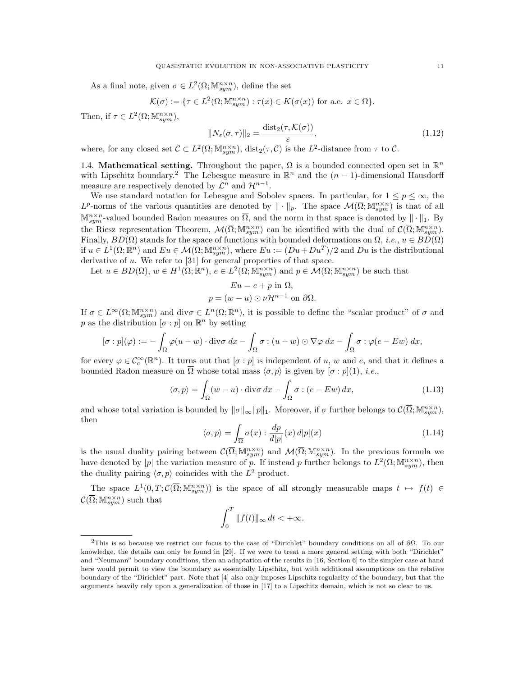As a final note, given  $\sigma \in L^2(\Omega; \mathbb{M}^{n \times n}_{sym})$ , define the set

$$
\mathcal{K}(\sigma) := \{ \tau \in L^2(\Omega; \mathbb{M}^{n \times n}_{sym}) : \tau(x) \in K(\sigma(x)) \text{ for a.e. } x \in \Omega \}.
$$

Then, if  $\tau \in L^2(\Omega; \mathbb{M}^{n \times n}_{sym}),$ 

$$
||N_{\varepsilon}(\sigma,\tau)||_2 = \frac{\text{dist}_2(\tau,\mathcal{K}(\sigma))}{\varepsilon},\tag{1.12}
$$

where, for any closed set  $\mathcal{C} \subset L^2(\Omega; \mathbb{M}^{n \times n}_{sym})$ ,  $dist_2(\tau, \mathcal{C})$  is the  $L^2$ -distance from  $\tau$  to  $\mathcal{C}$ .

1.4. Mathematical setting. Throughout the paper,  $\Omega$  is a bounded connected open set in  $\mathbb{R}^n$ with Lipschitz boundary.<sup>2</sup> The Lebesgue measure in  $\mathbb{R}^n$  and the  $(n-1)$ -dimensional Hausdorff measure are respectively denoted by  $\mathcal{L}^n$  and  $\mathcal{H}^{n-1}$ .

We use standard notation for Lebesgue and Sobolev spaces. In particular, for  $1 \leq p \leq \infty$ , the  $L^p$ -norms of the various quantities are denoted by  $\|\cdot\|_p$ . The space  $\mathcal{M}(\overline{\Omega}; \mathbb{M}^{n \times n}_{sym})$  is that of all  $\mathbb{M}^{n\times n}_{sym}$ -valued bounded Radon measures on  $\overline{\Omega}$ , and the norm in that space is denoted by  $\|\cdot\|_1$ . By the Riesz representation Theorem,  $\mathcal{M}(\overline{\Omega}; \mathbb{M}^{n \times n}_{sym})$  can be identified with the dual of  $\mathcal{C}(\overline{\Omega}; \mathbb{M}^{n \times n}_{sym})$ . Finally,  $BD(\Omega)$  stands for the space of functions with bounded deformations on  $\Omega$ , *i.e.*,  $u \in BD(\Omega)$ if  $u \in L^1(\Omega;\mathbb{R}^n)$  and  $Eu \in \mathcal{M}(\Omega;\mathbb{M}^{n\times n}_{sym})$ , where  $Eu := (Du + Du^T)/2$  and  $Du$  is the distributional derivative of  $u$ . We refer to  $[31]$  for general properties of that space.

Let  $u \in BD(\Omega), w \in H^1(\Omega;\mathbb{R}^n), e \in L^2(\Omega;\mathbb{M}^{n\times n}_{sym})$  and  $p \in \mathcal{M}(\overline{\Omega};\mathbb{M}^{n\times n}_{sym})$  be such that

$$
Eu = e + p \text{ in } \Omega,
$$
  

$$
p = (w - u) \odot \nu \mathcal{H}^{n-1} \text{ on } \partial \Omega.
$$

If  $\sigma \in L^{\infty}(\Omega; \mathbb{M}^{n \times n}_{sym})$  and div $\sigma \in L^{n}(\Omega; \mathbb{R}^{n})$ , it is possible to define the "scalar product" of  $\sigma$  and p as the distribution  $[\sigma : p]$  on  $\mathbb{R}^n$  by setting

$$
[\sigma:p](\varphi) := -\int_{\Omega} \varphi(u-w) \cdot \text{div}\sigma \, dx - \int_{\Omega} \sigma : (u-w) \odot \nabla \varphi \, dx - \int_{\Omega} \sigma : \varphi(e-Ew) \, dx,
$$

for every  $\varphi \in \mathcal{C}_c^{\infty}(\mathbb{R}^n)$ . It turns out that  $[\sigma:p]$  is independent of u, w and e, and that it defines a bounded Radon measure on  $\overline{\Omega}$  whose total mass  $\langle \sigma, p \rangle$  is given by  $[\sigma : p](1)$ , *i.e.*,

$$
\langle \sigma, p \rangle = \int_{\Omega} (w - u) \cdot \text{div}\,\sigma \,dx - \int_{\Omega} \sigma : (e - Ew) \,dx,\tag{1.13}
$$

and whose total variation is bounded by  $\|\sigma\|_{\infty} \|p\|_{1}$ . Moreover, if  $\sigma$  further belongs to  $\mathcal{C}(\overline{\Omega}; \mathbb{M}^{n \times n}_{sym})$ , then

$$
\langle \sigma, p \rangle = \int_{\overline{\Omega}} \sigma(x) : \frac{dp}{d|p|}(x) \, d|p|(x) \tag{1.14}
$$

is the usual duality pairing between  $\mathcal{C}(\overline{\Omega}; \mathbb{M}^{n \times n}_{sym})$  and  $\mathcal{M}(\overline{\Omega}; \mathbb{M}^{n \times n}_{sym})$ . In the previous formula we have denoted by |p| the variation measure of p. If instead p further belongs to  $L^2(\Omega; \mathbb{M}^{n \times n}_{sym})$ , then the duality pairing  $\langle \sigma, p \rangle$  coincides with the  $L^2$  product.

The space  $L^1(0,T;\mathcal{C}(\overline{\Omega};\mathbb{M}^{n\times n}_{sym}))$  is the space of all strongly measurable maps  $t \mapsto f(t) \in$  $\mathcal{C}(\overline{\Omega}; \mathbb{M}^{n \times n}_{sym})$  such that

$$
\int_0^T \|f(t)\|_{\infty} dt < +\infty.
$$

<sup>&</sup>lt;sup>2</sup>This is so because we restrict our focus to the case of "Dirichlet" boundary conditions on all of  $\partial\Omega$ . To our knowledge, the details can only be found in [29]. If we were to treat a more general setting with both "Dirichlet" and "Neumann" boundary conditions, then an adaptation of the results in [16, Section 6] to the simpler case at hand here would permit to view the boundary as essentially Lipschitz, but with additional assumptions on the relative boundary of the "Dirichlet" part. Note that [4] also only imposes Lipschitz regularity of the boundary, but that the arguments heavily rely upon a generalization of those in [17] to a Lipschitz domain, which is not so clear to us.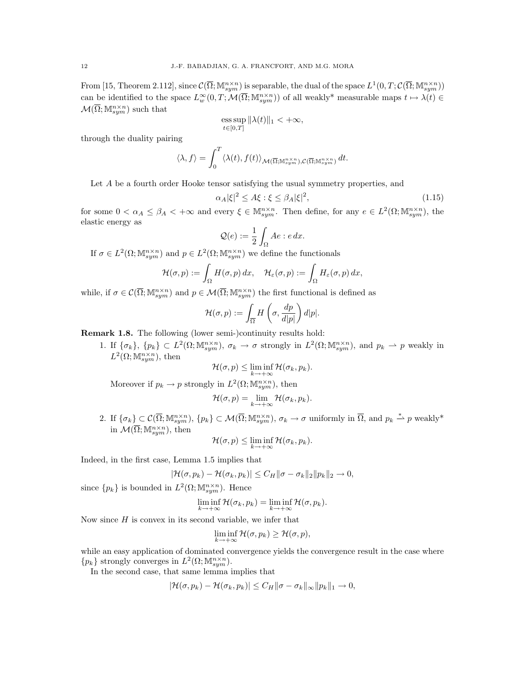From [15, Theorem 2.112], since  $\mathcal{C}(\overline{\Omega}; \mathbb{M}^{n \times n}_{sym})$  is separable, the dual of the space  $L^1(0,T; \mathcal{C}(\overline{\Omega}; \mathbb{M}^{n \times n}_{sym}))$ can be identified to the space  $L^{\infty}_w(0,T; \mathcal{M}(\overline{\Omega}; \mathbb{M}^{n \times n}_{sym}))$  of all weakly\* measurable maps  $t \mapsto \lambda(t) \in$  $\mathcal{M}(\overline{\Omega}; \mathbb{M}^{n \times n}_{sym})$  such that

$$
\operatorname*{ess\,sup}_{t\in[0,T]}\|\lambda(t)\|_{1}<+\infty,
$$

through the duality pairing

$$
\langle \lambda, f \rangle = \int_0^T \langle \lambda(t), f(t) \rangle_{\mathcal{M}(\overline{\Omega}; \mathbb{M}^{n \times n}_{sym}), \mathcal{C}(\overline{\Omega}; \mathbb{M}^{n \times n}_{sym})} dt.
$$

Let A be a fourth order Hooke tensor satisfying the usual symmetry properties, and

$$
\alpha_A|\xi|^2 \le A\xi : \xi \le \beta_A|\xi|^2,\tag{1.15}
$$

for some  $0 < \alpha_A \leq \beta_A < +\infty$  and every  $\xi \in M_{sym}^{n\times n}$ . Then define, for any  $e \in L^2(\Omega; M_{sym}^{n\times n})$ , the elastic energy as

$$
\mathcal{Q}(e) := \frac{1}{2} \int_{\Omega} Ae : e \, dx.
$$

If  $\sigma \in L^2(\Omega; \mathbb{M}^{n \times n}_{sym})$  and  $p \in L^2(\Omega; \mathbb{M}^{n \times n}_{sym})$  we define the functionals

$$
\mathcal{H}(\sigma,p):=\int_\Omega H(\sigma,p)\,dx,\quad \mathcal{H}_\varepsilon(\sigma,p):=\int_\Omega H_\varepsilon(\sigma,p)\,dx,
$$

while, if  $\sigma \in \mathcal{C}(\overline{\Omega}; \mathbb{M}^{n \times n}_{sym})$  and  $p \in \mathcal{M}(\overline{\Omega}; \mathbb{M}^{n \times n}_{sym})$  the first functional is defined as

$$
\mathcal{H}(\sigma,p) := \int_{\overline{\Omega}} H\left(\sigma, \frac{dp}{d|p|}\right) d|p|.
$$

Remark 1.8. The following (lower semi-)continuity results hold:

1. If  $\{\sigma_k\},\ \{p_k\} \subset L^2(\Omega;\mathbb{M}^{n\times n}_{sym}),\ \sigma_k \to \sigma \text{ strongly in } L^2(\Omega;\mathbb{M}^{n\times n}_{sym}),\text{ and } p_k \to p \text{ weakly in }$  $L^2(\Omega; \mathbb{M}^{n \times n}_{sym})$ , then

$$
\mathcal{H}(\sigma, p) \leq \liminf_{k \to +\infty} \mathcal{H}(\sigma_k, p_k).
$$

Moreover if  $p_k \to p$  strongly in  $L^2(\Omega; \mathbb{M}^{n \times n}_{sym})$ , then

$$
\mathcal{H}(\sigma, p) = \lim_{k \to +\infty} \mathcal{H}(\sigma_k, p_k).
$$

2. If  $\{\sigma_k\} \subset \mathcal{C}(\overline{\Omega}; \mathbb{M}^{n \times n}_{sym}), \{p_k\} \subset \mathcal{M}(\overline{\Omega}; \mathbb{M}^{n \times n}_{sym}), \sigma_k \to \sigma \text{ uniformly in } \overline{\Omega}, \text{ and } p_k \stackrel{*}{\rightharpoonup} p \text{ weakly*}$ in  $\mathcal{M}(\overline{\Omega}; \mathbb{M}^{n \times n}_{sym})$ , then

$$
\mathcal{H}(\sigma, p) \leq \liminf_{k \to +\infty} \mathcal{H}(\sigma_k, p_k).
$$

Indeed, in the first case, Lemma 1.5 implies that

$$
|\mathcal{H}(\sigma, p_k) - \mathcal{H}(\sigma_k, p_k)| \leq C_H \|\sigma - \sigma_k\|_2 \|p_k\|_2 \to 0,
$$

since  $\{p_k\}$  is bounded in  $L^2(\Omega; \mathbb{M}^{n \times n}_{sym})$ . Hence

$$
\liminf_{k \to +\infty} \mathcal{H}(\sigma_k, p_k) = \liminf_{k \to +\infty} \mathcal{H}(\sigma, p_k).
$$

Now since  $H$  is convex in its second variable, we infer that

$$
\liminf_{k \to +\infty} \mathcal{H}(\sigma, p_k) \ge \mathcal{H}(\sigma, p),
$$

while an easy application of dominated convergence yields the convergence result in the case where  $\{p_k\}$  strongly converges in  $L^2(\Omega; \mathbb{M}^{n \times n}_{sym}).$ 

In the second case, that same lemma implies that

$$
|\mathcal{H}(\sigma, p_k) - \mathcal{H}(\sigma_k, p_k)| \leq C_H \|\sigma - \sigma_k\|_{\infty} \|p_k\|_1 \to 0,
$$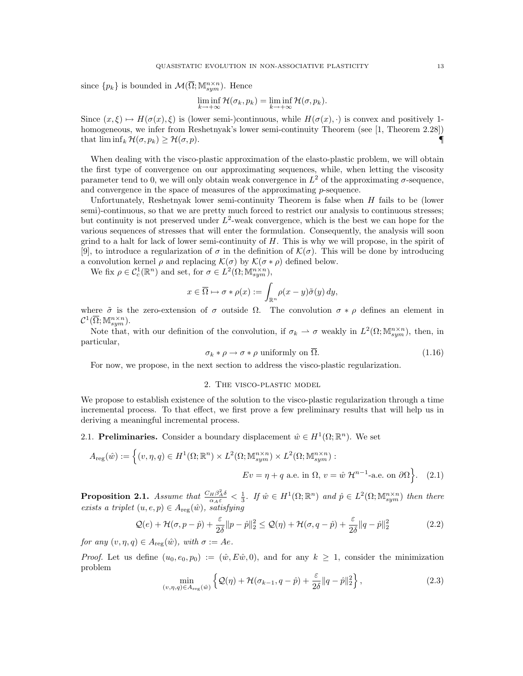since  $\{p_k\}$  is bounded in  $\mathcal{M}(\overline{\Omega}; \mathbb{M}^{n \times n}_{sym})$ . Hence

$$
\liminf_{k \to +\infty} \mathcal{H}(\sigma_k, p_k) = \liminf_{k \to +\infty} \mathcal{H}(\sigma, p_k).
$$

Since  $(x, \xi) \mapsto H(\sigma(x), \xi)$  is (lower semi-)continuous, while  $H(\sigma(x), \cdot)$  is convex and positively 1homogeneous, we infer from Reshetnyak's lower semi-continuity Theorem (see [1, Theorem 2.28]) that  $\liminf_k \mathcal{H}(\sigma, p_k) \geq \mathcal{H}(\sigma, p)$ .

When dealing with the visco-plastic approximation of the elasto-plastic problem, we will obtain the first type of convergence on our approximating sequences, while, when letting the viscosity parameter tend to 0, we will only obtain weak convergence in  $L^2$  of the approximating  $\sigma$ -sequence, and convergence in the space of measures of the approximating p-sequence.

Unfortunately, Reshetnyak lower semi-continuity Theorem is false when  $H$  fails to be (lower semi)-continuous, so that we are pretty much forced to restrict our analysis to continuous stresses; but continuity is not preserved under  $L^2$ -weak convergence, which is the best we can hope for the various sequences of stresses that will enter the formulation. Consequently, the analysis will soon grind to a halt for lack of lower semi-continuity of  $H$ . This is why we will propose, in the spirit of [9], to introduce a regularization of  $\sigma$  in the definition of  $\mathcal{K}(\sigma)$ . This will be done by introducing a convolution kernel  $\rho$  and replacing  $\mathcal{K}(\sigma)$  by  $\mathcal{K}(\sigma * \rho)$  defined below.

We fix  $\rho \in C_c^1(\mathbb{R}^n)$  and set, for  $\sigma \in L^2(\Omega; \mathbb{M}^{n \times n}_{sym}),$ 

$$
x \in \overline{\Omega} \mapsto \sigma * \rho(x) := \int_{\mathbb{R}^n} \rho(x - y) \tilde{\sigma}(y) \, dy,
$$

where  $\tilde{\sigma}$  is the zero-extension of  $\sigma$  outside  $\Omega$ . The convolution  $\sigma * \rho$  defines an element in  $\mathcal{C}^1(\overline{\Omega}; \mathbb{M}^{n \times n}_{sym}).$ 

Note that, with our definition of the convolution, if  $\sigma_k \rightharpoonup \sigma$  weakly in  $L^2(\Omega; \mathbb{M}^{n \times n}_{sym})$ , then, in particular,

$$
\sigma_k * \rho \to \sigma * \rho \text{ uniformly on } \Omega. \tag{1.16}
$$

For now, we propose, in the next section to address the visco-plastic regularization.

# 2. The visco-plastic model

We propose to establish existence of the solution to the visco-plastic regularization through a time incremental process. To that effect, we first prove a few preliminary results that will help us in deriving a meaningful incremental process.

2.1. Preliminaries. Consider a boundary displacement  $\hat{w} \in H^1(\Omega; \mathbb{R}^n)$ . We set

$$
A_{\text{reg}}(\hat{w}) := \left\{ (v, \eta, q) \in H^1(\Omega; \mathbb{R}^n) \times L^2(\Omega; \mathbb{M}^{n \times n}_{sym}) \times L^2(\Omega; \mathbb{M}^{n \times n}_{sym}) : \right\}
$$

$$
Ev = \eta + q \text{ a.e. in } \Omega, v = \hat{w} \mathcal{H}^{n-1}\text{-a.e. on } \partial\Omega \right\}. \tag{2.1}
$$

**Proposition 2.1.** Assume that  $\frac{C_H \beta_A^2 \delta}{\alpha_A \varepsilon} < \frac{1}{3}$ . If  $\hat{w} \in H^1(\Omega; \mathbb{R}^n)$  and  $\hat{p} \in L^2(\Omega; \mathbb{M}^{n \times n}_{sym})$  then there exists a triplet  $(u, e, p) \in A_{reg}(\hat{w})$ , satisfying

$$
\mathcal{Q}(e) + \mathcal{H}(\sigma, p - \hat{p}) + \frac{\varepsilon}{2\delta} \|p - \hat{p}\|_2^2 \le \mathcal{Q}(\eta) + \mathcal{H}(\sigma, q - \hat{p}) + \frac{\varepsilon}{2\delta} \|q - \hat{p}\|_2^2
$$
 (2.2)

for any  $(v, \eta, q) \in A_{\text{reg}}(\hat{w})$ , with  $\sigma := Ae$ .

*Proof.* Let us define  $(u_0, e_0, p_0) := (\hat{w}, E\hat{w}, 0)$ , and for any  $k \geq 1$ , consider the minimization problem

$$
\min_{(v,\eta,q)\in A_{\text{reg}}(\hat{w})} \left\{ \mathcal{Q}(\eta) + \mathcal{H}(\sigma_{k-1}, q-\hat{p}) + \frac{\varepsilon}{2\delta} \|q-\hat{p}\|_2^2 \right\},\tag{2.3}
$$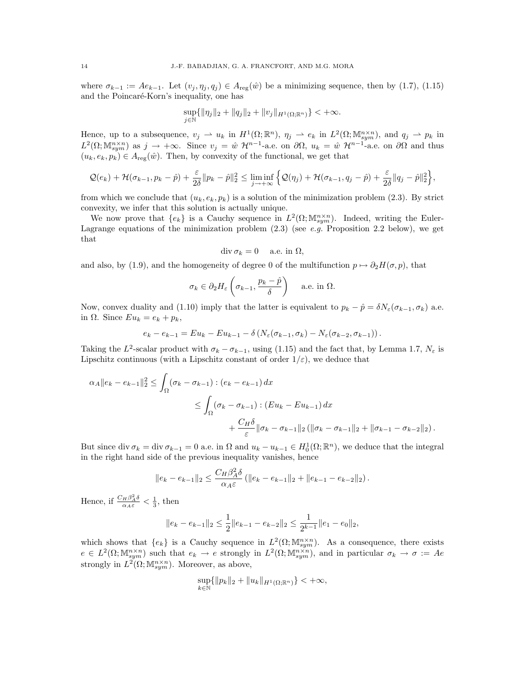where  $\sigma_{k-1} := Ae_{k-1}$ . Let  $(v_j, \eta_j, q_j) \in A_{reg}(\hat{w})$  be a minimizing sequence, then by (1.7), (1.15) and the Poincaré-Korn's inequality, one has

$$
\sup_{j\in\mathbb{N}}\{\|\eta_j\|_2+\|q_j\|_2+\|v_j\|_{H^1(\Omega;\mathbb{R}^n)}\}<+\infty.
$$

Hence, up to a subsequence,  $v_j \rightharpoonup u_k$  in  $H^1(\Omega;\mathbb{R}^n)$ ,  $\eta_j \rightharpoonup e_k$  in  $L^2(\Omega;\mathbb{M}^{n\times n}_{sym})$ , and  $q_j \rightharpoonup p_k$  in  $L^2(\Omega; \mathbb{M}^{n \times n}_{sym})$  as  $j \to +\infty$ . Since  $v_j = \hat{w} \mathcal{H}^{n-1}$ -a.e. on  $\partial\Omega$ ,  $u_k = \hat{w} \mathcal{H}^{n-1}$ -a.e. on  $\partial\Omega$  and thus  $(u_k, e_k, p_k) \in A_{reg}(\hat{w})$ . Then, by convexity of the functional, we get that

$$
\mathcal{Q}(e_k)+\mathcal{H}(\sigma_{k-1},p_k-\hat{p})+\frac{\varepsilon}{2\delta}\|p_k-\hat{p}\|_2^2\leq \liminf_{j\to+\infty}\Big\{\mathcal{Q}(\eta_j)+\mathcal{H}(\sigma_{k-1},q_j-\hat{p})+\frac{\varepsilon}{2\delta}\|q_j-\hat{p}\|_2^2\Big\},\
$$

from which we conclude that  $(u_k, e_k, p_k)$  is a solution of the minimization problem (2.3). By strict convexity, we infer that this solution is actually unique.

We now prove that  ${e_k}$  is a Cauchy sequence in  $L^2(\Omega; \mathbb{M}^{n \times n}_{sym})$ . Indeed, writing the Euler-Lagrange equations of the minimization problem  $(2.3)$  (see e.g. Proposition 2.2 below), we get that

$$
\operatorname{div} \sigma_k = 0 \quad \text{ a.e. in } \Omega,
$$

and also, by (1.9), and the homogeneity of degree 0 of the multifunction  $p \mapsto \partial_2 H(\sigma, p)$ , that

$$
\sigma_k \in \partial_2 H_{\varepsilon} \left( \sigma_{k-1}, \frac{p_k - \hat{p}}{\delta} \right)
$$
 a.e. in  $\Omega$ .

Now, convex duality and (1.10) imply that the latter is equivalent to  $p_k - \hat{p} = \delta N_{\varepsilon}(\sigma_{k-1}, \sigma_k)$  a.e. in  $\Omega$ . Since  $Eu_k = e_k + p_k$ ,

$$
e_k - e_{k-1} = Eu_k - Eu_{k-1} - \delta \left( N_{\varepsilon}(\sigma_{k-1}, \sigma_k) - N_{\varepsilon}(\sigma_{k-2}, \sigma_{k-1}) \right).
$$

Taking the L<sup>2</sup>-scalar product with  $\sigma_k - \sigma_{k-1}$ , using (1.15) and the fact that, by Lemma 1.7,  $N_{\varepsilon}$  is Lipschitz continuous (with a Lipschitz constant of order  $1/\varepsilon$ ), we deduce that

$$
\alpha_A \|e_k - e_{k-1}\|_2^2 \le \int_{\Omega} (\sigma_k - \sigma_{k-1}) : (e_k - e_{k-1}) dx
$$
  

$$
\le \int_{\Omega} (\sigma_k - \sigma_{k-1}) : (Eu_k - Eu_{k-1}) dx
$$
  

$$
+ \frac{C_H \delta}{\varepsilon} \|\sigma_k - \sigma_{k-1}\|_2 (\|\sigma_k - \sigma_{k-1}\|_2 + \|\sigma_{k-1} - \sigma_{k-2}\|_2).
$$

But since div  $\sigma_k = \text{div } \sigma_{k-1} = 0$  a.e. in  $\Omega$  and  $u_k - u_{k-1} \in H_0^1(\Omega; \mathbb{R}^n)$ , we deduce that the integral in the right hand side of the previous inequality vanishes, hence

$$
||e_k - e_{k-1}||_2 \le \frac{C_H \beta_A^2 \delta}{\alpha_A \varepsilon} (||e_k - e_{k-1}||_2 + ||e_{k-1} - e_{k-2}||_2).
$$

Hence, if  $\frac{C_H \beta_A^2 \delta}{\alpha_A \varepsilon} < \frac{1}{3}$ , then

$$
||e_k - e_{k-1}||_2 \le \frac{1}{2}||e_{k-1} - e_{k-2}||_2 \le \frac{1}{2^{k-1}}||e_1 - e_0||_2,
$$

which shows that  ${e_k}$  is a Cauchy sequence in  $L^2(\Omega; \mathbb{M}^{n \times n}_{sym})$ . As a consequence, there exists  $e \in L^2(\Omega; \mathbb{M}^{n \times n}_{sym})$  such that  $e_k \to e$  strongly in  $L^2(\Omega; \mathbb{M}^{n \times n}_{sym})$ , and in particular  $\sigma_k \to \sigma := Ae$ strongly in  $L^2(\Omega; \mathbb{M}^{n \times n}_{sym})$ . Moreover, as above,

$$
\sup_{k\in\mathbb{N}}\{\|p_k\|_2+\|u_k\|_{H^1(\Omega;\mathbb{R}^n)}\}<+\infty,
$$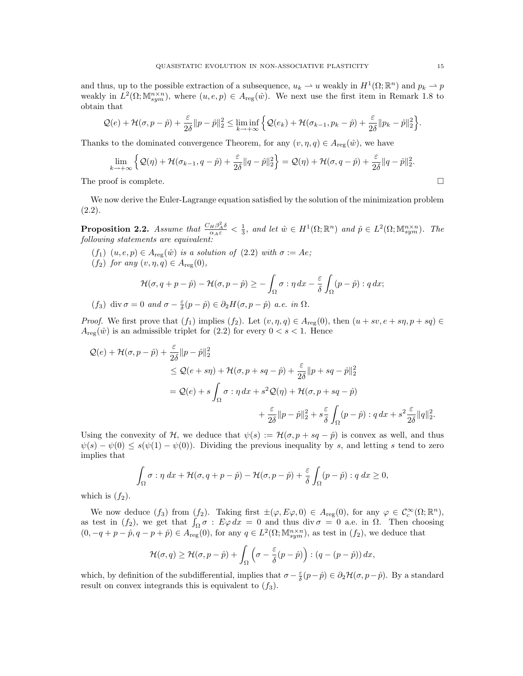and thus, up to the possible extraction of a subsequence,  $u_k \to u$  weakly in  $H^1(\Omega; \mathbb{R}^n)$  and  $p_k \to p$ weakly in  $L^2(\Omega; \mathbb{M}^{n \times n}_{sym})$ , where  $(u, e, p) \in A_{reg}(\hat{w})$ . We next use the first item in Remark 1.8 to obtain that

$$
\mathcal{Q}(e) + \mathcal{H}(\sigma, p - \hat{p}) + \frac{\varepsilon}{2\delta} \|p - \hat{p}\|_2^2 \leq \liminf_{k \to +\infty} \left\{ \mathcal{Q}(e_k) + \mathcal{H}(\sigma_{k-1}, p_k - \hat{p}) + \frac{\varepsilon}{2\delta} \|p_k - \hat{p}\|_2^2 \right\}.
$$

Thanks to the dominated convergence Theorem, for any  $(v, \eta, q) \in A_{reg}(\hat{w})$ , we have

$$
\lim_{k \to +\infty} \left\{ \mathcal{Q}(\eta) + \mathcal{H}(\sigma_{k-1}, q - \hat{p}) + \frac{\varepsilon}{2\delta} \|q - \hat{p}\|_2^2 \right\} = \mathcal{Q}(\eta) + \mathcal{H}(\sigma, q - \hat{p}) + \frac{\varepsilon}{2\delta} \|q - \hat{p}\|_2^2.
$$

The proof is complete.  $\Box$ 

We now derive the Euler-Lagrange equation satisfied by the solution of the minimization problem (2.2).

**Proposition 2.2.** Assume that  $\frac{C_H \beta_A^2 \delta}{\alpha_A \varepsilon} < \frac{1}{3}$ , and let  $\hat{w} \in H^1(\Omega; \mathbb{R}^n)$  and  $\hat{p} \in L^2(\Omega; \mathbb{M}^{n \times n}_{sym})$ . The following statements are equivalent:

- $(f_1)$   $(u, e, p) \in A_{reg}(\hat{w})$  is a solution of  $(2.2)$  with  $\sigma := Ae$ ;
- $(f_2)$  for any  $(v, \eta, q) \in A_{reg}(0)$ ,

$$
\mathcal{H}(\sigma, q+p-\hat{p})-\mathcal{H}(\sigma, p-\hat{p})\geq -\int_{\Omega}\sigma:\eta\,dx-\frac{\varepsilon}{\delta}\int_{\Omega}(p-\hat{p}):q\,dx;
$$

$$
(f_3) \operatorname{div} \sigma = 0 \text{ and } \sigma - \frac{\varepsilon}{\delta}(p - \hat{p}) \in \partial_2 H(\sigma, p - \hat{p}) \text{ a.e. in } \Omega.
$$

*Proof.* We first prove that  $(f_1)$  implies  $(f_2)$ . Let  $(v, \eta, q) \in A_{reg}(0)$ , then  $(u + sv, e + s\eta, p + sq) \in A_{reg}(0)$  $A_{\text{reg}}(\hat{w})$  is an admissible triplet for (2.2) for every  $0 < s < 1$ . Hence

$$
\begin{split} \mathcal{Q}(e) + \mathcal{H}(\sigma, p - \hat{p}) + \frac{\varepsilon}{2\delta} \|p - \hat{p}\|_{2}^{2} \\ &\leq \mathcal{Q}(e + s\eta) + \mathcal{H}(\sigma, p + s q - \hat{p}) + \frac{\varepsilon}{2\delta} \|p + s q - \hat{p}\|_{2}^{2} \\ &= \mathcal{Q}(e) + s \int_{\Omega} \sigma : \eta \, dx + s^{2} \mathcal{Q}(\eta) + \mathcal{H}(\sigma, p + s q - \hat{p}) \\ &\quad + \frac{\varepsilon}{2\delta} \|p - \hat{p}\|_{2}^{2} + s \frac{\varepsilon}{\delta} \int_{\Omega} (p - \hat{p}) : q \, dx + s^{2} \frac{\varepsilon}{2\delta} \|q\|_{2}^{2} . \end{split}
$$

Using the convexity of H, we deduce that  $\psi(s) := \mathcal{H}(\sigma, p + sq - \hat{p})$  is convex as well, and thus  $\psi(s) - \psi(0) \leq s(\psi(1) - \psi(0))$ . Dividing the previous inequality by s, and letting s tend to zero implies that

$$
\int_{\Omega} \sigma : \eta \, dx + \mathcal{H}(\sigma, q + p - \hat{p}) - \mathcal{H}(\sigma, p - \hat{p}) + \frac{\varepsilon}{\delta} \int_{\Omega} (p - \hat{p}) : q \, dx \ge 0,
$$

which is  $(f_2)$ .

We now deduce  $(f_3)$  from  $(f_2)$ . Taking first  $\pm(\varphi, E\varphi, 0) \in A_{reg}(0)$ , for any  $\varphi \in C_c^{\infty}(\Omega; \mathbb{R}^n)$ , as test in  $(f_2)$ , we get that  $\int_{\Omega} \sigma : E \varphi dx = 0$  and thus div  $\sigma = 0$  a.e. in  $\Omega$ . Then choosing  $(0, -q+p-\hat{p}, q-p+\hat{p}) \in A_{reg}^{\text{reg}}(0)$ , for any  $q \in L^2(\Omega; \mathbb{M}^{n \times n}_{sym})$ , as test in  $(f_2)$ , we deduce that

$$
\mathcal{H}(\sigma, q) \ge \mathcal{H}(\sigma, p - \hat{p}) + \int_{\Omega} \left( \sigma - \frac{\varepsilon}{\delta} (p - \hat{p}) \right) : (q - (p - \hat{p})) dx,
$$

which, by definition of the subdifferential, implies that  $\sigma - \frac{\varepsilon}{\delta}(p - \hat{p}) \in \partial_2 \mathcal{H}(\sigma, p - \hat{p})$ . By a standard result on convex integrands this is equivalent to  $(f_3)$ .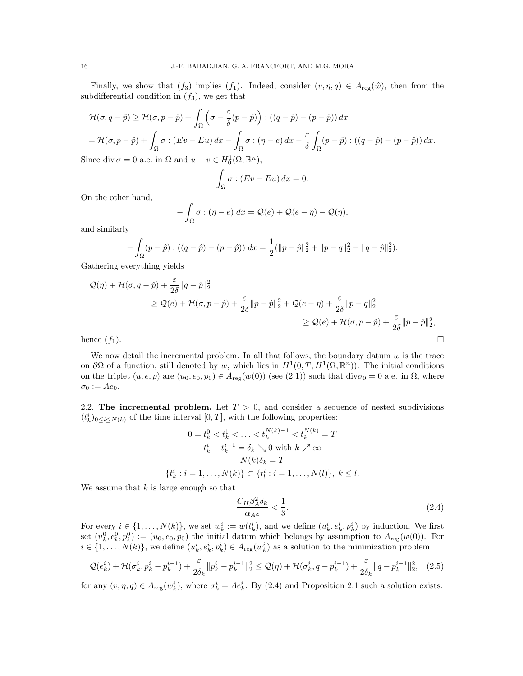Finally, we show that  $(f_3)$  implies  $(f_1)$ . Indeed, consider  $(v, \eta, q) \in A_{reg}(\hat{w})$ , then from the subdifferential condition in  $(f_3)$ , we get that

$$
\mathcal{H}(\sigma, q - \hat{p}) \ge \mathcal{H}(\sigma, p - \hat{p}) + \int_{\Omega} \left( \sigma - \frac{\varepsilon}{\delta} (p - \hat{p}) \right) : ((q - \hat{p}) - (p - \hat{p})) dx
$$
  
=  $\mathcal{H}(\sigma, p - \hat{p}) + \int_{\Omega} \sigma : (Ev - Eu) dx - \int_{\Omega} \sigma : (\eta - e) dx - \frac{\varepsilon}{\delta} \int_{\Omega} (p - \hat{p}) : ((q - \hat{p}) - (p - \hat{p})) dx.$ 

Since div  $\sigma = 0$  a.e. in  $\Omega$  and  $u - v \in H_0^1(\Omega; \mathbb{R}^n)$ ,

$$
\int_{\Omega} \sigma : (Ev - Eu) \, dx = 0.
$$

On the other hand,

$$
-\int_{\Omega} \sigma : (\eta - e) dx = \mathcal{Q}(e) + \mathcal{Q}(e - \eta) - \mathcal{Q}(\eta),
$$

and similarly

$$
-\int_{\Omega} (p - \hat{p}) \cdot ((q - \hat{p}) - (p - \hat{p})) dx = \frac{1}{2} (\Vert p - \hat{p} \Vert_2^2 + \Vert p - q \Vert_2^2 - \Vert q - \hat{p} \Vert_2^2).
$$

Gathering everything yields

$$
Q(\eta) + \mathcal{H}(\sigma, q - \hat{p}) + \frac{\varepsilon}{2\delta} \|q - \hat{p}\|_{2}^{2}
$$
  
\n
$$
\geq Q(e) + \mathcal{H}(\sigma, p - \hat{p}) + \frac{\varepsilon}{2\delta} \|p - \hat{p}\|_{2}^{2} + Q(e - \eta) + \frac{\varepsilon}{2\delta} \|p - q\|_{2}^{2}
$$
  
\n
$$
\geq Q(e) + \mathcal{H}(\sigma, p - \hat{p}) + \frac{\varepsilon}{2\delta} \|p - \hat{p}\|_{2}^{2},
$$
  
\nhence  $(f_{1})$ .

We now detail the incremental problem. In all that follows, the boundary datum  $w$  is the trace on  $\partial\Omega$  of a function, still denoted by w, which lies in  $H^1(0,T;H^1(\Omega;\mathbb{R}^n))$ . The initial conditions on the triplet  $(u, e, p)$  are  $(u_0, e_0, p_0) \in A_{reg}(w(0))$  (see (2.1)) such that  $div \sigma_0 = 0$  a.e. in  $\Omega$ , where  $\sigma_0 := Ae_0.$ 

2.2. The incremental problem. Let  $T > 0$ , and consider a sequence of nested subdivisions  $(t_k^i)_{0 \leq i \leq N(k)}$  of the time interval  $[0, T]$ , with the following properties:

$$
0 = t_k^0 < t_k^1 < \ldots < t_k^{N(k)-1} < t_k^{N(k)} = T
$$
\n
$$
t_k^i - t_k^{i-1} = \delta_k \searrow 0 \text{ with } k \nearrow \infty
$$
\n
$$
N(k)\delta_k = T
$$
\n
$$
\{t_k^i : i = 1, \ldots, N(k)\} \subset \{t_l^i : i = 1, \ldots, N(l)\}, \ k \le l.
$$

We assume that  $k$  is large enough so that

$$
\frac{C_H \beta_A^2 \delta_k}{\alpha_A \varepsilon} < \frac{1}{3}.\tag{2.4}
$$

For every  $i \in \{1, ..., N(k)\}$ , we set  $w_k^i := w(t_k^i)$ , and we define  $(u_k^i, e_k^i, p_k^i)$  by induction. We first set  $(u_k^0, e_k^0, p_k^0) := (u_0, e_0, p_0)$  the initial datum which belongs by assumption to  $A_{reg}(w(0))$ . For  $i \in \{1, \ldots, N(k)\},$  we define  $(u_k^i, e_k^i, p_k^i) \in A_{\text{reg}}(w_k^i)$  as a solution to the minimization problem

$$
\mathcal{Q}(e_k^i) + \mathcal{H}(\sigma_k^i, p_k^i - p_k^{i-1}) + \frac{\varepsilon}{2\delta_k} \|p_k^i - p_k^{i-1}\|_2^2 \le \mathcal{Q}(\eta) + \mathcal{H}(\sigma_k^i, q - p_k^{i-1}) + \frac{\varepsilon}{2\delta_k} \|q - p_k^{i-1}\|_2^2, \tag{2.5}
$$

for any  $(v, \eta, q) \in A_{\text{reg}}(w_k^i)$ , where  $\sigma_k^i = Ae_k^i$ . By (2.4) and Proposition 2.1 such a solution exists.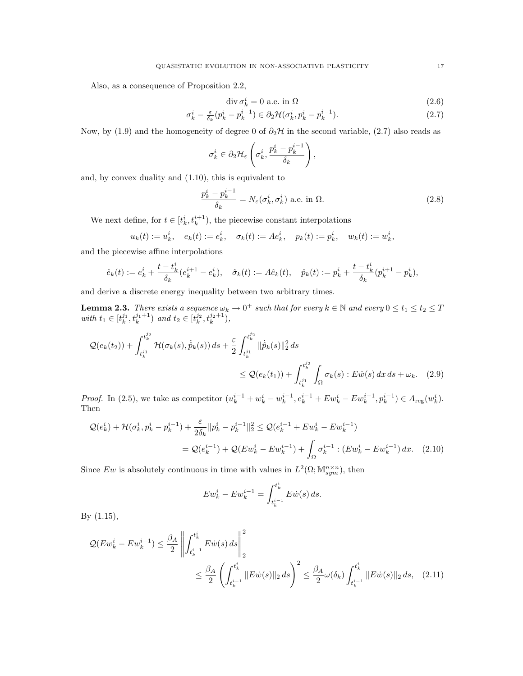Also, as a consequence of Proposition 2.2,

$$
\operatorname{div} \sigma_k^i = 0 \text{ a.e. in } \Omega \tag{2.6}
$$

$$
\sigma_k^i - \frac{\varepsilon}{\delta_k} (p_k^i - p_k^{i-1}) \in \partial_2 \mathcal{H}(\sigma_k^i, p_k^i - p_k^{i-1}). \tag{2.7}
$$

Now, by (1.9) and the homogeneity of degree 0 of  $\partial_2\mathcal{H}$  in the second variable, (2.7) also reads as

$$
\sigma_k^i \in \partial_2 \mathcal{H}_{\varepsilon} \left( \sigma_k^i, \frac{p_k^i - p_k^{i-1}}{\delta_k} \right),\,
$$

and, by convex duality and (1.10), this is equivalent to

$$
\frac{p_k^i - p_k^{i-1}}{\delta_k} = N_{\varepsilon}(\sigma_k^i, \sigma_k^i) \text{ a.e. in } \Omega.
$$
 (2.8)

We next define, for  $t \in [t_k^i, t_k^{i+1})$ , the piecewise constant interpolations

$$
u_k(t) := u_k^i, \quad e_k(t) := e_k^i, \quad \sigma_k(t) := A e_k^i, \quad p_k(t) := p_k^i, \quad w_k(t) := w_k^i,
$$

and the piecewise affine interpolations

$$
\hat{e}_k(t) := e_k^i + \frac{t - t_k^i}{\delta_k}(e_k^{i+1} - e_k^i), \quad \hat{\sigma}_k(t) := A\hat{e}_k(t), \quad \hat{p}_k(t) := p_k^i + \frac{t - t_k^i}{\delta_k}(p_k^{i+1} - p_k^i),
$$

and derive a discrete energy inequality between two arbitrary times.

**Lemma 2.3.** There exists a sequence  $\omega_k \to 0^+$  such that for every  $k \in \mathbb{N}$  and every  $0 \le t_1 \le t_2 \le T$ with  $t_1 \in [t_k^{j_1}, t_k^{j_1+1})$  and  $t_2 \in [t_k^{j_2}, t_k^{j_2+1}),$ 

$$
\mathcal{Q}(e_k(t_2)) + \int_{t_k^{j_1}}^{t_k^{j_2}} \mathcal{H}(\sigma_k(s), \dot{\hat{p}}_k(s)) ds + \frac{\varepsilon}{2} \int_{t_k^{j_1}}^{t_k^{j_2}} ||\dot{\hat{p}}_k(s)||_2^2 ds
$$
  

$$
\leq \mathcal{Q}(e_k(t_1)) + \int_{t_k^{j_1}}^{t_k^{j_2}} \int_{\Omega} \sigma_k(s) : E \dot{w}(s) dx ds + \omega_k. \quad (2.9)
$$

*Proof.* In (2.5), we take as competitor  $(u_k^{i-1} + w_k^i - w_k^{i-1}, e_k^{i-1} + E w_k^i - E w_k^{i-1}, p_k^{i-1}) \in A_{reg}(w_k^i)$ . Then

$$
\mathcal{Q}(e_k^i) + \mathcal{H}(\sigma_k^i, p_k^i - p_k^{i-1}) + \frac{\varepsilon}{2\delta_k} ||p_k^i - p_k^{i-1}||_2^2 \le \mathcal{Q}(e_k^{i-1} + Ew_k^i - Ew_k^{i-1})
$$
  
=  $\mathcal{Q}(e_k^{i-1}) + \mathcal{Q}(Ew_k^i - Ew_k^{i-1}) + \int_{\Omega} \sigma_k^{i-1} : (Ew_k^i - Ew_k^{i-1}) dx.$  (2.10)

Since Ew is absolutely continuous in time with values in  $L^2(\Omega; \mathbb{M}^{n \times n}_{sym})$ , then

$$
Ew_k^i - Ew_k^{i-1} = \int_{t_k^{i-1}}^{t_k^i} E\dot{w}(s) ds.
$$

By (1.15),

$$
\mathcal{Q}(Ew_k^i - Ew_k^{i-1}) \le \frac{\beta_A}{2} \left\| \int_{t_k^{i-1}}^{t_k^i} E\dot{w}(s) ds \right\|_2^2
$$
  

$$
\le \frac{\beta_A}{2} \left( \int_{t_k^{i-1}}^{t_k^i} \|E\dot{w}(s)\|_2 ds \right)^2 \le \frac{\beta_A}{2} \omega(\delta_k) \int_{t_k^{i-1}}^{t_k^i} \|E\dot{w}(s)\|_2 ds, \quad (2.11)
$$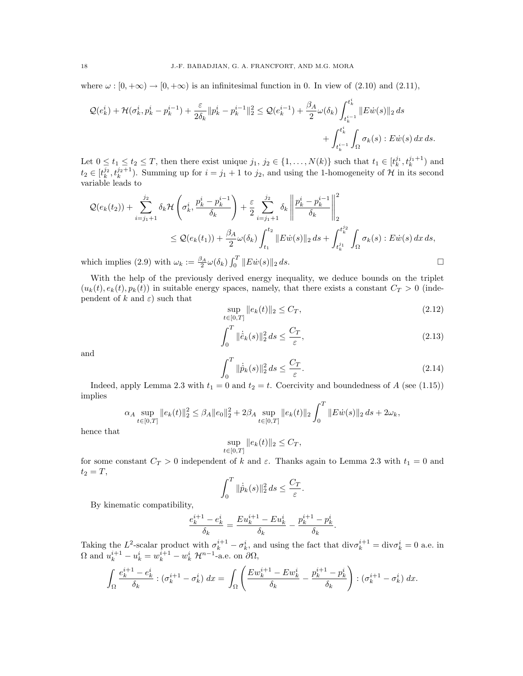where  $\omega : [0, +\infty) \to [0, +\infty)$  is an infinitesimal function in 0. In view of (2.10) and (2.11),

$$
\mathcal{Q}(e_k^i) + \mathcal{H}(\sigma_k^i, p_k^i - p_k^{i-1}) + \frac{\varepsilon}{2\delta_k} \|p_k^i - p_k^{i-1}\|_2^2 \leq \mathcal{Q}(e_k^{i-1}) + \frac{\beta_A}{2}\omega(\delta_k) \int_{t_k^{i-1}}^{t_k^i} \|E\dot{w}(s)\|_2 ds + \int_{t_k^{i-1}}^{t_k^i} \int_{\Omega} \sigma_k(s) : E\dot{w}(s) \, dx \, ds.
$$

Let  $0 \leq t_1 \leq t_2 \leq T$ , then there exist unique  $j_1, j_2 \in \{1, \ldots, N(k)\}\$  such that  $t_1 \in [t_k^{j_1}, t_k^{j_1+1})$  and  $t_2 \in [t_k^{j_2}, t_k^{j_2+1})$ . Summing up for  $i = j_1 + 1$  to  $j_2$ , and using the 1-homogeneity of H in its second variable leads to

$$
\mathcal{Q}(e_k(t_2)) + \sum_{i=j_1+1}^{j_2} \delta_k \mathcal{H}\left(\sigma_k^i, \frac{p_k^i - p_k^{i-1}}{\delta_k}\right) + \frac{\varepsilon}{2} \sum_{i=j_1+1}^{j_2} \delta_k \left\| \frac{p_k^i - p_k^{i-1}}{\delta_k} \right\|_2^2
$$
  

$$
\leq \mathcal{Q}(e_k(t_1)) + \frac{\beta_A}{2} \omega(\delta_k) \int_{t_1}^{t_2} \|E \dot{w}(s)\|_2 ds + \int_{t_k^{j_1}}^{t_k^{j_2}} \int_{\Omega} \sigma_k(s) : E \dot{w}(s) \, dx \, ds,
$$

which implies (2.9) with  $\omega_k := \frac{\beta_A}{2} \omega(\delta_k) \int_0^T ||E \dot{w}(s)||_2 ds.$ 

With the help of the previously derived energy inequality, we deduce bounds on the triplet  $(u_k(t), e_k(t), p_k(t))$  in suitable energy spaces, namely, that there exists a constant  $C_T > 0$  (independent of k and  $\varepsilon$ ) such that

$$
\sup_{t \in [0,T]} \|e_k(t)\|_2 \le C_T,\tag{2.12}
$$

$$
\int_{0}^{T} \|\dot{\hat{e}}_{k}(s)\|_{2}^{2} ds \le \frac{C_{T}}{\varepsilon},
$$
\n(2.13)

and

$$
\int_0^T \|\dot{\hat{p}}_k(s)\|_2^2 ds \le \frac{C_T}{\varepsilon}.\tag{2.14}
$$

Indeed, apply Lemma 2.3 with  $t_1 = 0$  and  $t_2 = t$ . Coercivity and boundedness of A (see (1.15)) implies

$$
\alpha_A \sup_{t \in [0,T]} \|e_k(t)\|_2^2 \le \beta_A \|e_0\|_2^2 + 2\beta_A \sup_{t \in [0,T]} \|e_k(t)\|_2 \int_0^T \|E\dot{w}(s)\|_2 ds + 2\omega_k,
$$

hence that

$$
\sup_{t\in[0,T]}\|e_k(t)\|_2\leq C_T,
$$

for some constant  $C_T > 0$  independent of k and  $\varepsilon$ . Thanks again to Lemma 2.3 with  $t_1 = 0$  and  $t_2 = T$ ,

$$
\int_0^T \|\dot{\hat{p}}_k(s)\|_2^2 ds \le \frac{C_T}{\varepsilon}.
$$

By kinematic compatibility,

$$
\frac{e_k^{i+1}-e_k^i}{\delta_k}=\frac{E u_k^{i+1}-E u_k^i}{\delta_k}-\frac{p_k^{i+1}-p_k^i}{\delta_k}.
$$

Taking the L<sup>2</sup>-scalar product with  $\sigma_k^{i+1} - \sigma_k^i$ , and using the fact that  $\text{div}\sigma_k^{i+1} = \text{div}\sigma_k^i = 0$  a.e. in  $\Omega$  and  $u_k^{i+1} - u_k^i = w_k^{i+1} - w_k^i \mathcal{H}^{n-1}$ -a.e. on  $\partial \Omega$ ,

$$
\int_{\Omega} \frac{e_k^{i+1} - e_k^i}{\delta_k} : (\sigma_k^{i+1} - \sigma_k^i) dx = \int_{\Omega} \left( \frac{E w_k^{i+1} - E w_k^i}{\delta_k} - \frac{p_k^{i+1} - p_k^i}{\delta_k} \right) : (\sigma_k^{i+1} - \sigma_k^i) dx.
$$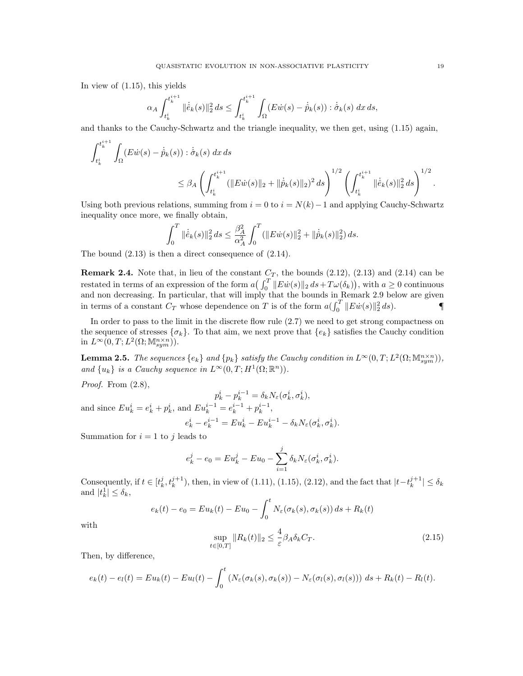In view of (1.15), this yields

i<br>11

$$
\alpha_A \int_{t_k^i}^{t_k^{i+1}} \| \dot{\hat{e}}_k(s) \|_2^2 ds \le \int_{t_k^i}^{t_k^{i+1}} \int_{\Omega} (E \dot{w}(s) - \dot{\hat{p}}_k(s)) : \dot{\hat{\sigma}}_k(s) dx ds,
$$

and thanks to the Cauchy-Schwartz and the triangle inequality, we then get, using (1.15) again,

$$
\int_{t_k^i}^{t_k^{i+1}} \int_{\Omega} (E \dot{w}(s) - \dot{\hat{p}}_k(s)) : \dot{\hat{\sigma}}_k(s) \, dx \, ds
$$
\n
$$
\leq \beta_A \left( \int_{t_k^i}^{t_k^{i+1}} (\|E \dot{w}(s)\|_2 + \|\dot{\hat{p}}_k(s)\|_2)^2 \, ds \right)^{1/2} \left( \int_{t_k^i}^{t_k^{i+1}} \|\dot{\hat{e}}_k(s)\|_2^2 \, ds \right)^{1/2}.
$$

Using both previous relations, summing from  $i = 0$  to  $i = N(k) - 1$  and applying Cauchy-Schwartz inequality once more, we finally obtain,

$$
\int_0^T \|\dot{\hat{e}}_k(s)\|_2^2 ds \le \frac{\beta_A^2}{\alpha_A^2} \int_0^T (\|E\dot{w}(s)\|_2^2 + \|\dot{\hat{p}}_k(s)\|_2^2) ds.
$$

The bound (2.13) is then a direct consequence of (2.14).

**Remark 2.4.** Note that, in lieu of the constant  $C_T$ , the bounds (2.12), (2.13) and (2.14) can be restated in terms of an expression of the form  $a\left(\int_0^T \|E\dot{w}(s)\|_2 ds + T\omega(\delta_k)\right)$ , with  $a \geq 0$  continuous and non decreasing. In particular, that will imply that the bounds in Remark 2.9 below are given in terms of a constant  $C_T$  whose dependence on T is of the form  $a(\int_0^T \|E\dot{w}(s)\|_2^2 ds)$ .

In order to pass to the limit in the discrete flow rule (2.7) we need to get strong compactness on the sequence of stresses  $\{\sigma_k\}$ . To that aim, we next prove that  $\{\epsilon_k\}$  satisfies the Cauchy condition in  $L^{\infty}(0,T;L^2(\Omega; \mathbb{M}^{n \times n}_{sym})).$ 

**Lemma 2.5.** The sequences  $\{e_k\}$  and  $\{p_k\}$  satisfy the Cauchy condition in  $L^{\infty}(0,T; L^2(\Omega; \mathbb{M}^{n \times n}_{sym}))$ , and  $\{u_k\}$  is a Cauchy sequence in  $L^{\infty}(0,T;H^1(\Omega;\mathbb{R}^n)).$ 

Proof. From  $(2.8)$ ,

and since 
$$
Eu_k^i = e_k^i + p_k^i
$$
, and  $Eu_k^{i-1} = e_k^{i-1} + p_k^{i-1}$ ,  
\n
$$
e_k^i - e_k^{i-1} = e_k^{i-1} + p_k^{i-1},
$$
\n
$$
e_k^i - e_k^{i-1} = Eu_k^i - Eu_k^{i-1} - \delta_k N_{\varepsilon}(\sigma_k^i, \sigma_k^i).
$$

Summation for  $i = 1$  to j leads to

$$
e_k^j - e_0 = Eu_k^j - Eu_0 - \sum_{i=1}^j \delta_k N_{\varepsilon}(\sigma_k^i, \sigma_k^i).
$$

Consequently, if  $t \in [t_k^j, t_k^{j+1})$ , then, in view of (1.11), (1.15), (2.12), and the fact that  $|t-t_k^{j+1}| \leq \delta_k$ and  $|t_k^1| \leq \delta_k$ ,

$$
e_k(t) - e_0 = Eu_k(t) - Eu_0 - \int_0^t N_{\varepsilon}(\sigma_k(s), \sigma_k(s)) ds + R_k(t)
$$
  

$$
\sup \|R_k(t)\|_{2} \leq \frac{4}{\varepsilon} \beta_A \delta_k C_T.
$$
 (2.15)

with

$$
\sup_{t \in [0,T]} \|R_k(t)\|_2 \le \frac{4}{\varepsilon} \beta_A \delta_k C_T. \tag{2.15}
$$

Then, by difference,

$$
e_k(t) - e_l(t) = Eu_k(t) - Eu_l(t) - \int_0^t \left( N_{\varepsilon}(\sigma_k(s), \sigma_k(s)) - N_{\varepsilon}(\sigma_l(s), \sigma_l(s)) \right) ds + R_k(t) - R_l(t).
$$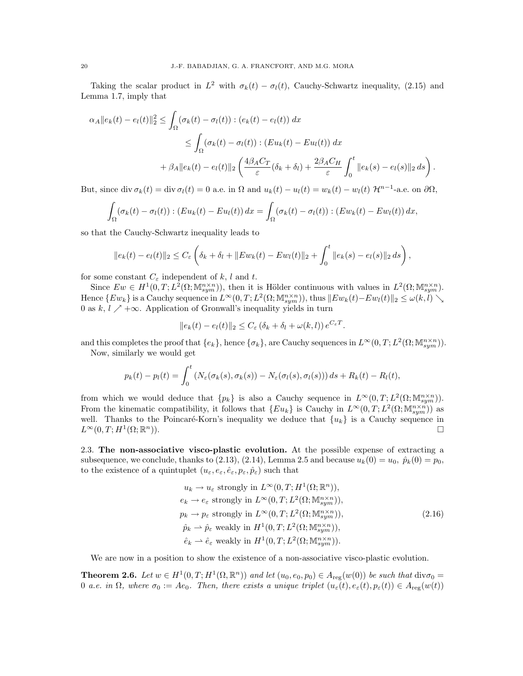Taking the scalar product in  $L^2$  with  $\sigma_k(t) - \sigma_l(t)$ , Cauchy-Schwartz inequality, (2.15) and Lemma 1.7, imply that

$$
\alpha_A ||e_k(t) - e_l(t)||_2^2 \le \int_{\Omega} (\sigma_k(t) - \sigma_l(t)) : (e_k(t) - e_l(t)) dx
$$
  
\n
$$
\le \int_{\Omega} (\sigma_k(t) - \sigma_l(t)) : (Eu_k(t) - Eu_l(t)) dx
$$
  
\n
$$
+ \beta_A ||e_k(t) - e_l(t)||_2 \left( \frac{4\beta_A C_T}{\varepsilon} (\delta_k + \delta_l) + \frac{2\beta_A C_H}{\varepsilon} \int_0^t ||e_k(s) - e_l(s)||_2 ds \right).
$$

But, since div  $\sigma_k(t) = \text{div} \,\sigma_l(t) = 0$  a.e. in  $\Omega$  and  $u_k(t) - u_l(t) = w_k(t) - w_l(t) \mathcal{H}^{n-1}$ -a.e. on  $\partial\Omega$ ,

$$
\int_{\Omega} (\sigma_k(t) - \sigma_l(t)) : (Eu_k(t) - Eu_l(t)) dx = \int_{\Omega} (\sigma_k(t) - \sigma_l(t)) : (Ew_k(t) - Ew_l(t)) dx,
$$

so that the Cauchy-Schwartz inequality leads to

$$
||e_k(t) - e_l(t)||_2 \leq C_{\varepsilon} \left( \delta_k + \delta_l + ||E w_k(t) - E w_l(t)||_2 + \int_0^t ||e_k(s) - e_l(s)||_2 ds \right),
$$

for some constant  $C_{\varepsilon}$  independent of k, l and t.

Since  $Ew \in H^1(0,T; L^2(\Omega; \mathbb{M}^{n \times n}_{sym}))$ , then it is Hölder continuous with values in  $L^2(\Omega; \mathbb{M}^{n \times n}_{sym})$ . Hence  $\{E w_k\}$  is a Cauchy sequence in  $L^{\infty}(0,T; L^2(\Omega; \mathbb{M}^{n \times n}_{sym}))$ , thus  $\|E w_k(t) - E w_l(t)\|_2 \leq \omega(k, l) \searrow$ 0 as  $k, l \nearrow +\infty$ . Application of Gronwall's inequality yields in turn

$$
||e_k(t) - e_l(t)||_2 \leq C_{\varepsilon} (\delta_k + \delta_l + \omega(k, l)) e^{C_{\varepsilon}T}.
$$

and this completes the proof that  $\{e_k\}$ , hence  $\{\sigma_k\}$ , are Cauchy sequences in  $L^{\infty}(0,T; L^2(\Omega; \mathbb{M}^{n \times n}_{sym}))$ .

Now, similarly we would get

$$
p_k(t) - p_l(t) = \int_0^t \left( N_\varepsilon(\sigma_k(s), \sigma_k(s)) - N_\varepsilon(\sigma_l(s), \sigma_l(s)) \right) ds + R_k(t) - R_l(t),
$$

from which we would deduce that  $\{p_k\}$  is also a Cauchy sequence in  $L^{\infty}(0,T; L^2(\Omega; \mathbb{M}^{n \times n}_{sym}))$ . From the kinematic compatibility, it follows that  $\{Eu_k\}$  is Cauchy in  $L^{\infty}(0,T;L^2(\Omega;\mathbb{M}^{n\times n}_{sym}))$  as well. Thanks to the Poincaré-Korn's inequality we deduce that  $\{u_k\}$  is a Cauchy sequence in  $L^{\infty}(0,T;H^1(\Omega;\mathbb{R}$  $\Box$ 

2.3. The non-associative visco-plastic evolution. At the possible expense of extracting a subsequence, we conclude, thanks to  $(2.13)$ ,  $(2.14)$ , Lemma 2.5 and because  $u_k(0) = u_0$ ,  $\hat{p}_k(0) = p_0$ , to the existence of a quintuplet  $(u_{\varepsilon}, e_{\varepsilon}, \hat{e}_{\varepsilon}, p_{\varepsilon}, \hat{p}_{\varepsilon})$  such that

$$
u_k \to u_{\varepsilon} \text{ strongly in } L^{\infty}(0, T; H^1(\Omega; \mathbb{R}^n)),
$$
  
\n
$$
e_k \to e_{\varepsilon} \text{ strongly in } L^{\infty}(0, T; L^2(\Omega; \mathbb{M}^{n \times n}_{sym})),
$$
  
\n
$$
p_k \to p_{\varepsilon} \text{ strongly in } L^{\infty}(0, T; L^2(\Omega; \mathbb{M}^{n \times n}_{sym})),
$$
  
\n
$$
\hat{p}_k \to \hat{p}_{\varepsilon} \text{ weakly in } H^1(0, T; L^2(\Omega; \mathbb{M}^{n \times n}_{sym})),
$$
  
\n
$$
\hat{e}_k \to \hat{e}_{\varepsilon} \text{ weakly in } H^1(0, T; L^2(\Omega; \mathbb{M}^{n \times n}_{sym})).
$$
\n(2.16)

We are now in a position to show the existence of a non-associative visco-plastic evolution.

**Theorem 2.6.** Let  $w \in H^1(0,T; H^1(\Omega,\mathbb{R}^n))$  and let  $(u_0, e_0, p_0) \in A_{reg}(w(0))$  be such that  $div \sigma_0 =$ 0 a.e. in  $\Omega$ , where  $\sigma_0 := Ae_0$ . Then, there exists a unique triplet  $(u_\varepsilon(t), e_\varepsilon(t), p_\varepsilon(t)) \in A_{reg}(w(t))$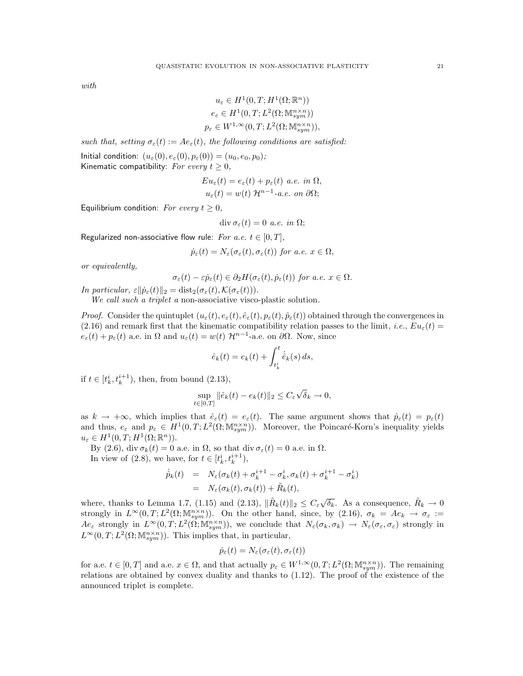with

$$
u_{\varepsilon} \in H^1(0, T; H^1(\Omega; \mathbb{R}^n))
$$
  
\n
$$
e_{\varepsilon} \in H^1(0, T; L^2(\Omega; \mathbb{M}^{n \times n}_{sym}))
$$
  
\n
$$
p_{\varepsilon} \in W^{1, \infty}(0, T; L^2(\Omega; \mathbb{M}^{n \times n}_{sym})),
$$

such that, setting  $\sigma_{\varepsilon}(t) := Ae_{\varepsilon}(t)$ , the following conditions are satisfied:

Initial condition:  $(u_\varepsilon(0), e_\varepsilon(0), p_\varepsilon(0)) = (u_0, e_0, p_0);$ Kinematic compatibility: For every  $t > 0$ ,

$$
Eu_{\varepsilon}(t) = e_{\varepsilon}(t) + p_{\varepsilon}(t) \ a.e. \ in \ \Omega,
$$
  

$$
u_{\varepsilon}(t) = w(t) \ \mathcal{H}^{n-1} \text{-}a.e. \ on \ \partial\Omega;
$$

Equilibrium condition: For every  $t \geq 0$ ,

$$
\operatorname{div} \sigma_{\varepsilon}(t) = 0 \ a.e. \ in \ \Omega;
$$

Regularized non-associative flow rule: For a.e.  $t \in [0, T]$ ,

$$
\dot{p}_{\varepsilon}(t) = N_{\varepsilon}(\sigma_{\varepsilon}(t), \sigma_{\varepsilon}(t))
$$
 for a.e.  $x \in \Omega$ ,

or equivalently,

$$
\sigma_{\varepsilon}(t) - \varepsilon \dot{p}_{\varepsilon}(t) \in \partial_2 H(\sigma_{\varepsilon}(t), \dot{p}_{\varepsilon}(t)) \text{ for a.e. } x \in \Omega.
$$

In particular,  $\varepsilon \|\dot{p}_{\varepsilon}(t)\|_2 = \text{dist}_2(\sigma_{\varepsilon}(t), \mathcal{K}(\sigma_{\varepsilon}(t))).$ 

We call such a triplet a non-associative visco-plastic solution.

*Proof.* Consider the quintuplet  $(u_{\varepsilon}(t), e_{\varepsilon}(t), \hat{e}_{\varepsilon}(t), p_{\varepsilon}(t), \hat{p}_{\varepsilon}(t))$  obtained through the convergences in (2.16) and remark first that the kinematic compatibility relation passes to the limit, *i.e.*,  $Eu_{\varepsilon}(t)$  =  $e_{\varepsilon}(t) + p_{\varepsilon}(t)$  a.e. in  $\Omega$  and  $u_{\varepsilon}(t) = w(t) \mathcal{H}^{n-1}$ -a.e. on  $\partial \Omega$ . Now, since

$$
\hat{e}_k(t) = e_k(t) + \int_{t_k^i}^t \dot{\hat{e}}_k(s) ds,
$$

if  $t \in [t_k^i, t_k^{i+1}),$  then, from bound  $(2.13)$ ,

$$
\sup_{t \in [0,T]} \|\hat{e}_k(t) - e_k(t)\|_2 \le C_{\varepsilon} \sqrt{\delta}_k \to 0,
$$

as  $k \to +\infty$ , which implies that  $\hat{e}_{\varepsilon}(t) = e_{\varepsilon}(t)$ . The same argument shows that  $\hat{p}_{\varepsilon}(t) = p_{\varepsilon}(t)$ and thus,  $e_{\varepsilon}$  and  $p_{\varepsilon} \in H^1(0,T; L^2(\Omega; \mathbb{M}^{n \times n}_{sym}))$ . Moreover, the Poincaré-Korn's inequality yields  $u_{\varepsilon} \in H^1(0,T;H^1(\Omega;\mathbb{R}^n)).$ 

By (2.6), div  $\sigma_k(t) = 0$  a.e. in  $\Omega$ , so that div  $\sigma_{\varepsilon}(t) = 0$  a.e. in  $\Omega$ . In view of (2.8), we have, for  $t \in [t_k^i, t_k^{i+1}),$ 

$$
\dot{\hat{p}}_k(t) = N_{\varepsilon}(\sigma_k(t) + \sigma_k^{i+1} - \sigma_k^i, \sigma_k(t) + \sigma_k^{i+1} - \sigma_k^i)
$$
  
= 
$$
N_{\varepsilon}(\sigma_k(t), \sigma_k(t)) + \tilde{R}_k(t),
$$

where, thanks to Lemma 1.7, (1.15) and (2.13),  $\|\tilde{R}_k(t)\|_2 \leq C_{\varepsilon} \sqrt{\delta_k}$ . As a consequence,  $\tilde{R}_k \to 0$ strongly in  $L^{\infty}(0,T; L^{2}(\Omega; \mathbb{M}^{n \times n}_{sym}))$ . On the other hand, since, by (2.16),  $\sigma_{k} = Ae_{k} \rightarrow \sigma_{\varepsilon} :=$  $Ae_{\varepsilon}$  strongly in  $L^{\infty}(0,T;L^2(\Omega; \mathbb{M}^{n\times n}_{sym}))$ , we conclude that  $N_{\varepsilon}(\sigma_k,\sigma_k) \to N_{\varepsilon}(\sigma_{\varepsilon},\sigma_{\varepsilon})$  strongly in  $L^{\infty}(0,T; L^{2}(\Omega; \mathbb{M}^{n \times n}_{sym}))$ . This implies that, in particular,

$$
\dot{p}_{\varepsilon}(t) = N_{\varepsilon}(\sigma_{\varepsilon}(t), \sigma_{\varepsilon}(t))
$$

for a.e.  $t \in [0, T]$  and a.e.  $x \in \Omega$ , and that actually  $p_{\varepsilon} \in W^{1,\infty}(0,T; L^2(\Omega; \mathbb{M}^{n \times n}_{sym}))$ . The remaining relations are obtained by convex duality and thanks to (1.12). The proof of the existence of the announced triplet is complete.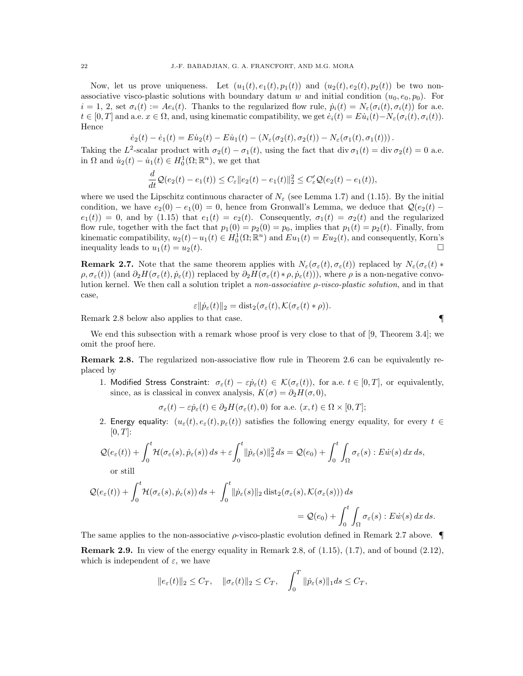Now, let us prove uniqueness. Let  $(u_1(t), e_1(t), p_1(t))$  and  $(u_2(t), e_2(t), p_2(t))$  be two nonassociative visco-plastic solutions with boundary datum w and initial condition  $(u_0, e_0, p_0)$ . For  $i = 1, 2$ , set  $\sigma_i(t) := Ae_i(t)$ . Thanks to the regularized flow rule,  $\dot{p}_i(t) = N_{\varepsilon}(\sigma_i(t), \sigma_i(t))$  for a.e.  $t \in [0, T]$  and a.e.  $x \in \Omega$ , and, using kinematic compatibility, we get  $\dot{e}_i(t) = E\dot{u}_i(t) - N_{\varepsilon}(\sigma_i(t), \sigma_i(t)).$ Hence

$$
\dot{e}_2(t) - \dot{e}_1(t) = E\dot{u}_2(t) - E\dot{u}_1(t) - \left(N_\varepsilon(\sigma_2(t), \sigma_2(t)) - N_\varepsilon(\sigma_1(t), \sigma_1(t))\right).
$$

Taking the L<sup>2</sup>-scalar product with  $\sigma_2(t) - \sigma_1(t)$ , using the fact that div  $\sigma_1(t) = \text{div } \sigma_2(t) = 0$  a.e. in  $\Omega$  and  $\dot{u}_2(t) - \dot{u}_1(t) \in H_0^1(\Omega; \mathbb{R}^n)$ , we get that

$$
\frac{d}{dt}\mathcal{Q}(e_2(t)-e_1(t))\leq C_{\varepsilon}||e_2(t)-e_1(t)||_2^2\leq C'_{\varepsilon}\mathcal{Q}(e_2(t)-e_1(t)),
$$

where we used the Lipschitz continuous character of  $N_{\varepsilon}$  (see Lemma 1.7) and (1.15). By the initial condition, we have  $e_2(0) - e_1(0) = 0$ , hence from Gronwall's Lemma, we deduce that  $\mathcal{Q}(e_2(t)$  $e_1(t) = 0$ , and by (1.15) that  $e_1(t) = e_2(t)$ . Consequently,  $\sigma_1(t) = \sigma_2(t)$  and the regularized flow rule, together with the fact that  $p_1(0) = p_2(0) = p_0$ , implies that  $p_1(t) = p_2(t)$ . Finally, from kinematic compatibility,  $u_2(t) - u_1(t) \in H_0^1(\Omega; \mathbb{R}^n)$  and  $Eu_1(t) = Eu_2(t)$ , and consequently, Korn's inequality leads to  $u_1(t) = u_2(t)$ .

**Remark 2.7.** Note that the same theorem applies with  $N_{\varepsilon}(\sigma_{\varepsilon}(t), \sigma_{\varepsilon}(t))$  replaced by  $N_{\varepsilon}(\sigma_{\varepsilon}(t))$  \*  $\rho, \sigma_{\varepsilon}(t)$  (and  $\partial_2 H(\sigma_{\varepsilon}(t), \dot{p}_{\varepsilon}(t))$ ) replaced by  $\partial_2 H(\sigma_{\varepsilon}(t) * \rho, \dot{p}_{\varepsilon}(t)))$ , where  $\rho$  is a non-negative convolution kernel. We then call a solution triplet a *non-associative*  $\rho$ *-visco-plastic solution*, and in that case,

$$
\varepsilon ||\dot{p}_{\varepsilon}(t)||_2 = \mathrm{dist}_2(\sigma_{\varepsilon}(t), \mathcal{K}(\sigma_{\varepsilon}(t) * \rho)).
$$

Remark 2.8 below also applies to that case.

We end this subsection with a remark whose proof is very close to that of [9, Theorem 3.4]; we omit the proof here.

Remark 2.8. The regularized non-associative flow rule in Theorem 2.6 can be equivalently replaced by

1. Modified Stress Constraint:  $\sigma_{\varepsilon}(t) - \varepsilon \dot{p}_{\varepsilon}(t) \in \mathcal{K}(\sigma_{\varepsilon}(t))$ , for a.e.  $t \in [0, T]$ , or equivalently, since, as is classical in convex analysis,  $K(\sigma) = \partial_2 H(\sigma, 0)$ ,

$$
\sigma_{\varepsilon}(t) - \varepsilon \dot{p}_{\varepsilon}(t) \in \partial_2 H(\sigma_{\varepsilon}(t), 0)
$$
 for a.e.  $(x, t) \in \Omega \times [0, T];$ 

2. Energy equality:  $(u_\varepsilon(t), e_\varepsilon(t), p_\varepsilon(t))$  satisfies the following energy equality, for every  $t \in$  $[0, T]$ :

$$
\mathcal{Q}(e_{\varepsilon}(t)) + \int_0^t \mathcal{H}(\sigma_{\varepsilon}(s), \dot{p}_{\varepsilon}(s)) ds + \varepsilon \int_0^t \|\dot{p}_{\varepsilon}(s)\|_2^2 ds = \mathcal{Q}(e_0) + \int_0^t \int_{\Omega} \sigma_{\varepsilon}(s) : E \dot{w}(s) dx ds,
$$
  
or still

$$
\mathcal{Q}(e_{\varepsilon}(t)) + \int_0^t \mathcal{H}(\sigma_{\varepsilon}(s), \dot{p}_{\varepsilon}(s)) ds + \int_0^t \|\dot{p}_{\varepsilon}(s)\|_2 \operatorname{dist}_2(\sigma_{\varepsilon}(s), \mathcal{K}(\sigma_{\varepsilon}(s))) ds
$$
  
=  $\mathcal{Q}(e_0) + \int_0^t \int_{\Omega} \sigma_{\varepsilon}(s) : E \dot{w}(s) dx ds.$ 

The same applies to the non-associative  $\rho$ -visco-plastic evolution defined in Remark 2.7 above. **Remark 2.9.** In view of the energy equality in Remark 2.8, of  $(1.15)$ ,  $(1.7)$ , and of bound  $(2.12)$ , which is independent of  $\varepsilon$ , we have

$$
||e_{\varepsilon}(t)||_2 \leq C_T, \quad ||\sigma_{\varepsilon}(t)||_2 \leq C_T, \quad \int_0^T ||\dot{p}_{\varepsilon}(s)||_1 ds \leq C_T,
$$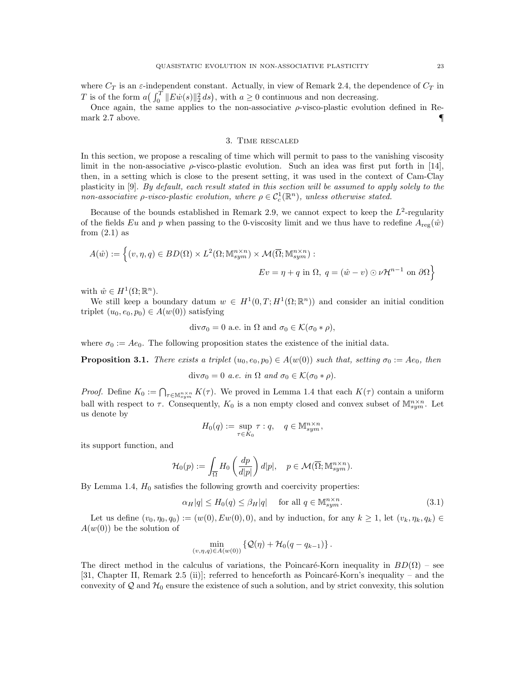where  $C_T$  is an  $\varepsilon$ -independent constant. Actually, in view of Remark 2.4, the dependence of  $C_T$  in T is of the form  $a\left(\int_0^T \|E\dot{w}(s)\|_2^2 ds\right)$ , with  $a \ge 0$  continuous and non decreasing.

Once again, the same applies to the non-associative  $\rho$ -visco-plastic evolution defined in Remark 2.7 above.  $\blacksquare$ 

# 3. Time rescaled

In this section, we propose a rescaling of time which will permit to pass to the vanishing viscosity limit in the non-associative  $\rho$ -visco-plastic evolution. Such an idea was first put forth in [14], then, in a setting which is close to the present setting, it was used in the context of Cam-Clay plasticity in [9]. By default, each result stated in this section will be assumed to apply solely to the non-associative  $\rho$ -visco-plastic evolution, where  $\rho \in C_c^1(\mathbb{R}^n)$ , unless otherwise stated.

Because of the bounds established in Remark 2.9, we cannot expect to keep the  $L^2$ -regularity of the fields Eu and p when passing to the 0-viscosity limit and we thus have to redefine  $A_{\text{reg}}(\hat{w})$ from  $(2.1)$  as

$$
A(\hat{w}) := \left\{ (v, \eta, q) \in BD(\Omega) \times L^{2}(\Omega; \mathbb{M}^{n \times n}_{sym}) \times \mathcal{M}(\overline{\Omega}; \mathbb{M}^{n \times n}_{sym}) : \right\}
$$

$$
Ev = \eta + q \text{ in } \Omega, \ q = (\hat{w} - v) \odot \nu \mathcal{H}^{n-1} \text{ on } \partial\Omega \right\}
$$

with  $\hat{w} \in H^1(\Omega; \mathbb{R}^n)$ .

We still keep a boundary datum  $w \in H^1(0,T;H^1(\Omega;\mathbb{R}^n))$  and consider an initial condition triplet  $(u_0, e_0, p_0) \in A(w(0))$  satisfying

$$
div\sigma_0 = 0
$$
 a.e. in  $\Omega$  and  $\sigma_0 \in \mathcal{K}(\sigma_0 * \rho)$ ,

where  $\sigma_0 := Ae_0$ . The following proposition states the existence of the initial data.

**Proposition 3.1.** There exists a triplet  $(u_0, e_0, p_0) \in A(w(0))$  such that, setting  $\sigma_0 := Ae_0$ , then

div $\sigma_0 = 0$  a.e. in  $\Omega$  and  $\sigma_0 \in \mathcal{K}(\sigma_0 * \rho)$ .

*Proof.* Define  $K_0 := \bigcap_{\tau \in \mathbb{M}_{sym}^{n \times n}} K(\tau)$ . We proved in Lemma 1.4 that each  $K(\tau)$  contain a uniform ball with respect to  $\tau$ . Consequently,  $K_0$  is a non empty closed and convex subset of  $\mathbb{M}^{n\times n}_{sym}$ . Let us denote by

$$
H_0(q) := \sup_{\tau \in K_0} \tau : q, \quad q \in \mathbb{M}^{n \times n}_{sym},
$$

its support function, and

$$
\mathcal{H}_0(p) := \int_{\overline{\Omega}} H_0\left(\frac{dp}{d|p|}\right) d|p|, \quad p \in \mathcal{M}(\overline{\Omega}; \mathbb{M}^{n \times n}_{sym}).
$$

By Lemma 1.4,  $H_0$  satisfies the following growth and coercivity properties:

$$
\alpha_H|q| \le H_0(q) \le \beta_H|q| \quad \text{ for all } q \in \mathbb{M}_{sym}^{n \times n}.\tag{3.1}
$$

Let us define  $(v_0, \eta_0, q_0) := (w(0), Ew(0), 0)$ , and by induction, for any  $k \ge 1$ , let  $(v_k, \eta_k, q_k) \in$  $A(w(0))$  be the solution of

$$
\min_{(v,\eta,q)\in A(w(0))} \left\{ \mathcal{Q}(\eta) + \mathcal{H}_0(q-q_{k-1}) \right\}.
$$

The direct method in the calculus of variations, the Poincaré-Korn inequality in  $BD(\Omega)$  – see [31, Chapter II, Remark 2.5 (ii)]; referred to henceforth as Poincaré-Korn's inequality – and the convexity of  $\mathcal Q$  and  $\mathcal H_0$  ensure the existence of such a solution, and by strict convexity, this solution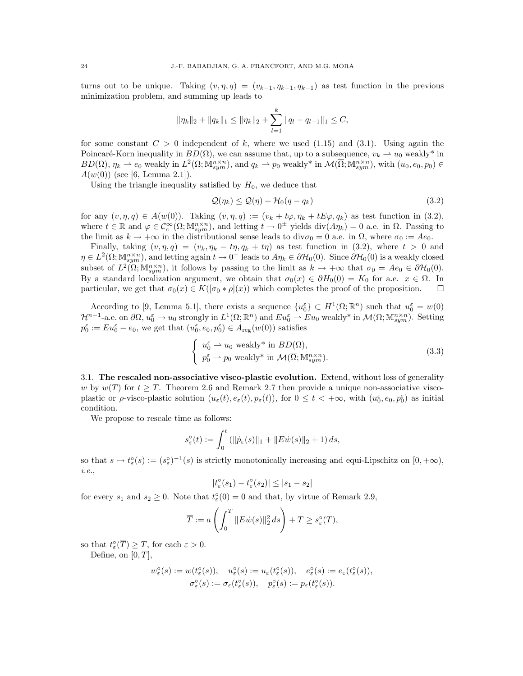turns out to be unique. Taking  $(v, \eta, q) = (v_{k-1}, \eta_{k-1}, q_{k-1})$  as test function in the previous minimization problem, and summing up leads to

$$
\|\eta_k\|_2 + \|q_k\|_1 \le \|\eta_k\|_2 + \sum_{l=1}^k \|q_l - q_{l-1}\|_1 \le C,
$$

for some constant  $C > 0$  independent of k, where we used  $(1.15)$  and  $(3.1)$ . Using again the Poincaré-Korn inequality in  $BD(\Omega)$ , we can assume that, up to a subsequence,  $v_k \rightharpoonup u_0$  weakly\* in  $BD(\Omega)$ ,  $\eta_k \rightharpoonup e_0$  weakly in  $L^2(\Omega; \mathbb{M}^{n \times n}_{sym})$ , and  $q_k \rightharpoonup p_0$  weakly\* in  $\mathcal{M}(\overline{\Omega}; \mathbb{M}^{n \times n}_{sym})$ , with  $(u_0, e_0, p_0) \in$  $A(w(0))$  (see [6, Lemma 2.1]).

Using the triangle inequality satisfied by  $H_0$ , we deduce that

$$
\mathcal{Q}(\eta_k) \le \mathcal{Q}(\eta) + \mathcal{H}_0(q - q_k) \tag{3.2}
$$

for any  $(v, \eta, q) \in A(w(0))$ . Taking  $(v, \eta, q) := (v_k + t\varphi, \eta_k + tE\varphi, q_k)$  as test function in (3.2), where  $t \in \mathbb{R}$  and  $\varphi \in C_c^{\infty}(\Omega; \mathbb{M}^{n \times n}_{sym})$ , and letting  $t \to 0^{\pm}$  yields  $\text{div}(A\eta_k) = 0$  a.e. in  $\Omega$ . Passing to the limit as  $k \to +\infty$  in the distributional sense leads to div $\sigma_0 = 0$  a.e. in  $\Omega$ , where  $\sigma_0 := Ae_0$ .

Finally, taking  $(v, \eta, q) = (v_k, \eta_k - t\eta, q_k + t\eta)$  as test function in (3.2), where  $t > 0$  and  $\eta \in L^2(\Omega; \mathbb{M}^{n \times n}_{sym})$ , and letting again  $t \to 0^+$  leads to  $A\eta_k \in \partial \mathcal{H}_0(0)$ . Since  $\partial \mathcal{H}_0(0)$  is a weakly closed subset of  $L^2(\Omega; \mathbb{M}^{n \times n}_{sym})$ , it follows by passing to the limit as  $k \to +\infty$  that  $\sigma_0 = Ae_0 \in \partial \mathcal{H}_0(0)$ . By a standard localization argument, we obtain that  $\sigma_0(x) \in \partial H_0(0) = K_0$  for a.e.  $x \in \Omega$ . In particular, we get that  $\sigma_0(x) \in K([\sigma_0 * \rho](x))$  which completes the proof of the proposition.  $\square$ 

According to [9, Lemma 5.1], there exists a sequence  $\{u_0^{\varepsilon}\}\subset H^1(\Omega;\mathbb{R}^n)$  such that  $u_0^{\varepsilon} = w(0)$  $\mathcal{H}^{n-1}$ -a.e. on  $\partial\Omega, u_0^{\varepsilon} \to u_0$  strongly in  $L^1(\Omega; \mathbb{R}^n)$  and  $Eu_0^{\varepsilon} \rightharpoonup Eu_0$  weakly\* in  $\mathcal{M}(\overline{\Omega}; \mathbb{M}^{n \times n}_{sym})$ . Setting  $p_0^{\varepsilon} := Eu_0^{\varepsilon} - e_0$ , we get that  $(u_0^{\varepsilon}, e_0, p_0^{\varepsilon}) \in A_{reg}(w(0))$  satisfies

$$
\begin{cases}\n u_0^{\varepsilon} \rightharpoonup u_0 \text{ weakly* in } BD(\Omega), \\
 p_0^{\varepsilon} \rightharpoonup p_0 \text{ weakly* in } \mathcal{M}(\overline{\Omega}; \mathbb{M}_{sym}^{n \times n}).\n\end{cases} \tag{3.3}
$$

3.1. The rescaled non-associative visco-plastic evolution. Extend, without loss of generality w by  $w(T)$  for  $t \geq T$ . Theorem 2.6 and Remark 2.7 then provide a unique non-associative viscoplastic or  $\rho$ -visco-plastic solution  $(u_\varepsilon(t), e_\varepsilon(t), p_\varepsilon(t))$ , for  $0 \le t < +\infty$ , with  $(u_0^\varepsilon, e_0, p_0^\varepsilon)$  as initial condition.

We propose to rescale time as follows:

$$
s_{\varepsilon}^{\circ}(t) := \int_0^t (||\dot{p}_{\varepsilon}(s)||_1 + ||E\dot{w}(s)||_2 + 1) ds,
$$

so that  $s \mapsto t^{\circ}_{\varepsilon}(s) := (s^{\circ}_{\varepsilon})^{-1}(s)$  is strictly monotonically increasing and equi-Lipschitz on  $[0, +\infty)$ , i.e.,

$$
|t_{\varepsilon}^{\circ}(s_1)-t_{\varepsilon}^{\circ}(s_2)|\leq |s_1-s_2|
$$

for every  $s_1$  and  $s_2 \geq 0$ . Note that  $t_{\varepsilon}^{\circ}(0) = 0$  and that, by virtue of Remark 2.9,

$$
\overline{T} := a \left( \int_0^T \|E \dot{w}(s)\|_2^2 ds \right) + T \ge s_{\varepsilon}^{\circ}(T),
$$

so that  $t_{\varepsilon}^{\circ}(\overline{T}) \geq T$ , for each  $\varepsilon > 0$ . Define, on  $[0, \overline{T}],$ 

$$
\begin{array}{llll} w^{\circ}_{\varepsilon}(s):=w(t_{\varepsilon}^{\circ}(s)), & u^{\circ}_{\varepsilon}(s):=u_{\varepsilon}(t_{\varepsilon}^{\circ}(s)), & e^{\circ}_{\varepsilon}(s):=e_{\varepsilon}(t_{\varepsilon}^{\circ}(s)),\\ \sigma^{\circ}_{\varepsilon}(s):=\sigma_{\varepsilon}(t_{\varepsilon}^{\circ}(s)), & p^{\circ}_{\varepsilon}(s):=p_{\varepsilon}(t_{\varepsilon}^{\circ}(s)). \end{array}
$$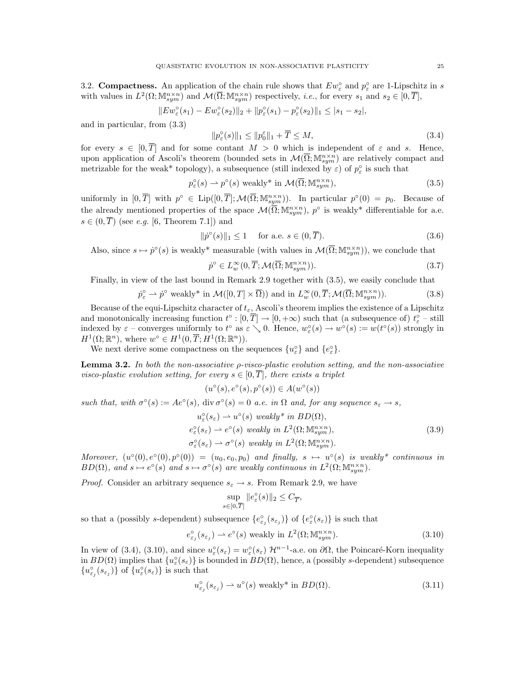3.2. **Compactness.** An application of the chain rule shows that  $Ew_{\varepsilon}^{\circ}$  and  $p_{\varepsilon}^{\circ}$  are 1-Lipschitz in s with values in  $L^2(\Omega; \mathbb{M}^{n \times n}_{sym})$  and  $\mathcal{M}(\overline{\Omega}; \mathbb{M}^{n \times n}_{sym})$  respectively, *i.e.*, for every  $s_1$  and  $s_2 \in [0, \overline{T}],$ 

$$
||E w_{\varepsilon}^{\circ}(s_1) - E w_{\varepsilon}^{\circ}(s_2)||_2 + ||p_{\varepsilon}^{\circ}(s_1) - p_{\varepsilon}^{\circ}(s_2)||_1 \leq |s_1 - s_2|,
$$

and in particular, from (3.3)

$$
||p_{\varepsilon}^{\circ}(s)||_1 \le ||p_0^{\varepsilon}||_1 + \overline{T} \le M,
$$
\n(3.4)

for every  $s \in [0, \overline{T}]$  and for some contant  $M > 0$  which is independent of  $\varepsilon$  and s. Hence, upon application of Ascoli's theorem (bounded sets in  $\mathcal{M}(\overline{\Omega}; \mathbb{M}^{n \times n}_{sym})$  are relatively compact and metrizable for the weak\* topology), a subsequence (still indexed by  $\varepsilon$ ) of  $p_{\varepsilon}^{\circ}$  is such that

$$
p_{\varepsilon}^{\circ}(s) \rightharpoonup p^{\circ}(s) \text{ weakly* in } \mathcal{M}(\overline{\Omega}; \mathbb{M}_{sym}^{n \times n}), \tag{3.5}
$$

uniformly in  $[0,\overline{T}]$  with  $p^{\circ} \in \text{Lip}([0,\overline{T}];\mathcal{M}(\overline{\Omega};\mathbb{M}^{n\times n}_{sym}))$ . In particular  $p^{\circ}(0) = p_0$ . Because of the already mentioned properties of the space  $\mathcal{M}(\overline{\Omega}; \mathbb{M}^{n \times n}_{sym})$ ,  $p^{\circ}$  is weakly\* differentiable for a.e.  $s \in (0, \overline{T})$  (see *e.g.* [6, Theorem 7.1]) and

$$
\|\dot{p}^{\circ}(s)\|_{1} \le 1 \quad \text{ for a.e. } s \in (0, \overline{T}). \tag{3.6}
$$

Also, since  $s \mapsto \dot{p}^{\circ}(s)$  is weakly\* measurable (with values in  $\mathcal{M}(\overline{\Omega}; \mathbb{M}^{n \times n}_{sym})$ ), we conclude that

$$
\dot{p}^{\circ} \in L_{w}^{\infty}(0, \overline{T}; \mathcal{M}(\overline{\Omega}; \mathbb{M}_{sym}^{n \times n})).
$$
\n(3.7)

Finally, in view of the last bound in Remark 2.9 together with (3.5), we easily conclude that

$$
\dot{p}_{\varepsilon}^{\circ} \rightharpoonup \dot{p}^{\circ} \text{ weakly* in } \mathcal{M}([0, T] \times \overline{\Omega})) \text{ and in } L_{w}^{\infty}(0, \overline{T}; \mathcal{M}(\overline{\Omega}; \mathbb{M}_{sym}^{n \times n})).
$$
\n(3.8)

Because of the equi-Lipschitz character of  $t_{\varepsilon}$ , Ascoli's theorem implies the existence of a Lipschitz and monotonically increasing function  $t^{\circ} : [0, \overline{T}] \to [0, +\infty)$  such that (a subsequence of)  $t^{\circ}_{\varepsilon}$  – still indexed by  $\varepsilon$  – converges uniformly to  $t^{\circ}$  as  $\varepsilon \searrow 0$ . Hence,  $w_{\varepsilon}^{\circ}(s) \to w^{\circ}(s) := w(t^{\circ}(s))$  strongly in  $H^1(\Omega;\mathbb{R}^n)$ , where  $w^{\circ} \in H^1(0,\overline{T};H^1(\Omega;\mathbb{R}^n))$ .

We next derive some compactness on the sequences  $\{u_{\varepsilon}^{\circ}\}\$  and  $\{e_{\varepsilon}^{\circ}\}\$ .

Lemma 3.2. In both the non-associative ρ-visco-plastic evolution setting, and the non-associative visco-plastic evolution setting, for every  $s \in [0, \overline{T}]$ , there exists a triplet

$$
(u^{\circ}(s), e^{\circ}(s), p^{\circ}(s)) \in A(w^{\circ}(s))
$$

such that, with  $\sigma^{\circ}(s) := Ae^{\circ}(s)$ , div  $\sigma^{\circ}(s) = 0$  a.e. in  $\Omega$  and, for any sequence  $s_{\varepsilon} \to s$ ,

$$
u_{\varepsilon}^{\circ}(s_{\varepsilon}) \rightharpoonup u^{\circ}(s) \ weakly^* \ in \ BD(\Omega),
$$
  
\n
$$
e_{\varepsilon}^{\circ}(s_{\varepsilon}) \rightharpoonup e^{\circ}(s) \ weakly \ in \ L^{2}(\Omega; \mathbb{M}_{sym}^{n\times n}),
$$
  
\n
$$
\sigma_{\varepsilon}^{\circ}(s_{\varepsilon}) \rightharpoonup \sigma^{\circ}(s) \ weakly \ in \ L^{2}(\Omega; \mathbb{M}_{sym}^{n\times n}).
$$
\n(3.9)

Moreover,  $(u^{\circ}(0), e^{\circ}(0), p^{\circ}(0)) = (u_0, e_0, p_0)$  and finally,  $s \mapsto u^{\circ}(s)$  is weakly\* continuous in  $BD(\Omega)$ , and  $s \mapsto e^{\circ}(s)$  and  $s \mapsto \sigma^{\circ}(s)$  are weakly continuous in  $L^2(\Omega; \mathbb{M}^{n \times n}_{sym})$ .

*Proof.* Consider an arbitrary sequence  $s_{\varepsilon} \to s$ . From Remark 2.9, we have

$$
\sup_{s \in [0,\overline{T}]} \|e_{\varepsilon}^{\circ}(s)\|_{2} \le C_{\overline{T}}
$$

so that a (possibly s-dependent) subsequence  $\{e_{\varepsilon_j}^{\circ}(s_{\varepsilon_j})\}$  of  $\{e_{\varepsilon}^{\circ}(s_{\varepsilon})\}$  is such that

$$
e_{\varepsilon_j}^{\circ}(s_{\varepsilon_j}) \rightharpoonup e^{\circ}(s) \text{ weakly in } L^2(\Omega; \mathbb{M}^{n \times n}_{sym}).
$$
\n(3.10)

,

In view of (3.4), (3.10), and since  $u_{\varepsilon}^{\circ}(s_{\varepsilon}) = w_{\varepsilon}^{\circ}(s_{\varepsilon}) \mathcal{H}^{n-1}$ -a.e. on  $\partial\Omega$ , the Poincaré-Korn inequality in  $BD(\Omega)$  implies that  $\{u_{\varepsilon}^{\circ}(s_{\varepsilon})\}$  is bounded in  $BD(\Omega)$ , hence, a (possibly s-dependent) subsequence  ${u_{\varepsilon}^{\circ}(s_{\varepsilon})}\}$  of  ${u_{\varepsilon}^{\circ}(s_{\varepsilon})}\}$  is such that

$$
u_{\varepsilon_j}^{\circ}(s_{\varepsilon_j}) \rightharpoonup u^{\circ}(s) \text{ weakly* in } BD(\Omega). \tag{3.11}
$$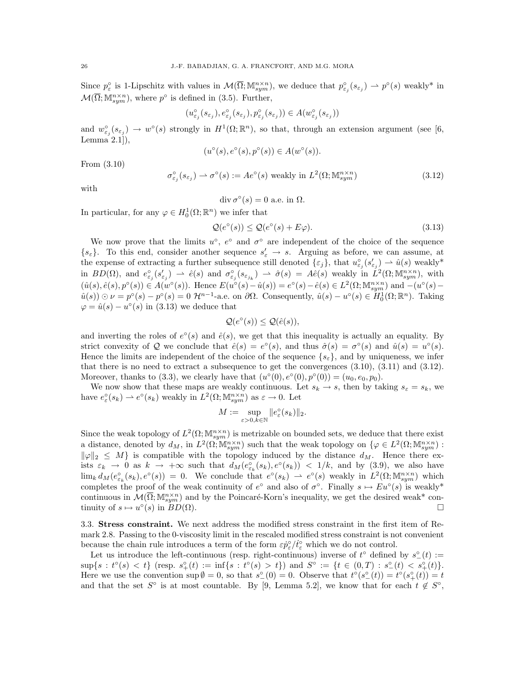Since  $p_{\varepsilon}^{\circ}$  is 1-Lipschitz with values in  $\mathcal{M}(\overline{\Omega}; \mathbb{M}^{n \times n}_{sym})$ , we deduce that  $p_{\varepsilon}^{\circ}(s_{\varepsilon}) \to p^{\circ}(s)$  weakly\* in  $\mathcal{M}(\overline{\Omega}; \mathbb{M}^{n \times n}_{sym})$ , where  $p^{\circ}$  is defined in (3.5). Further,

$$
(u_{\varepsilon_j}^{\mathrm{o}}(s_{\varepsilon j}), e_{\varepsilon_j}^{\mathrm{o}}(s_{\varepsilon j}), p_{\varepsilon_j}^{\mathrm{o}}(s_{\varepsilon j})) \in A(w_{\varepsilon_j}^{\mathrm{o}}(s_{\varepsilon j}))
$$

and  $w_{\varepsilon_j}^{\circ}(s_{\varepsilon_j}) \to w^{\circ}(s)$  strongly in  $H^1(\Omega;\mathbb{R}^n)$ , so that, through an extension argument (see [6, Lemma 2.1]),

$$
(u^{\circ}(s), e^{\circ}(s), p^{\circ}(s)) \in A(w^{\circ}(s)).
$$

From (3.10)

$$
\sigma_{\varepsilon_j}^{\circ}(s_{\varepsilon_j}) \rightharpoonup \sigma^{\circ}(s) := Ae^{\circ}(s) \text{ weakly in } L^2(\Omega; \mathbb{M}_{sym}^{n \times n})
$$
\n(3.12)

with

$$
\operatorname{div} \sigma^{\circ}(s) = 0 \text{ a.e. in } \Omega.
$$

In particular, for any  $\varphi \in H_0^1(\Omega; \mathbb{R}^n)$  we infer that

$$
\mathcal{Q}(e^{\circ}(s)) \le \mathcal{Q}(e^{\circ}(s) + E\varphi). \tag{3.13}
$$

We now prove that the limits  $u^{\circ}$ ,  $e^{\circ}$  and  $\sigma^{\circ}$  are independent of the choice of the sequence  $\{s_{\varepsilon}\}\$ . To this end, consider another sequence  $s_{\varepsilon}' \to s$ . Arguing as before, we can assume, at the expense of extracting a further subsequence still denoted  $\{\varepsilon_j\}$ , that  $u_{\varepsilon_j}^{\circ}(s_{\varepsilon_j}') \to \hat{u}(s)$  weakly\* in  $BD(\Omega)$ , and  $e_{\varepsilon_j}^{\circ}(s_{\varepsilon_j}) \rightharpoonup \hat{e}(s)$  and  $\sigma_{\varepsilon_j}^{\circ}(s_{\varepsilon_{j_k}}) \rightharpoonup \hat{\sigma}(s) = A\hat{e}(s)$  weakly in  $\check{L}^2(\Omega; \mathbb{M}^{n \times n}_{sym})$ , with  $(\hat{u}(s), \hat{e}(s), p^{\circ}(s)) \in A(w^{\circ}(s))$ . Hence  $E(u^{\circ}(s) - \hat{u}(s)) = e^{\circ}(s) - \hat{e}(s) \in L^2(\Omega; \mathbb{M}^{n \times n}_{sym})$  and  $-(u^{\circ}(s) - \hat{u}(s))$  $\hat{u}(s)$ )  $\odot \nu = p^{\circ}(s) - p^{\circ}(s) = 0$   $\mathcal{H}^{n-1}$ -a.e. on  $\partial \Omega$ . Consequently,  $\hat{u}(s) - u^{\circ}(s) \in H_0^1(\Omega; \mathbb{R}^n)$ . Taking  $\varphi = \hat{u}(s) - u^{\circ}(s)$  in (3.13) we deduce that

$$
\mathcal{Q}(e^{\circ}(s)) \leq \mathcal{Q}(\hat{e}(s)),
$$

and inverting the roles of  $e^{\circ}(s)$  and  $\hat{e}(s)$ , we get that this inequality is actually an equality. By strict convexity of Q we conclude that  $\hat{e}(s) = e^{\circ}(s)$ , and thus  $\hat{\sigma}(s) = \sigma^{\circ}(s)$  and  $\hat{u}(s) = u^{\circ}(s)$ . Hence the limits are independent of the choice of the sequence  $\{s_{\varepsilon}\}\)$ , and by uniqueness, we infer that there is no need to extract a subsequence to get the convergences  $(3.10)$ ,  $(3.11)$  and  $(3.12)$ . Moreover, thanks to (3.3), we clearly have that  $(u^{\circ}(0), e^{\circ}(0), p^{\circ}(0)) = (u_0, e_0, p_0)$ .

We now show that these maps are weakly continuous. Let  $s_k \to s$ , then by taking  $s_{\varepsilon} = s_k$ , we have  $e_{\varepsilon}^{\circ}(s_k) \to e^{\circ}(s_k)$  weakly in  $L^2(\Omega; \mathbb{M}^{n \times n}_{sym})$  as  $\varepsilon \to 0$ . Let

$$
M:=\sup_{\varepsilon>0, k\in\mathbb{N}}\|e^\circ_\varepsilon(s_k)\|_2.
$$

Since the weak topology of  $L^2(\Omega;\mathbb{M}^{n\times n}_{sym})$  is metrizable on bounded sets, we deduce that there exist a distance, denoted by  $d_M$ , in  $L^2(\Omega; \mathbb{M}^{n \times n}_{sym})$  such that the weak topology on  $\{\varphi \in L^2(\Omega; \mathbb{M}^{n \times n}_{sym}) :$  $\|\varphi\|_2 \leq M$  is compatible with the topology induced by the distance  $d_M$ . Hence there exists  $\varepsilon_k \to 0$  as  $k \to +\infty$  such that  $d_M(e_{\varepsilon_k}^{\circ}(s_k), e^{\circ}(s_k)) < 1/k$ , and by (3.9), we also have  $\lim_k d_M(e_{\varepsilon_k}^{\circ}(s_k), e^{\circ}(s)) = 0$ . We conclude that  $e^{\circ}(s_k) \to e^{\circ}(s)$  weakly in  $L^2(\Omega; \mathbb{M}^{n \times n}_{sym})$  which completes the proof of the weak continuity of  $e^{\circ}$  and also of  $\sigma^{\circ}$ . Finally  $s \mapsto E u^{\circ}(s)$  is weakly\* continuous in  $\mathcal{M}(\overline{\Omega}; \mathbb{M}^{n \times n}_{sym})$  and by the Poincaré-Korn's inequality, we get the desired weak\* continuity of  $s \mapsto u^{\circ}(s)$  in  $BD(\Omega)$ .

3.3. Stress constraint. We next address the modified stress constraint in the first item of Remark 2.8. Passing to the 0-viscosity limit in the rescaled modified stress constraint is not convenient because the chain rule introduces a term of the form  $\varepsilon \dot{p}_\varepsilon^{\circ}/\dot{t}_\varepsilon^{\circ}$  which we do not control.

Let us introduce the left-continuous (resp. right-continuous) inverse of  $t^{\circ}$  defined by  $s^{\circ}(t) :=$  $\sup\{s : t^{\circ}(s) < t\}$  (resp.  $s^{\circ}_{+}(t) := \inf\{s : t^{\circ}(s) > t\}$ ) and  $S^{\circ} := \{t \in (0,T) : s^{\circ}_{-}(t) < s^{\circ}_{+}(t)\}.$ Here we use the convention  $\sup \emptyset = 0$ , so that  $s^{\circ}(0) = 0$ . Observe that  $t^{\circ}(s^{\circ}(t)) = t^{\circ}(s^{\circ}_{+}(t)) = t$ and that the set  $S^{\circ}$  is at most countable. By [9, Lemma 5.2], we know that for each  $t \notin S^{\circ}$ ,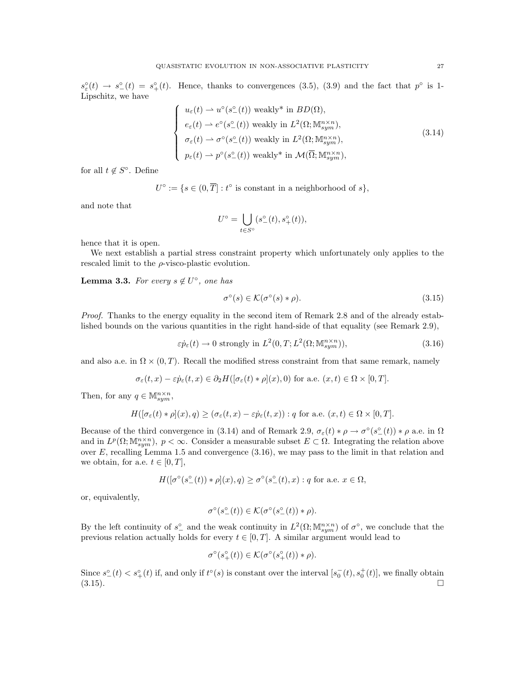$s_{\varepsilon}^{\circ}(t) \to s_{-}^{\circ}(t) = s_{+}^{\circ}(t)$ . Hence, thanks to convergences (3.5), (3.9) and the fact that  $p^{\circ}$  is 1-Lipschitz, we have

$$
\begin{cases}\n u_{\varepsilon}(t) \to u^{\circ}(s_{-}^{\circ}(t)) \text{ weakly* in } BD(\Omega), \\
 e_{\varepsilon}(t) \to e^{\circ}(s_{-}^{\circ}(t)) \text{ weakly in } L^{2}(\Omega; \mathbb{M}^{n \times n}_{sym}), \\
 \sigma_{\varepsilon}(t) \to \sigma^{\circ}(s_{-}^{\circ}(t)) \text{ weakly in } L^{2}(\Omega; \mathbb{M}^{n \times n}_{sym}), \\
 p_{\varepsilon}(t) \to p^{\circ}(s_{-}^{\circ}(t)) \text{ weakly* in } \mathcal{M}(\overline{\Omega}; \mathbb{M}^{n \times n}_{sym}),\n\end{cases}
$$
\n(3.14)

for all  $t \notin S^{\circ}$ . Define

 $U^{\circ} := \{ s \in (0, \overline{T}] : t^{\circ} \text{ is constant in a neighborhood of } s \},\$ 

and note that

$$
U^{\circ} = \bigcup_{t \in S^{\circ}} (s^{\circ}_{-}(t), s^{\circ}_{+}(t)),
$$

hence that it is open.

We next establish a partial stress constraint property which unfortunately only applies to the rescaled limit to the  $\rho$ -visco-plastic evolution.

**Lemma 3.3.** For every  $s \notin U^{\circ}$ , one has

$$
\sigma^{\circ}(s) \in \mathcal{K}(\sigma^{\circ}(s) * \rho). \tag{3.15}
$$

Proof. Thanks to the energy equality in the second item of Remark 2.8 and of the already established bounds on the various quantities in the right hand-side of that equality (see Remark 2.9),

 $\varepsilon \dot{p}_{\varepsilon}(t) \to 0$  strongly in  $L^2(0,T;L^2(\Omega;\mathbb{M}^{n\times n}_{sym}))$ , (3.16)

and also a.e. in  $\Omega \times (0,T)$ . Recall the modified stress constraint from that same remark, namely

$$
\sigma_{\varepsilon}(t,x)-\varepsilon\dot{p}_{\varepsilon}(t,x)\in\partial_2H([\sigma_{\varepsilon}(t)\ast\rho](x),0) \text{ for a.e. } (x,t)\in\Omega\times[0,T].
$$

Then, for any  $q \in \mathbb{M}^{n \times n}_{sym}$ ,

$$
H([\sigma_{\varepsilon}(t) * \rho](x), q) \ge (\sigma_{\varepsilon}(t, x) - \varepsilon \dot{p}_{\varepsilon}(t, x)) : q \text{ for a.e. } (x, t) \in \Omega \times [0, T].
$$

Because of the third convergence in (3.14) and of Remark 2.9,  $\sigma_{\varepsilon}(t) * \rho \to \sigma^{\circ}(s_{-}^{\circ}(t)) * \rho$  a.e. in  $\Omega$ and in  $L^p(\Omega; \mathbb{M}^{n \times n}_{sym})$ ,  $p < \infty$ . Consider a measurable subset  $E \subset \Omega$ . Integrating the relation above over  $E$ , recalling Lemma 1.5 and convergence  $(3.16)$ , we may pass to the limit in that relation and we obtain, for a.e.  $t \in [0, T]$ ,

$$
H([\sigma^{\circ}(s^{\circ}_{-}(t)) * \rho](x), q) \geq \sigma^{\circ}(s^{\circ}_{-}(t), x) : q \text{ for a.e. } x \in \Omega,
$$

or, equivalently,

$$
\sigma^{\circ}(s^{\circ}_{-}(t)) \in \mathcal{K}(\sigma^{\circ}(s^{\circ}_{-}(t)) * \rho).
$$

By the left continuity of  $s_{-}^{\circ}$  and the weak continuity in  $L^2(\Omega; \mathbb{M}^{n \times n}_{sym})$  of  $\sigma^{\circ}$ , we conclude that the previous relation actually holds for every  $t \in [0, T]$ . A similar argument would lead to

$$
\sigma^\circ(s_+^\circ(t))\in \mathcal{K}(\sigma^\circ(s_+^\circ(t))\ast \rho).
$$

Since  $s_{-}^{\circ}(t) < s_{+}^{\circ}(t)$  if, and only if  $t^{\circ}(s)$  is constant over the interval  $[s_0^-(t), s_0^+(t)]$ , we finally obtain  $(3.15)$ .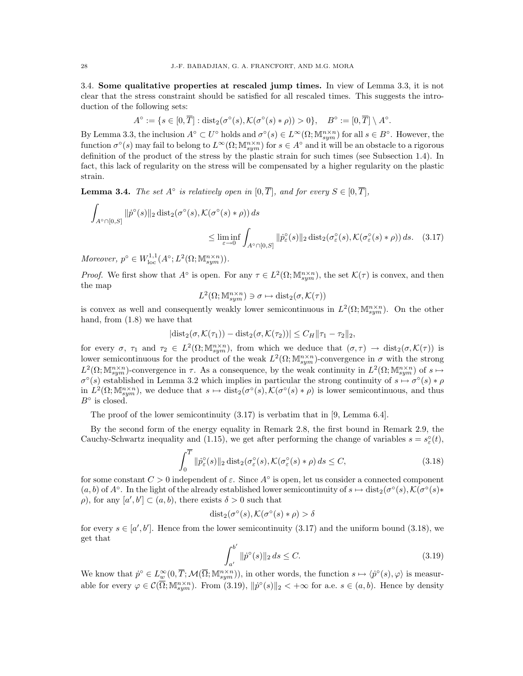3.4. Some qualitative properties at rescaled jump times. In view of Lemma 3.3, it is not clear that the stress constraint should be satisfied for all rescaled times. This suggests the introduction of the following sets:

$$
A^{\circ} := \{ s \in [0,\overline{T}] : \text{dist}_2(\sigma^{\circ}(s), \mathcal{K}(\sigma^{\circ}(s) * \rho)) > 0 \}, \quad B^{\circ} := [0,\overline{T}] \setminus A^{\circ}.
$$

By Lemma 3.3, the inclusion  $A^{\circ} \subset U^{\circ}$  holds and  $\sigma^{\circ}(s) \in L^{\infty}(\Omega; \mathbb{M}^{n \times n}_{sym})$  for all  $s \in B^{\circ}$ . However, the function  $\sigma^{\circ}(s)$  may fail to belong to  $L^{\infty}(\Omega; \mathbb{M}^{n \times n}_{sym})$  for  $s \in A^{\circ}$  and it will be an obstacle to a rigorous definition of the product of the stress by the plastic strain for such times (see Subsection 1.4). In fact, this lack of regularity on the stress will be compensated by a higher regularity on the plastic strain.

**Lemma 3.4.** The set  $A^{\circ}$  is relatively open in  $[0, \overline{T}]$ , and for every  $S \in [0, \overline{T}]$ ,

$$
\int_{A^{\circ}\cap[0,S]} \|\dot{p}^{\circ}(s)\|_{2} \operatorname{dist}_{2}(\sigma^{\circ}(s), \mathcal{K}(\sigma^{\circ}(s) * \rho)) ds
$$
\n
$$
\leq \liminf_{\varepsilon \to 0} \int_{A^{\circ}\cap[0,S]} \|\dot{p}^{\circ}_{\varepsilon}(s)\|_{2} \operatorname{dist}_{2}(\sigma_{\varepsilon}^{\circ}(s), \mathcal{K}(\sigma_{\varepsilon}^{\circ}(s) * \rho)) ds. \quad (3.17)
$$

Moreover,  $p^{\circ} \in W^{1,1}_{loc}(A^{\circ}; L^2(\Omega; \mathbb{M}^{n \times n}_{sym})).$ 

*Proof.* We first show that  $A^{\circ}$  is open. For any  $\tau \in L^2(\Omega; \mathbb{M}^{n \times n}_{sym})$ , the set  $\mathcal{K}(\tau)$  is convex, and then the map

$$
L^2(\Omega;{\mathbb M}^{n{\times}n}_{sym})\ni\sigma\mapsto\mathrm{dist}_2(\sigma,{\mathcal K}(\tau))
$$

is convex as well and consequently weakly lower semicontinuous in  $L^2(\Omega; \mathbb{M}^{n \times n}_{sym})$ . On the other hand, from (1.8) we have that

$$
|\mathrm{dist}_2(\sigma,\mathcal{K}(\tau_1)) - \mathrm{dist}_2(\sigma,\mathcal{K}(\tau_2))| \leq C_H \|\tau_1 - \tau_2\|_2,
$$

for every  $\sigma$ ,  $\tau_1$  and  $\tau_2 \in L^2(\Omega; \mathbb{M}^{n \times n}_{sym})$ , from which we deduce that  $(\sigma, \tau) \to \text{dist}_2(\sigma, \mathcal{K}(\tau))$  is lower semicontinuous for the product of the weak  $L^2(\Omega; \mathbb{M}^{n \times n}_{sym})$ -convergence in  $\sigma$  with the strong  $L^2(\Omega; \mathbb{M}^{n \times n}_{sym})$ -convergence in  $\tau$ . As a consequence, by the weak continuity in  $L^2(\Omega; \mathbb{M}^{n \times n}_{sym})$  of  $s \mapsto$  $\sigma^{\circ}(s)$  established in Lemma 3.2 which implies in particular the strong continuity of  $s \mapsto \sigma^{\circ}(s) * \rho$ in  $L^2(\Omega; \mathbb{M}^{n \times n}_{sym})$ , we deduce that  $s \mapsto \text{dist}_2(\sigma^{\circ}(s), \mathcal{K}(\sigma^{\circ}(s) * \rho))$  is lower semicontinuous, and thus  $B^{\circ}$  is closed.

The proof of the lower semicontinuity (3.17) is verbatim that in [9, Lemma 6.4].

By the second form of the energy equality in Remark 2.8, the first bound in Remark 2.9, the Cauchy-Schwartz inequality and (1.15), we get after performing the change of variables  $s = s_{\varepsilon}^{\circ}(t)$ ,

$$
\int_0^{\overline{T}} \|\dot{p}_\varepsilon^\circ(s)\|_2 \operatorname{dist}_2(\sigma_\varepsilon^\circ(s), \mathcal{K}(\sigma_\varepsilon^\circ(s) * \rho) ds \le C,\tag{3.18}
$$

for some constant  $C > 0$  independent of  $\varepsilon$ . Since  $A^{\circ}$  is open, let us consider a connected component  $(a, b)$  of  $A^{\circ}$ . In the light of the already established lower semicontinuity of  $s \mapsto \text{dist}_2(\sigma^{\circ}(s), \mathcal{K}(\sigma^{\circ}(s) *$  $ρ$ ), for any  $[a', b'] \subset (a, b)$ , there exists  $δ > 0$  such that

$$
dist_2(\sigma^{\circ}(s), \mathcal{K}(\sigma^{\circ}(s) * \rho) > \delta
$$

for every  $s \in [a', b']$ . Hence from the lower semicontinuity (3.17) and the uniform bound (3.18), we get that

$$
\int_{a'}^{b'} \|\dot{p}^{\circ}(s)\|_{2} ds \le C. \tag{3.19}
$$

We know that  $\dot{p}^{\circ} \in L^{\infty}_w(0, \overline{T}; \mathcal{M}(\overline{\Omega}; \mathbb{M}^{n \times n}_{sym}))$ , in other words, the function  $s \mapsto \langle \dot{p}^{\circ}(s), \varphi \rangle$  is measurable for every  $\varphi \in \mathcal{C}(\overline{\Omega}; \mathbb{M}^{n \times n}_{sym})$ . From  $(3.19), ||p^{\circ}(s)||_2 < +\infty$  for a.e.  $s \in (a, b)$ . Hence by density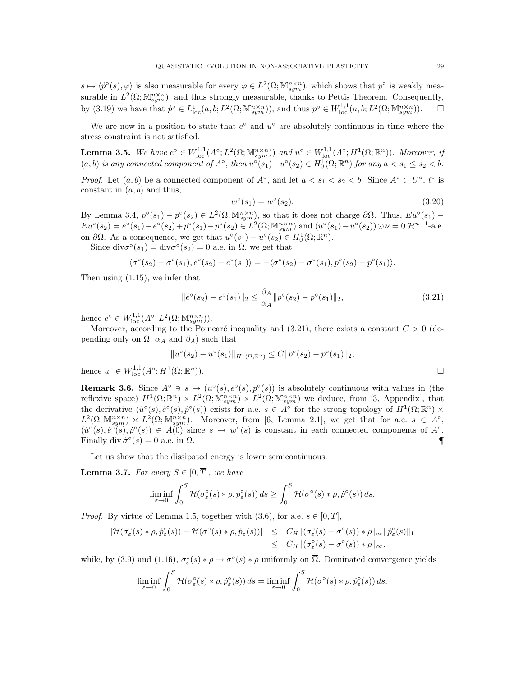$s \mapsto \langle \dot{p}^{\circ}(s), \varphi \rangle$  is also measurable for every  $\varphi \in L^{2}(\Omega; \mathbb{M}^{n \times n}_{sym})$ , which shows that  $\dot{p}^{\circ}$  is weakly measurable in  $L^2(\Omega; \mathbb{M}^{n \times n}_{sym})$ , and thus strongly measurable, thanks to Pettis Theorem. Consequently, by (3.19) we have that  $\dot{p}^{\circ} \in L^1_{\text{loc}}(a, b; L^2(\Omega; \mathbb{M}^{n \times n}_{sym}))$ , and thus  $p^{\circ} \in W^{1,1}_{\text{loc}}(a, b; L^2(\Omega; \mathbb{M}^{n \times n}_{sym}))$ .  $\square$ 

We are now in a position to state that  $e^{\circ}$  and  $u^{\circ}$  are absolutely continuous in time where the stress constraint is not satisfied.

**Lemma 3.5.** We have  $e^{\circ} \in W^{1,1}_{loc}(A^{\circ}; L^2(\Omega; \mathbb{M}^{n \times n}_{sym}))$  and  $u^{\circ} \in W^{1,1}_{loc}(A^{\circ}; H^1(\Omega; \mathbb{R}^n))$ . Moreover, if  $(a, b)$  is any connected component of  $A^{\circ}$ , then  $u^{\circ}(s_1) - u^{\circ}(s_2) \in H_0^1(\Omega; \mathbb{R}^n)$  for any  $a < s_1 \leq s_2 < b$ .

*Proof.* Let  $(a, b)$  be a connected component of  $A^{\circ}$ , and let  $a < s_1 < s_2 < b$ . Since  $A^{\circ} \subset U^{\circ}$ ,  $t^{\circ}$  is constant in  $(a, b)$  and thus,

$$
w^{\circ}(s_1) = w^{\circ}(s_2). \tag{3.20}
$$

By Lemma 3.4,  $p^{\circ}(s_1) - p^{\circ}(s_2) \in L^2(\Omega; \mathbb{M}^{n \times n}_{sym})$ , so that it does not charge  $\partial \Omega$ . Thus,  $Eu^{\circ}(s_1)$  –  $Eu^{\circ}(s_2) = e^{\circ}(s_1) - e^{\circ}(s_2) + p^{\circ}(s_1) - p^{\circ}(s_2) \in L^2(\Omega; \mathbb{M}^{n \times n}_{sym}) \text{ and } (u^{\circ}(s_1) - u^{\circ}(s_2)) \odot \nu = 0 \mathcal{H}^{n-1}$ -a.e. on  $\partial\Omega$ . As a consequence, we get that  $u^{\circ}(s_1) - u^{\circ}(s_2) \in H_0^1(\Omega; \mathbb{R}^n)$ .

Since  $div \sigma^{\circ}(s_1) = div \sigma^{\circ}(s_2) = 0$  a.e. in  $\Omega$ , we get that

$$
\langle \sigma^{\circ}(s_2) - \sigma^{\circ}(s_1), e^{\circ}(s_2) - e^{\circ}(s_1) \rangle = -\langle \sigma^{\circ}(s_2) - \sigma^{\circ}(s_1), p^{\circ}(s_2) - p^{\circ}(s_1) \rangle.
$$

Then using (1.15), we infer that

$$
||e^{\circ}(s_2) - e^{\circ}(s_1)||_2 \le \frac{\beta_A}{\alpha_A} ||p^{\circ}(s_2) - p^{\circ}(s_1)||_2,
$$
\n(3.21)

hence  $e^{\circ} \in W^{1,1}_{loc}(A^{\circ}; L^2(\Omega; \mathbb{M}^{n \times n}_{sym})).$ 

Moreover, according to the Poincaré inequality and (3.21), there exists a constant  $C > 0$  (depending only on  $\Omega$ ,  $\alpha_A$  and  $\beta_A$ ) such that

$$
||u^{\circ}(s_2) - u^{\circ}(s_1)||_{H^1(\Omega; \mathbb{R}^n)} \leq C||p^{\circ}(s_2) - p^{\circ}(s_1)||_2,
$$
  

$$
H^1(\Omega; \mathbb{R}^n)).
$$

hence  $u^{\circ} \in W^{1,1}_{loc}(A^{\circ};H^1)$ 

**Remark 3.6.** Since  $A^{\circ} \ni s \mapsto (u^{\circ}(s), e^{\circ}(s), p^{\circ}(s))$  is absolutely continuous with values in (the reflexive space)  $H^1(\Omega;\mathbb{R}^n) \times L^2(\Omega;\mathbb{M}^{n\times n}_{sym}) \times L^2(\Omega;\mathbb{M}^{n\times n}_{sym})$  we deduce, from [3, Appendix], that the derivative  $(\dot{u}^{\circ}(s), \dot{e}^{\circ}(s), \dot{p}^{\circ}(s))$  exists for a.e.  $s \in A^{\circ}$  for the strong topology of  $H^1(\Omega; \mathbb{R}^n) \times$  $L^2(\Omega; \mathbb{M}^{n \times n}_{sym}) \times L^2(\Omega; \mathbb{M}^{n \times n}_{sym})$ . Moreover, from [6, Lemma 2.1], we get that for a.e.  $s \in A^{\circ}$ ,  $(\dot{u}^{\circ}(s), \dot{e}^{\circ}(s), \dot{p}^{\circ}(s)) \in A(0)$  since  $s \mapsto w^{\circ}(s)$  is constant in each connected components of  $A^{\circ}$ . Finally div  $\dot{\sigma}^{\circ}(s) = 0$  a.e. in  $\Omega$ .

Let us show that the dissipated energy is lower semicontinuous.

**Lemma 3.7.** For every  $S \in [0, \overline{T}]$ , we have

$$
\liminf_{\varepsilon \to 0} \int_0^S \mathcal{H}(\sigma_\varepsilon^\circ(s) * \rho, \dot{p}_\varepsilon^\circ(s)) ds \ge \int_0^S \mathcal{H}(\sigma^\circ(s) * \rho, \dot{p}^\circ(s)) ds.
$$

*Proof.* By virtue of Lemma 1.5, together with  $(3.6)$ , for a.e.  $s \in [0, \overline{T}]$ ,

$$
\begin{array}{rcl}\n|\mathcal{H}(\sigma_{\varepsilon}^{\circ}(s) * \rho, \dot{p}_{\varepsilon}^{\circ}(s)) - \mathcal{H}(\sigma^{\circ}(s) * \rho, \dot{p}_{\varepsilon}^{\circ}(s))| & \leq & C_H \|( \sigma_{\varepsilon}^{\circ}(s) - \sigma^{\circ}(s) ) * \rho \|_{\infty} \| \dot{p}_{\varepsilon}^{\circ}(s) \|_{1} \\
& \leq & C_H \|( \sigma_{\varepsilon}^{\circ}(s) - \sigma^{\circ}(s) ) * \rho \|_{\infty},\n\end{array}
$$

while, by (3.9) and (1.16),  $\sigma_{\varepsilon}^{\circ}(s) * \rho \to \sigma^{\circ}(s) * \rho$  uniformly on  $\overline{\Omega}$ . Dominated convergence yields

$$
\liminf_{\varepsilon \to 0} \int_0^S \mathcal{H}(\sigma_{\varepsilon}^{\circ}(s) * \rho, \dot{p}_{\varepsilon}^{\circ}(s)) ds = \liminf_{\varepsilon \to 0} \int_0^S \mathcal{H}(\sigma^{\circ}(s) * \rho, \dot{p}_{\varepsilon}^{\circ}(s)) ds.
$$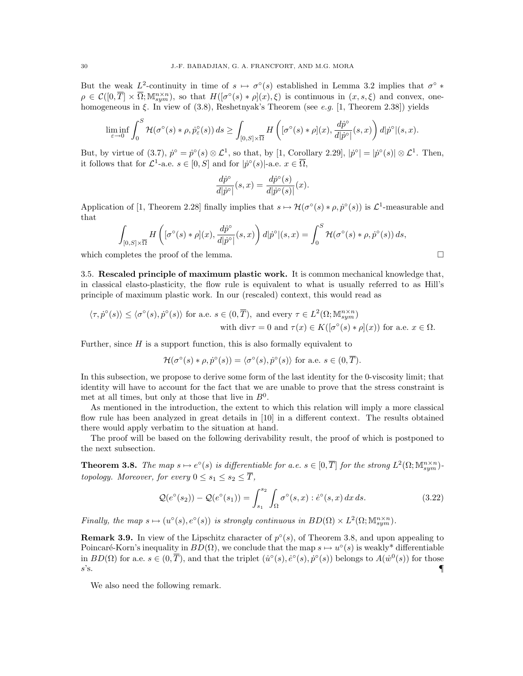But the weak  $L^2$ -continuity in time of  $s \mapsto \sigma^{\circ}(s)$  established in Lemma 3.2 implies that  $\sigma^{\circ}$  \*  $\rho \in \mathcal{C}([0,\overline{T}] \times \overline{\Omega}; \mathbb{M}^{n \times n}_{sym})$ , so that  $H([\sigma^{\circ}(s) * \rho](x), \xi)$  is continuous in  $(x, s, \xi)$  and convex, onehomogeneous in ξ. In view of  $(3.8)$ , Reshetnyak's Theorem (see e.g. [1, Theorem 2.38]) yields

$$
\liminf_{\varepsilon\to 0}\int_0^S \mathcal H(\sigma^\circ(s)\ast \rho,\dot{p}^\circ_\varepsilon(s))\,ds\geq \int_{[0,S]\times \overline{\Omega}}H\left([\sigma^\circ(s)\ast \rho](x),\frac{d\dot{p}^\circ}{d|\dot{p}^\circ|}(s,x)\right)d|\dot{p}^\circ|(s,x).
$$

But, by virtue of  $(3.7), \dot{p}^{\circ} = \dot{p}^{\circ}(s) \otimes \mathcal{L}^{1}$ , so that, by [1, Corollary 2.29],  $|\dot{p}^{\circ}| = |\dot{p}^{\circ}(s)| \otimes \mathcal{L}^{1}$ . Then, it follows that for  $\mathcal{L}^1$ -a.e.  $s \in [0, S]$  and for  $|p^{\circ}(s)|$ -a.e.  $x \in \overline{\Omega}$ ,

$$
\frac{d\dot{p}^{\circ}}{d|\dot{p}^{\circ}|}(s,x) = \frac{d\dot{p}^{\circ}(s)}{d|\dot{p}^{\circ}(s)|}(x).
$$

Application of [1, Theorem 2.28] finally implies that  $s \mapsto H(\sigma^{\circ}(s) * \rho, \dot{p}^{\circ}(s))$  is  $\mathcal{L}^1$ -measurable and that

$$
\int_{[0,S]\times\overline{\Omega}} H\left([\sigma^{\circ}(s)\ast\rho](x),\frac{d\dot{p}^{\circ}}{d|\dot{p}^{\circ}|}(s,x)\right) d|\dot{p}^{\circ}|(s,x) = \int_{0}^{S} \mathcal{H}(\sigma^{\circ}(s)\ast\rho,\dot{p}^{\circ}(s)) ds,
$$

which completes the proof of the lemma.  $\Box$ 

3.5. Rescaled principle of maximum plastic work. It is common mechanical knowledge that, in classical elasto-plasticity, the flow rule is equivalent to what is usually referred to as Hill's principle of maximum plastic work. In our (rescaled) context, this would read as

$$
\langle \tau, \dot{p}^{\circ}(s) \rangle \leq \langle \sigma^{\circ}(s), \dot{p}^{\circ}(s) \rangle \text{ for a.e. } s \in (0, \overline{T}), \text{ and every } \tau \in L^{2}(\Omega; \mathbb{M}^{n \times n}_{sym})
$$
  
with  $\text{div}\tau = 0$  and  $\tau(x) \in K([\sigma^{\circ}(s) * \rho](x))$  for a.e.  $x \in \Omega$ .

Further, since  $H$  is a support function, this is also formally equivalent to

$$
\mathcal{H}(\sigma^{\circ}(s) * \rho, \dot{p}^{\circ}(s)) = \langle \sigma^{\circ}(s), \dot{p}^{\circ}(s) \rangle \text{ for a.e. } s \in (0, \overline{T}).
$$

In this subsection, we propose to derive some form of the last identity for the 0-viscosity limit; that identity will have to account for the fact that we are unable to prove that the stress constraint is met at all times, but only at those that live in  $B^0$ .

As mentioned in the introduction, the extent to which this relation will imply a more classical flow rule has been analyzed in great details in [10] in a different context. The results obtained there would apply verbatim to the situation at hand.

The proof will be based on the following derivability result, the proof of which is postponed to the next subsection.

**Theorem 3.8.** The map  $s \mapsto e^{\circ}(s)$  is differentiable for a.e.  $s \in [0, \overline{T}]$  for the strong  $L^2(\Omega; \mathbb{M}^{n \times n}_{sym})$ topology. Moreover, for every  $0 \leq s_1 \leq s_2 \leq \overline{T}$ ,

$$
\mathcal{Q}(e^{\circ}(s_2)) - \mathcal{Q}(e^{\circ}(s_1)) = \int_{s_1}^{s_2} \int_{\Omega} \sigma^{\circ}(s, x) : \dot{e}^{\circ}(s, x) \, dx \, ds. \tag{3.22}
$$

Finally, the map  $s \mapsto (u^{\circ}(s), e^{\circ}(s))$  is strongly continuous in  $BD(\Omega) \times L^2(\Omega; \mathbb{M}^{n \times n}_{sym})$ .

**Remark 3.9.** In view of the Lipschitz character of  $p^{\circ}(s)$ , of Theorem 3.8, and upon appealing to Poincaré-Korn's inequality in  $BD(\Omega)$ , we conclude that the map  $s \mapsto u^{\circ}(s)$  is weakly\* differentiable in  $BD(\Omega)$  for a.e.  $s \in (0, \overline{T})$ , and that the triplet  $(\dot{u}^{\circ}(s), \dot{e}^{\circ}(s), \dot{p}^{\circ}(s))$  belongs to  $A(\dot{w}^0(s))$  for those  $s$ 's.  $\blacksquare$ 

We also need the following remark.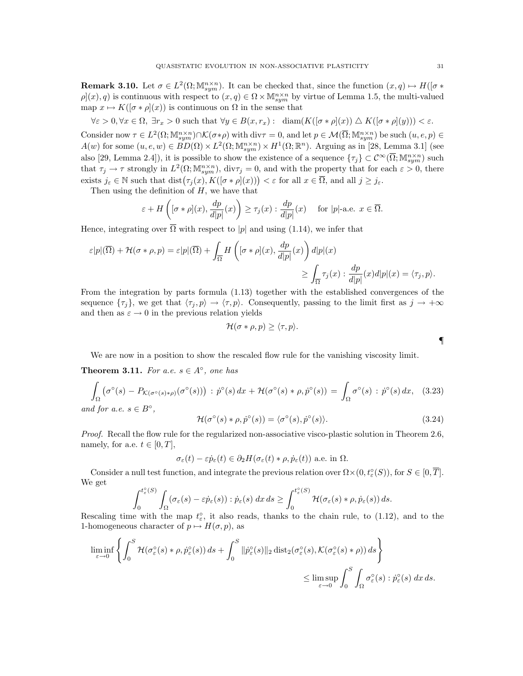**Remark 3.10.** Let  $\sigma \in L^2(\Omega; \mathbb{M}^{n \times n}_{sym})$ . It can be checked that, since the function  $(x, q) \mapsto H([\sigma *])$  $\rho(x), q$  is continuous with respect to  $(x, q) \in \Omega \times \mathbb{M}^{n \times n}_{sym}$  by virtue of Lemma 1.5, the multi-valued map  $x \mapsto K([\sigma * \rho](x))$  is continuous on  $\Omega$  in the sense that

 $\forall \varepsilon > 0, \forall x \in \Omega, \exists r_x > 0 \text{ such that } \forall y \in B(x, r_x): \dim(K([\sigma * \rho](x)) \triangle K([\sigma * \rho](y))) < \varepsilon.$ 

Consider now  $\tau \in L^2(\Omega; \mathbb{M}^{n \times n}_{sym}) \cap \mathcal{K}(\sigma * \rho)$  with  $\text{div}\tau = 0$ , and let  $p \in \mathcal{M}(\overline{\Omega}; \mathbb{M}^{n \times n}_{sym})$  be such  $(u, e, p) \in$  $A(w)$  for some  $(u, e, w) \in \check{BD}(\Omega) \times L^2(\Omega; \mathbb{M}^{n \times n}_{sym}) \times H^1(\Omega; \mathbb{R}^n)$ . Arguing as in [28, Lemma 3.1] (see also [29, Lemma 2.4]), it is possible to show the existence of a sequence  $\{\tau_j\} \subset \mathcal{C}^{\infty}(\overline{\Omega}; \mathbb{M}^{n \times n}_{sym})$  such that  $\tau_j \to \tau$  strongly in  $L^2(\Omega; \mathbb{M}^{n \times n}_{sym})$ , div $\tau_j = 0$ , and with the property that for each  $\varepsilon > 0$ , there exists  $j_{\varepsilon} \in \mathbb{N}$  such that  $\text{dist}(\tau_j(x), K([\sigma * \rho](x))) < \varepsilon$  for all  $x \in \overline{\Omega}$ , and all  $j \geq j_{\varepsilon}$ .

Then using the definition of  $H$ , we have that

$$
\varepsilon + H\left([\sigma * \rho](x), \frac{dp}{d|p|}(x)\right) \ge \tau_j(x) : \frac{dp}{d|p|}(x) \quad \text{ for } |p|\text{-a.e. } x \in \overline{\Omega}.
$$

Hence, integrating over  $\overline{\Omega}$  with respect to |p| and using (1.14), we infer that

$$
\varepsilon|p|(\overline{\Omega}) + \mathcal{H}(\sigma * \rho, p) = \varepsilon|p|(\overline{\Omega}) + \int_{\overline{\Omega}} H\left([\sigma * \rho](x), \frac{dp}{d|p|}(x)\right) d|p|(x) \le \int_{\overline{\Omega}} \tau_j(x) : \frac{dp}{d|p|}(x) d|p|(x) = \langle \tau_j, p \rangle.
$$

From the integration by parts formula (1.13) together with the established convergences of the sequence  $\{\tau_j\}$ , we get that  $\langle \tau_j, p \rangle \to \langle \tau, p \rangle$ . Consequently, passing to the limit first as  $j \to +\infty$ and then as  $\varepsilon \to 0$  in the previous relation yields

$$
\mathcal{H}(\sigma * \rho, p) \ge \langle \tau, p \rangle.
$$

We are now in a position to show the rescaled flow rule for the vanishing viscosity limit.

**Theorem 3.11.** For a.e.  $s \in A^{\circ}$ , one has

$$
\int_{\Omega} \left( \sigma^{\circ}(s) - P_{\mathcal{K}(\sigma^{\circ}(s) * \rho)}(\sigma^{\circ}(s)) \right) : \dot{p}^{\circ}(s) \, dx + \mathcal{H}(\sigma^{\circ}(s) * \rho, \dot{p}^{\circ}(s)) = \int_{\Omega} \sigma^{\circ}(s) : \dot{p}^{\circ}(s) \, dx, \tag{3.23}
$$
\nand for a.e.  $s \in B^{\circ}$ ,

\n
$$
\mathcal{L}(\mathcal{L}(\mathcal{L}(\mathcal{L})) \leq \mathcal{L}(\mathcal{L}(\mathcal{L})) \leq \mathcal{L}(\mathcal{L}(\mathcal{L})) \leq \mathcal{L}(\mathcal{L}(\mathcal{L})) \leq \mathcal{L}(\mathcal{L}(\mathcal{L})) \leq \mathcal{L}(\mathcal{L}(\mathcal{L})) \leq \mathcal{L}(\mathcal{L}(\mathcal{L})) \leq \mathcal{L}(\mathcal{L}(\mathcal{L})) \leq \mathcal{L}(\mathcal{L}(\mathcal{L})) \leq \mathcal{L}(\mathcal{L}(\mathcal{L})) \leq \mathcal{L}(\mathcal{L}(\mathcal{L})) \leq \mathcal{L}(\mathcal{L}(\mathcal{L})) \leq \mathcal{L}(\mathcal{L}(\mathcal{L})) \leq \mathcal{L}(\mathcal{L}(\mathcal{L})) \leq \mathcal{L}(\mathcal{L}(\mathcal{L})) \leq \mathcal{L}(\mathcal{L}(\mathcal{L})) \leq \mathcal{L}(\mathcal{L}(\mathcal{L})) \leq \mathcal{L}(\mathcal{L}(\mathcal{L})) \leq \mathcal{L}(\mathcal{L}(\mathcal{L})) \leq \mathcal{L}(\mathcal{L}(\mathcal{L})) \leq \mathcal{L}(\mathcal{L}(\mathcal{L})) \leq \mathcal{L}(\mathcal{L}(\mathcal{L})) \leq \mathcal{L}(\mathcal{L}(\mathcal{L})) \leq \mathcal{L}(\mathcal{L}(\mathcal{L})) \leq \mathcal{L}(\mathcal{L}(\mathcal{L})) \leq \mathcal{L}(\mathcal{L}(\mathcal{L})) \leq \mathcal{L}(\mathcal{L}(\mathcal{L})) \leq \mathcal{L}(\mathcal{L}(\mathcal{L})) \leq \mathcal
$$

$$
\mathcal{H}(\sigma^{\circ}(s) * \rho, \dot{p}^{\circ}(s)) = \langle \sigma^{\circ}(s), \dot{p}^{\circ}(s) \rangle.
$$
 (3.24)

Proof. Recall the flow rule for the regularized non-associative visco-plastic solution in Theorem 2.6, namely, for a.e.  $t \in [0, T]$ ,

$$
\sigma_{\varepsilon}(t) - \varepsilon \dot{p}_{\varepsilon}(t) \in \partial_2 H(\sigma_{\varepsilon}(t) * \rho, \dot{p}_{\varepsilon}(t))
$$
 a.e. in  $\Omega$ .

Consider a null test function, and integrate the previous relation over  $\Omega \times (0, t^{\circ}_{\varepsilon}(S))$ , for  $S \in [0, \overline{T}]$ . We get

$$
\int_0^{t_\varepsilon^{\circ}(S)} \int_{\Omega} (\sigma_\varepsilon(s) - \varepsilon \dot{p}_\varepsilon(s)) : \dot{p}_\varepsilon(s) dx ds \ge \int_0^{t_\varepsilon^{\circ}(S)} \mathcal{H}(\sigma_\varepsilon(s) * \rho, \dot{p}_\varepsilon(s)) ds.
$$

Rescaling time with the map  $t_{\varepsilon}^{\circ}$ , it also reads, thanks to the chain rule, to (1.12), and to the 1-homogeneous character of  $p \mapsto H(\sigma, p)$ , as

$$
\liminf_{\varepsilon \to 0} \left\{ \int_0^S \mathcal{H}(\sigma_\varepsilon^{\circ}(s) * \rho, \dot{p}_\varepsilon^{\circ}(s)) ds + \int_0^S \|\dot{p}_\varepsilon^{\circ}(s)\|_2 \operatorname{dist}_2(\sigma_\varepsilon^{\circ}(s), \mathcal{K}(\sigma_\varepsilon^{\circ}(s) * \rho)) ds \right\}
$$
  

$$
\leq \limsup_{\varepsilon \to 0} \int_0^S \int_\Omega \sigma_\varepsilon^{\circ}(s) : \dot{p}_\varepsilon^{\circ}(s) dx ds.
$$

¶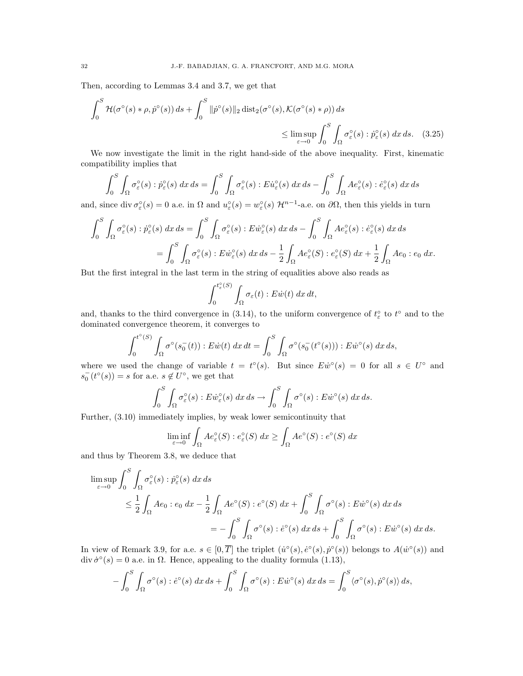Then, according to Lemmas 3.4 and 3.7, we get that

$$
\int_0^S \mathcal{H}(\sigma^\circ(s) * \rho, \dot{p}^\circ(s)) ds + \int_0^S \|\dot{p}^\circ(s)\|_2 \operatorname{dist}_2(\sigma^\circ(s), \mathcal{K}(\sigma^\circ(s) * \rho)) ds
$$
  
\$\leq \limsup\_{\varepsilon \to 0} \int\_0^S \int\_{\Omega} \sigma\_\varepsilon^\circ(s) : \dot{p}\_\varepsilon^\circ(s) dx ds. (3.25)\$

We now investigate the limit in the right hand-side of the above inequality. First, kinematic compatibility implies that

$$
\int_0^S \int_{\Omega} \sigma_{\varepsilon}^{\circ}(s) : \dot{p}_{\varepsilon}^{\circ}(s) \, dx \, ds = \int_0^S \int_{\Omega} \sigma_{\varepsilon}^{\circ}(s) : E \dot{u}_{\varepsilon}^{\circ}(s) \, dx \, ds - \int_0^S \int_{\Omega} A e_{\varepsilon}^{\circ}(s) : \dot{e}_{\varepsilon}^{\circ}(s) \, dx \, ds
$$

and, since div  $\sigma_{\varepsilon}^{\circ}(s) = 0$  a.e. in  $\Omega$  and  $u_{\varepsilon}^{\circ}(s) = w_{\varepsilon}^{\circ}(s) \mathcal{H}^{n-1}$ -a.e. on  $\partial\Omega$ , then this yields in turn

$$
\int_0^S \int_{\Omega} \sigma_{\varepsilon}^{\circ}(s) : \dot{p}_{\varepsilon}^{\circ}(s) \, dx \, ds = \int_0^S \int_{\Omega} \sigma_{\varepsilon}^{\circ}(s) : E \dot{w}_{\varepsilon}^{\circ}(s) \, dx \, ds - \int_0^S \int_{\Omega} Ae_{\varepsilon}^{\circ}(s) : \dot{e}_{\varepsilon}^{\circ}(s) \, dx \, ds
$$

$$
= \int_0^S \int_{\Omega} \sigma_{\varepsilon}^{\circ}(s) : E \dot{w}_{\varepsilon}^{\circ}(s) \, dx \, ds - \frac{1}{2} \int_{\Omega} Ae_{\varepsilon}^{\circ}(S) : e_{\varepsilon}^{\circ}(S) \, dx + \frac{1}{2} \int_{\Omega} Ae_0 : e_0 \, dx.
$$

But the first integral in the last term in the string of equalities above also reads as

$$
\int_0^{t_\varepsilon^0(S)} \int_{\Omega} \sigma_\varepsilon(t) : E\dot{w}(t) \, dx \, dt,
$$

and, thanks to the third convergence in (3.14), to the uniform convergence of  $t_{\varepsilon}^{\circ}$  to  $t^{\circ}$  and to the dominated convergence theorem, it converges to

$$
\int_0^{t^{\circ}(S)} \int_{\Omega} \sigma^{\circ}(s_0^-(t)) : E\dot{w}(t) \, dx \, dt = \int_0^S \int_{\Omega} \sigma^{\circ}(s_0^-(t^{\circ}(s))) : E\dot{w}^{\circ}(s) \, dx \, ds,
$$

where we used the change of variable  $t = t^{\circ}(s)$ . But since  $E\dot{w}^{\circ}(s) = 0$  for all  $s \in U^{\circ}$  and  $s_0^{-}(t^{\circ}(s)) = s$  for a.e.  $s \notin U^{\circ}$ , we get that

$$
\int_0^S \int_{\Omega} \sigma_{\varepsilon}^{\circ}(s) : E \dot{w}_{\varepsilon}^{\circ}(s) \, dx \, ds \to \int_0^S \int_{\Omega} \sigma^{\circ}(s) : E \dot{w}^{\circ}(s) \, dx \, ds.
$$

Further, (3.10) immediately implies, by weak lower semicontinuity that

$$
\liminf_{\varepsilon \to 0} \int_{\Omega} Ae_{\varepsilon}^{\circ}(S) : e_{\varepsilon}^{\circ}(S) dx \ge \int_{\Omega} Ae^{\circ}(S) : e^{\circ}(S) dx
$$

and thus by Theorem 3.8, we deduce that

$$
\limsup_{\varepsilon \to 0} \int_0^S \int_{\Omega} \sigma_{\varepsilon}^{\circ}(s) : \dot{p}_{\varepsilon}^{\circ}(s) \, dx \, ds
$$
\n
$$
\leq \frac{1}{2} \int_{\Omega} A e_0 : e_0 \, dx - \frac{1}{2} \int_{\Omega} A e^{\circ}(S) : e^{\circ}(S) \, dx + \int_0^S \int_{\Omega} \sigma^{\circ}(s) : E \dot{w}^{\circ}(s) \, dx \, ds
$$
\n
$$
= - \int_0^S \int_{\Omega} \sigma^{\circ}(s) : \dot{e}^{\circ}(s) \, dx \, ds + \int_0^S \int_{\Omega} \sigma^{\circ}(s) : E \dot{w}^{\circ}(s) \, dx \, ds.
$$

In view of Remark 3.9, for a.e.  $s \in [0, \overline{T}]$  the triplet  $(\dot{u}^{\circ}(s), \dot{e}^{\circ}(s), \dot{p}^{\circ}(s))$  belongs to  $A(\dot{w}^{\circ}(s))$  and div  $\dot{\sigma}^{\circ}(s) = 0$  a.e. in  $\Omega$ . Hence, appealing to the duality formula (1.13),

$$
-\int_0^S \int_{\Omega} \sigma^\circ(s) : \dot{e}^\circ(s) \, dx \, ds + \int_0^S \int_{\Omega} \sigma^\circ(s) : E\dot{w}^\circ(s) \, dx \, ds = \int_0^S \langle \sigma^\circ(s), \dot{p}^\circ(s) \rangle \, ds,
$$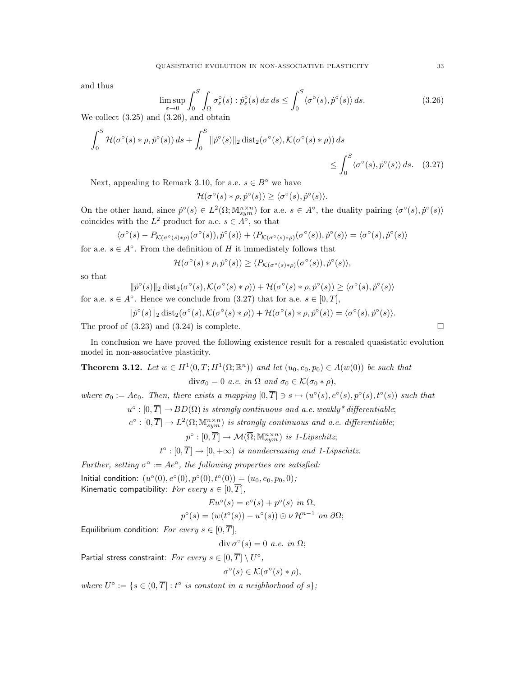and thus

$$
\limsup_{\varepsilon \to 0} \int_0^S \int_{\Omega} \sigma_{\varepsilon}^{\circ}(s) : \dot{p}_{\varepsilon}^{\circ}(s) \, dx \, ds \le \int_0^S \langle \sigma^{\circ}(s), \dot{p}^{\circ}(s) \rangle \, ds. \tag{3.26}
$$

We collect (3.25) and (3.26), and obtain

$$
\int_0^S \mathcal{H}(\sigma^\circ(s) * \rho, \dot{p}^\circ(s)) ds + \int_0^S \|\dot{p}^\circ(s)\|_2 \operatorname{dist}_2(\sigma^\circ(s), \mathcal{K}(\sigma^\circ(s) * \rho)) ds \le \int_0^S \langle \sigma^\circ(s), \dot{p}^\circ(s) \rangle ds. \quad (3.27)
$$

Next, appealing to Remark 3.10, for a.e.  $s \in B^{\circ}$  we have

$$
\mathcal{H}(\sigma^{\circ}(s) * \rho, \dot{p}^{\circ}(s)) \ge \langle \sigma^{\circ}(s), \dot{p}^{\circ}(s) \rangle.
$$

On the other hand, since  $\dot{p}^{\circ}(s) \in L^2(\Omega; \mathbb{M}^{n \times n}_{sym})$  for a.e.  $s \in A^{\circ}$ , the duality pairing  $\langle \sigma^{\circ}(s), \dot{p}^{\circ}(s) \rangle$ coincides with the  $L^2$  product for a.e.  $s \in A^{\circ}$ , so that

$$
\langle \sigma^{\circ}(s) - P_{\mathcal{K}(\sigma^{\circ}(s) * \rho)}(\sigma^{\circ}(s)), \dot{p}^{\circ}(s) \rangle + \langle P_{\mathcal{K}(\sigma^{\circ}(s) * \rho)}(\sigma^{\circ}(s)), \dot{p}^{\circ}(s) \rangle = \langle \sigma^{\circ}(s), \dot{p}^{\circ}(s) \rangle
$$

for a.e.  $s \in A^{\circ}$ . From the definition of H it immediately follows that

$$
\mathcal{H}(\sigma^{\circ}(s) * \rho, \dot{p}^{\circ}(s)) \geq \langle P_{\mathcal{K}(\sigma^{\circ}(s) * \rho)}(\sigma^{\circ}(s)), \dot{p}^{\circ}(s) \rangle,
$$

so that

$$
\|\dot{p}^{\circ}(s)\|_2 \operatorname{dist}_2(\sigma^{\circ}(s),\mathcal{K}(\sigma^{\circ}(s)\ast\rho)) + \mathcal{H}(\sigma^{\circ}(s)\ast\rho,\dot{p}^{\circ}(s)) \geq \langle \sigma^{\circ}(s),\dot{p}^{\circ}(s) \rangle
$$

for a.e.  $s \in A^{\circ}$ . Hence we conclude from (3.27) that for a.e.  $s \in [0, \overline{T}]$ ,

$$
\|\dot{p}^{\circ}(s)\|_{2} \operatorname{dist}_{2}(\sigma^{\circ}(s),\mathcal{K}(\sigma^{\circ}(s)\ast\rho)) + \mathcal{H}(\sigma^{\circ}(s)\ast\rho,\dot{p}^{\circ}(s)) = \langle \sigma^{\circ}(s),\dot{p}^{\circ}(s) \rangle.
$$

The proof of  $(3.23)$  and  $(3.24)$  is complete.

In conclusion we have proved the following existence result for a rescaled quasistatic evolution model in non-associative plasticity.

**Theorem 3.12.** Let  $w \in H^1(0,T;H^1(\Omega;\mathbb{R}^n))$  and let  $(u_0,e_0,p_0) \in A(w(0))$  be such that

$$
\text{div}\sigma_0=0 \ a.e. \ in \ \Omega \ and \ \sigma_0\in\mathcal{K}(\sigma_0*\rho),
$$

where  $\sigma_0 := Ae_0$ . Then, there exists a mapping  $[0,\overline{T}] \ni s \mapsto (u^{\circ}(s), e^{\circ}(s), p^{\circ}(s), t^{\circ}(s))$  such that

 $u^{\circ}:[0,\overline{T}]\rightarrow BD(\Omega)$  is strongly continuous and a.e. weakly\* differentiable;

 $e^{\circ}:[0,\overline{T}]\to L^2(\Omega; \mathbb{M}^{n\times n}_{sym})$  is strongly continuous and a.e. differentiable;

 $p^{\circ} : [0, \overline{T}] \to \mathcal{M}(\overline{\Omega}; \mathbb{M}^{n \times n}_{sym})$  is 1-Lipschitz;

$$
t^{\circ}:[0,\overline{T}]\to[0,+\infty)
$$
 is nondecreasing and 1-Lipschitz.

Further, setting  $\sigma^{\circ} := Ae^{\circ}$ , the following properties are satisfied:

Initial condition:  $(u^{\circ}(0), e^{\circ}(0), p^{\circ}(0), t^{\circ}(0)) = (u_0, e_0, p_0, 0);$ Kinematic compatibility: For every  $s \in [0, \overline{T}],$ 

$$
Eu^{\circ}(s) = e^{\circ}(s) + p^{\circ}(s) \text{ in } \Omega,
$$
  

$$
p^{\circ}(s) = (w(t^{\circ}(s)) - u^{\circ}(s)) \odot \nu \mathcal{H}^{n-1} \text{ on } \partial\Omega;
$$

Equilibrium condition: For every  $s \in [0, \overline{T}],$ 

$$
\operatorname{div} \sigma^{\circ}(s) = 0 \ a.e. \ in \ \Omega;
$$

Partial stress constraint: For every  $s\in[0,\overline{T}]\setminus U^\circ,$ 

$$
\sigma^{\circ}(s) \in \mathcal{K}(\sigma^{\circ}(s) * \rho),
$$

where  $U^{\circ} := \{ s \in (0, \overline{T}] : t^{\circ} \text{ is constant in a neighborhood of } s \};$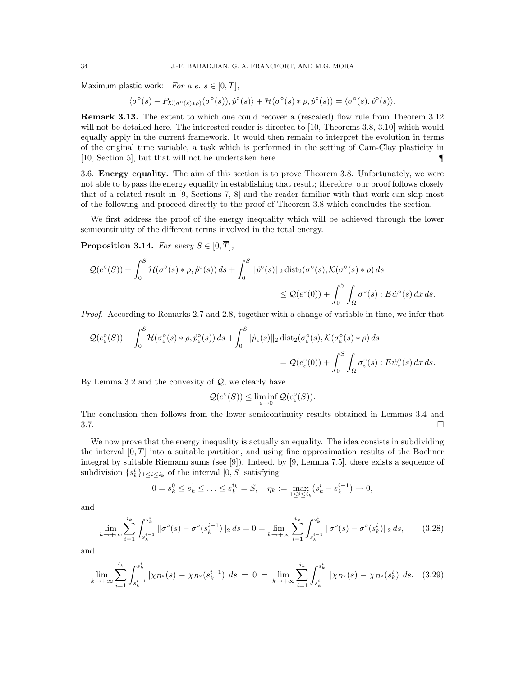Maximum plastic work: For a.e.  $s \in [0, \overline{T}],$ 

$$
\langle \sigma^{\circ}(s) - P_{\mathcal{K}(\sigma^{\circ}(s) * \rho)}(\sigma^{\circ}(s)), \dot{p}^{\circ}(s) \rangle + \mathcal{H}(\sigma^{\circ}(s) * \rho, \dot{p}^{\circ}(s)) = \langle \sigma^{\circ}(s), \dot{p}^{\circ}(s) \rangle.
$$

Remark 3.13. The extent to which one could recover a (rescaled) flow rule from Theorem 3.12 will not be detailed here. The interested reader is directed to [10, Theorems 3.8, 3.10] which would equally apply in the current framework. It would then remain to interpret the evolution in terms of the original time variable, a task which is performed in the setting of Cam-Clay plasticity in [10, Section 5], but that will not be undertaken here.  $\blacksquare$ 

3.6. Energy equality. The aim of this section is to prove Theorem 3.8. Unfortunately, we were not able to bypass the energy equality in establishing that result; therefore, our proof follows closely that of a related result in [9, Sections 7, 8] and the reader familiar with that work can skip most of the following and proceed directly to the proof of Theorem 3.8 which concludes the section.

We first address the proof of the energy inequality which will be achieved through the lower semicontinuity of the different terms involved in the total energy.

**Proposition 3.14.** For every  $S \in [0, \overline{T}],$ 

$$
\mathcal{Q}(e^{\circ}(S)) + \int_0^S \mathcal{H}(\sigma^{\circ}(s) * \rho, \dot{p}^{\circ}(s)) ds + \int_0^S \|\dot{p}^{\circ}(s)\|_2 \operatorname{dist}_2(\sigma^{\circ}(s), \mathcal{K}(\sigma^{\circ}(s) * \rho) ds
$$
  

$$
\leq \mathcal{Q}(e^{\circ}(0)) + \int_0^S \int_{\Omega} \sigma^{\circ}(s) : E\dot{w}^{\circ}(s) dx ds.
$$

Proof. According to Remarks 2.7 and 2.8, together with a change of variable in time, we infer that

$$
\mathcal{Q}(e_{\varepsilon}^{\circ}(S)) + \int_{0}^{S} \mathcal{H}(\sigma_{\varepsilon}^{\circ}(s) * \rho, \dot{p}_{\varepsilon}^{\circ}(s)) ds + \int_{0}^{S} \|\dot{p}_{\varepsilon}(s)\|_{2} \operatorname{dist}_{2}(\sigma_{\varepsilon}^{\circ}(s), \mathcal{K}(\sigma_{\varepsilon}^{\circ}(s) * \rho) ds
$$
  

$$
= \mathcal{Q}(e_{\varepsilon}^{\circ}(0)) + \int_{0}^{S} \int_{\Omega} \sigma_{\varepsilon}^{\circ}(s) : E \dot{w}_{\varepsilon}^{\circ}(s) dx ds.
$$

By Lemma 3.2 and the convexity of  $Q$ , we clearly have

$$
\mathcal{Q}(e^{\circ}(S)) \leq \liminf_{\varepsilon \to 0} \mathcal{Q}(e_{\varepsilon}^{\circ}(S)).
$$

The conclusion then follows from the lower semicontinuity results obtained in Lemmas 3.4 and  $3.7.$ 

We now prove that the energy inequality is actually an equality. The idea consists in subdividing the interval  $[0, \overline{T}]$  into a suitable partition, and using fine approximation results of the Bochner integral by suitable Riemann sums (see [9]). Indeed, by [9, Lemma 7.5], there exists a sequence of subdivision  $\{s_k^i\}_{1 \leq i \leq i_k}$  of the interval  $[0, S]$  satisfying

$$
0 = s_k^0 \le s_k^1 \le \dots \le s_k^{i_k} = S, \quad \eta_k := \max_{1 \le i \le i_k} (s_k^i - s_k^{i-1}) \to 0,
$$

and

$$
\lim_{k \to +\infty} \sum_{i=1}^{i_k} \int_{s_k^{i-1}}^{s_k^i} \|\sigma^{\circ}(s) - \sigma^{\circ}(s_k^{i-1})\|_2 \, ds = 0 = \lim_{k \to +\infty} \sum_{i=1}^{i_k} \int_{s_k^{i-1}}^{s_k^i} \|\sigma^{\circ}(s) - \sigma^{\circ}(s_k^i)\|_2 \, ds,\tag{3.28}
$$

and

$$
\lim_{k \to +\infty} \sum_{i=1}^{i_k} \int_{s_k^{i-1}}^{s_k^i} |\chi_{B^\circ}(s) - \chi_{B^\circ}(s_k^{i-1})| \, ds \ = \ 0 \ = \ \lim_{k \to +\infty} \sum_{i=1}^{i_k} \int_{s_k^{i-1}}^{s_k^i} |\chi_{B^\circ}(s) - \chi_{B^\circ}(s_k^i)| \, ds. \tag{3.29}
$$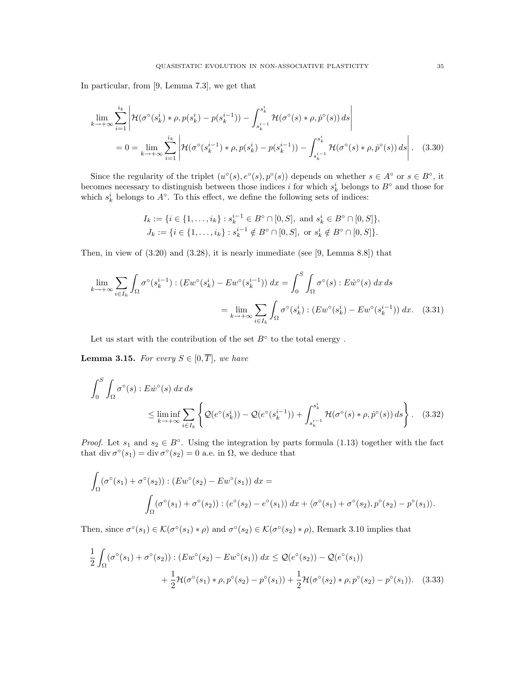In particular, from [9, Lemma 7.3], we get that

$$
\lim_{k \to +\infty} \sum_{i=1}^{i_k} \left| \mathcal{H}(\sigma^{\circ}(s_k^i) * \rho, p(s_k^i) - p(s_k^{i-1})) - \int_{s_k^{i-1}}^{s_k^i} \mathcal{H}(\sigma^{\circ}(s) * \rho, \dot{p}^{\circ}(s)) ds \right|
$$
  
= 0 = 
$$
\lim_{k \to +\infty} \sum_{i=1}^{i_k} \left| \mathcal{H}(\sigma^{\circ}(s_k^{i-1}) * \rho, p(s_k^i) - p(s_k^{i-1})) - \int_{s_k^{i-1}}^{s_k^i} \mathcal{H}(\sigma^{\circ}(s) * \rho, \dot{p}^{\circ}(s)) ds \right|.
$$
 (3.30)

Since the regularity of the triplet  $(u^{\circ}(s), e^{\circ}(s), p^{\circ}(s))$  depends on whether  $s \in A^{\circ}$  or  $s \in B^{\circ}$ , it becomes necessary to distinguish between those indices i for which  $s_k^i$  belongs to  $B^\circ$  and those for which  $s_k^i$  belongs to  $A^\circ$ . To this effect, we define the following sets of indices:

$$
I_k := \{ i \in \{1, \ldots, i_k\} : s_k^{i-1} \in B^\circ \cap [0, S], \text{ and } s_k^i \in B^\circ \cap [0, S] \},
$$
  

$$
J_k := \{ i \in \{1, \ldots, i_k\} : s_k^{i-1} \notin B^\circ \cap [0, S], \text{ or } s_k^i \notin B^\circ \cap [0, S] \}.
$$

Then, in view of (3.20) and (3.28), it is nearly immediate (see [9, Lemma 8.8]) that

$$
\lim_{k \to +\infty} \sum_{i \in I_k} \int_{\Omega} \sigma^\circ(s_k^{i-1}) : (Ew^\circ(s_k^i) - Ew^\circ(s_k^{i-1})) dx = \int_0^S \int_{\Omega} \sigma^\circ(s) : E\dot{w}^\circ(s) dx ds
$$

$$
= \lim_{k \to +\infty} \sum_{i \in I_k} \int_{\Omega} \sigma^\circ(s_k^i) : (Ew^\circ(s_k^i) - Ew^\circ(s_k^{i-1})) dx. \quad (3.31)
$$

Let us start with the contribution of the set  $B^{\circ}$  to the total energy.

**Lemma 3.15.** For every  $S \in [0, \overline{T}]$ , we have

$$
\int_0^S \int_{\Omega} \sigma^\circ(s) : E \dot{w}^\circ(s) \, dx \, ds
$$
\n
$$
\leq \liminf_{k \to +\infty} \sum_{i \in I_k} \left\{ \mathcal{Q}(e^\circ(s_k^i)) - \mathcal{Q}(e^\circ(s_k^{i-1})) + \int_{s_k^{i-1}}^{s_k^i} \mathcal{H}(\sigma^\circ(s) * \rho, \dot{p}^\circ(s)) \, ds \right\}. \tag{3.32}
$$

*Proof.* Let  $s_1$  and  $s_2 \in B^{\circ}$ . Using the integration by parts formula (1.13) together with the fact that div  $\sigma^{\circ}(s_1) = \text{div }\sigma^{\circ}(s_2) = 0$  a.e. in  $\Omega$ , we deduce that

$$
\int_{\Omega} (\sigma^{\circ}(s_1) + \sigma^{\circ}(s_2)) : (Ew^{\circ}(s_2) - Ew^{\circ}(s_1)) dx =
$$
\n
$$
\int_{\Omega} (\sigma^{\circ}(s_1) + \sigma^{\circ}(s_2)) : (e^{\circ}(s_2) - e^{\circ}(s_1)) dx + \langle \sigma^{\circ}(s_1) + \sigma^{\circ}(s_2), p^{\circ}(s_2) - p^{\circ}(s_1) \rangle.
$$

Then, since  $\sigma^{\circ}(s_1) \in \mathcal{K}(\sigma^{\circ}(s_1) * \rho)$  and  $\sigma^{\circ}(s_2) \in \mathcal{K}(\sigma^{\circ}(s_2) * \rho)$ , Remark 3.10 implies that

$$
\frac{1}{2} \int_{\Omega} (\sigma^{\circ}(s_1) + \sigma^{\circ}(s_2)) : (Ew^{\circ}(s_2) - Ew^{\circ}(s_1)) dx \leq \mathcal{Q}(e^{\circ}(s_2)) - \mathcal{Q}(e^{\circ}(s_1)) \n+ \frac{1}{2} \mathcal{H}(\sigma^{\circ}(s_1) * \rho, p^{\circ}(s_2) - p^{\circ}(s_1)) + \frac{1}{2} \mathcal{H}(\sigma^{\circ}(s_2) * \rho, p^{\circ}(s_2) - p^{\circ}(s_1)).
$$
\n(3.33)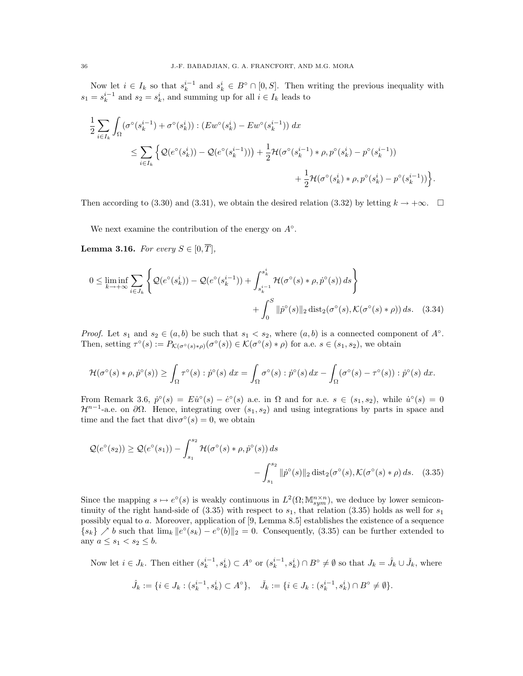Now let  $i \in I_k$  so that  $s_k^{i-1}$  and  $s_k^i \in B^{\circ} \cap [0, S]$ . Then writing the previous inequality with  $s_1 = s_k^{i-1}$  and  $s_2 = s_k^i$ , and summing up for all  $i \in I_k$  leads to

$$
\frac{1}{2} \sum_{i \in I_k} \int_{\Omega} (\sigma^{\circ}(s_k^{i-1}) + \sigma^{\circ}(s_k^{i})) : (Ew^{\circ}(s_k^{i}) - Ew^{\circ}(s_k^{i-1})) dx
$$
\n
$$
\leq \sum_{i \in I_k} \left\{ \mathcal{Q}(e^{\circ}(s_k^{i})) - \mathcal{Q}(e^{\circ}(s_k^{i-1}))) + \frac{1}{2} \mathcal{H}(\sigma^{\circ}(s_k^{i-1}) * \rho, p^{\circ}(s_k^{i}) - p^{\circ}(s_k^{i-1})) + \frac{1}{2} \mathcal{H}(\sigma^{\circ}(s_k^{i}) * \rho, p^{\circ}(s_k^{i}) - p^{\circ}(s_k^{i-1})) \right\}.
$$

Then according to (3.30) and (3.31), we obtain the desired relation (3.32) by letting  $k \to +\infty$ .

We next examine the contribution of the energy on  $A^\circ$ .

**Lemma 3.16.** For every  $S \in [0, \overline{T}],$ 

$$
0 \leq \liminf_{k \to +\infty} \sum_{i \in J_k} \left\{ \mathcal{Q}(e^{\circ}(s_k^i)) - \mathcal{Q}(e^{\circ}(s_k^{i-1})) + \int_{s_k^{i-1}}^{s_k^i} \mathcal{H}(\sigma^{\circ}(s) * \rho, \dot{p}^{\circ}(s)) ds \right\} + \int_0^S \|\dot{p}^{\circ}(s)\|_2 \operatorname{dist}_2(\sigma^{\circ}(s), \mathcal{K}(\sigma^{\circ}(s) * \rho)) ds. \quad (3.34)
$$

*Proof.* Let  $s_1$  and  $s_2 \in (a, b)$  be such that  $s_1 < s_2$ , where  $(a, b)$  is a connected component of  $A^\circ$ . Then, setting  $\tau^{\circ}(s) := P_{\mathcal{K}(\sigma^{\circ}(s) * \rho)}(\sigma^{\circ}(s)) \in \mathcal{K}(\sigma^{\circ}(s) * \rho)$  for a.e.  $s \in (s_1, s_2)$ , we obtain

$$
\mathcal{H}(\sigma^{\circ}(s) * \rho, \dot{p}^{\circ}(s)) \geq \int_{\Omega} \tau^{\circ}(s) : \dot{p}^{\circ}(s) dx = \int_{\Omega} \sigma^{\circ}(s) : \dot{p}^{\circ}(s) dx - \int_{\Omega} (\sigma^{\circ}(s) - \tau^{\circ}(s)) : \dot{p}^{\circ}(s) dx.
$$

From Remark 3.6,  $\dot{p}^{\circ}(s) = E\dot{u}^{\circ}(s) - \dot{e}^{\circ}(s)$  a.e. in  $\Omega$  and for a.e.  $s \in (s_1, s_2)$ , while  $\dot{u}^{\circ}(s) = 0$  $\mathcal{H}^{n-1}$ -a.e. on  $\partial\Omega$ . Hence, integrating over  $(s_1, s_2)$  and using integrations by parts in space and time and the fact that  $div \sigma^{\circ}(s) = 0$ , we obtain

$$
\mathcal{Q}(e^{\circ}(s_2)) \ge \mathcal{Q}(e^{\circ}(s_1)) - \int_{s_1}^{s_2} \mathcal{H}(\sigma^{\circ}(s) * \rho, \dot{p}^{\circ}(s)) ds - \int_{s_1}^{s_2} ||\dot{p}^{\circ}(s)||_2 \operatorname{dist}_2(\sigma^{\circ}(s), \mathcal{K}(\sigma^{\circ}(s) * \rho) ds. \quad (3.35)
$$

Since the mapping  $s \mapsto e^{\circ}(s)$  is weakly continuous in  $L^2(\Omega; \mathbb{M}^{n \times n}_{sym})$ , we deduce by lower semicontinuity of the right hand-side of  $(3.35)$  with respect to  $s_1$ , that relation  $(3.35)$  holds as well for  $s_1$ possibly equal to a. Moreover, application of [9, Lemma 8.5] establishes the existence of a sequence  ${s_k} \nearrow b$  such that  $\lim_k ||e^{\circ}(s_k) - e^{\circ}(b)||_2 = 0$ . Consequently, (3.35) can be further extended to any  $a \leq s_1 < s_2 \leq b$ .

Now let  $i \in J_k$ . Then either  $(s_k^{i-1}, s_k^i) \subset A^{\circ}$  or  $(s_k^{i-1}, s_k^i) \cap B^{\circ} \neq \emptyset$  so that  $J_k = \hat{J}_k \cup \check{J}_k$ , where

$$
\hat J_k:=\{i\in J_k: (s^{i-1}_k,s^i_k)\subset A^\circ\},\quad \check J_k:=\{i\in J_k: (s^{i-1}_k,s^i_k)\cap B^\circ\neq \emptyset\}.
$$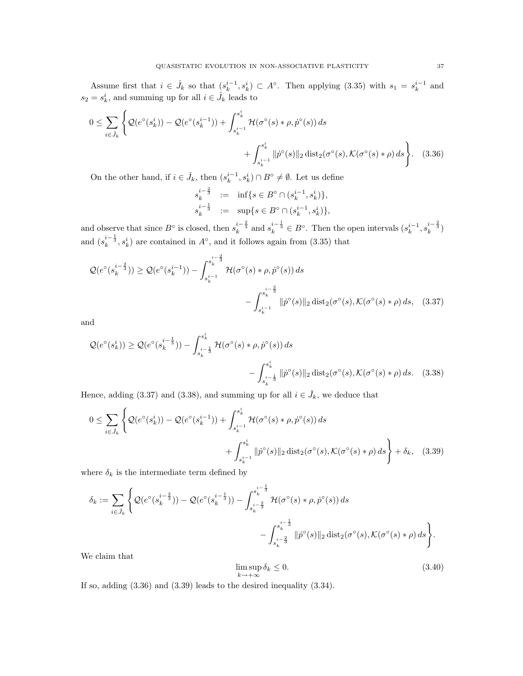Assume first that  $i \in \hat{J}_k$  so that  $(s_k^{i-1}, s_k^i) \subset A^{\circ}$ . Then applying (3.35) with  $s_1 = s_k^{i-1}$  and  $s_2 = s_k^i$ , and summing up for all  $i \in \hat{J}_k$  leads to

$$
0 \leq \sum_{i \in \hat{J}_k} \left\{ \mathcal{Q}(e^{\circ}(s_k^i)) - \mathcal{Q}(e^{\circ}(s_k^{i-1})) + \int_{s_k^{i-1}}^{s_k^i} \mathcal{H}(\sigma^{\circ}(s) * \rho, \dot{p}^{\circ}(s)) ds + \int_{s_k^{i-1}}^{s_k^i} ||\dot{p}^{\circ}(s)||_2 \operatorname{dist}_2(\sigma^{\circ}(s), \mathcal{K}(\sigma^{\circ}(s) * \rho) ds) \right\}.
$$
 (3.36)

On the other hand, if  $i \in \check{J}_k$ , then  $(s_k^{i-1}, s_k^i) \cap B^\circ \neq \emptyset$ . Let us define

$$
\begin{array}{rcl} s_k^{i-\frac{2}{3}} & := & \inf \{ s \in B^\circ \cap (s_k^{i-1}, s_k^i) \}, \\ s_k^{i-\frac{1}{3}} & := & \sup \{ s \in B^\circ \cap (s_k^{i-1}, s_k^i) \}, \end{array}
$$

and observe that since  $B^{\circ}$  is closed, then  $s_k^{i-\frac{2}{3}}$  and  $s_k^{i-\frac{1}{3}} \in B^{\circ}$ . Then the open intervals  $(s_k^{i-1}, s_k^{i-\frac{2}{3}})$ and  $(s_k^{i-\frac{1}{3}}, s_k^i)$  are contained in  $A^\circ$ , and it follows again from (3.35) that

$$
\mathcal{Q}(e^{\circ}(s_k^{i-\frac{2}{3}})) \geq \mathcal{Q}(e^{\circ}(s_k^{i-1})) - \int_{s_k^{i-1}}^{s_k^{i-\frac{2}{3}}} \mathcal{H}(\sigma^{\circ}(s) * \rho, \dot{p}^{\circ}(s)) ds - \int_{s_k^{i-1}}^{s_k^{i-\frac{2}{3}}} \|\dot{p}^{\circ}(s)\|_2 \operatorname{dist}_2(\sigma^{\circ}(s), \mathcal{K}(\sigma^{\circ}(s) * \rho) ds, (3.37)
$$

and

$$
\mathcal{Q}(e^{\circ}(s_k^i)) \ge \mathcal{Q}(e^{\circ}(s_k^{i-\frac{1}{3}})) - \int_{s_k^{i-\frac{1}{3}}}^{s_k^{i}} \mathcal{H}(\sigma^{\circ}(s) * \rho, \dot{p}^{\circ}(s)) ds - \int_{s_k^{i-\frac{1}{3}}}^{s_k^{i}} ||\dot{p}^{\circ}(s)||_2 \operatorname{dist}_2(\sigma^{\circ}(s), \mathcal{K}(\sigma^{\circ}(s) * \rho) ds. \quad (3.38)
$$

Hence, adding (3.37) and (3.38), and summing up for all  $i \in \check{J}_k$ , we deduce that

$$
0 \leq \sum_{i \in \tilde{J}_k} \left\{ \mathcal{Q}(e^{\circ}(s_k^i)) - \mathcal{Q}(e^{\circ}(s_k^{i-1})) + \int_{s_k^{i-1}}^{s_k^i} \mathcal{H}(\sigma^{\circ}(s) * \rho, \dot{p}^{\circ}(s)) ds + \int_{s_k^{i-1}}^{s_k^i} ||\dot{p}^{\circ}(s)||_2 \operatorname{dist}_2(\sigma^{\circ}(s), \mathcal{K}(\sigma^{\circ}(s) * \rho) ds) + \delta_k, \quad (3.39)
$$

where  $\delta_k$  is the intermediate term defined by

$$
\delta_k := \sum_{i \in \tilde{J}_k} \left\{ \mathcal{Q}(e^{\circ}(s_k^{i-\frac{2}{3}})) - \mathcal{Q}(e^{\circ}(s_k^{i-\frac{1}{3}})) - \int_{s_k^{i-\frac{2}{3}}}^{s_k^{i-\frac{1}{3}}} \mathcal{H}(\sigma^{\circ}(s) * \rho, \dot{p}^{\circ}(s)) ds - \int_{s_k^{i-\frac{2}{3}}}^{s_k^{i-\frac{1}{3}}} \|\dot{p}^{\circ}(s)\|_2 \operatorname{dist}_2(\sigma^{\circ}(s), \mathcal{K}(\sigma^{\circ}(s) * \rho) ds \right\}.
$$

We claim that

$$
\limsup_{k \to +\infty} \delta_k \le 0. \tag{3.40}
$$

If so, adding (3.36) and (3.39) leads to the desired inequality (3.34).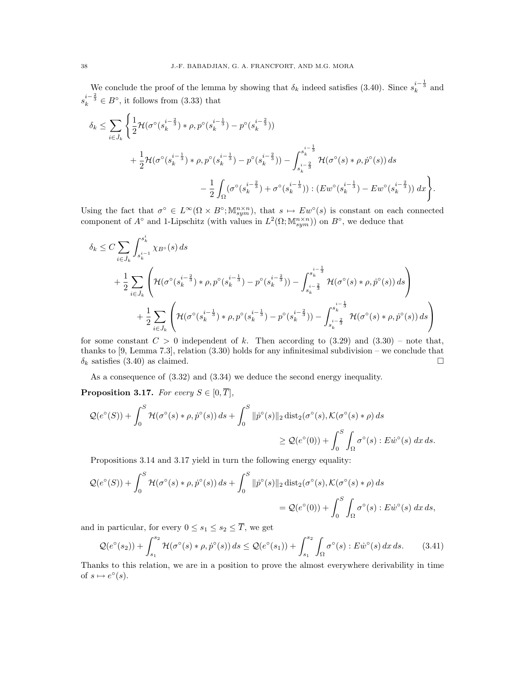We conclude the proof of the lemma by showing that  $\delta_k$  indeed satisfies (3.40). Since  $s_k^{i-\frac{1}{3}}$  and  $s_k^{i-\frac{2}{3}} \in B^{\circ}$ , it follows from (3.33) that

$$
\delta_k \leq \sum_{i \in \tilde{J}_k} \left\{ \frac{1}{2} \mathcal{H}(\sigma^{\circ}(s_k^{i-\frac{2}{3}}) * \rho, p^{\circ}(s_k^{i-\frac{1}{3}}) - p^{\circ}(s_k^{i-\frac{2}{3}})) \right\}+ \frac{1}{2} \mathcal{H}(\sigma^{\circ}(s_k^{i-\frac{1}{3}}) * \rho, p^{\circ}(s_k^{i-\frac{1}{3}}) - p^{\circ}(s_k^{i-\frac{2}{3}})) - \int_{s_k^{i-\frac{2}{3}}}^{s_k^{i-\frac{1}{3}}} \mathcal{H}(\sigma^{\circ}(s) * \rho, p^{\circ}(s)) ds - \frac{1}{2} \int_{\Omega} (\sigma^{\circ}(s_k^{i-\frac{2}{3}}) + \sigma^{\circ}(s_k^{i-\frac{1}{3}})) : (Ew^{\circ}(s_k^{i-\frac{1}{3}}) - Ew^{\circ}(s_k^{i-\frac{2}{3}})) dx \right\}.
$$

Using the fact that  $\sigma^{\circ} \in L^{\infty}(\Omega \times B^{\circ}; \mathbb{M}^{n \times n}_{sym})$ , that  $s \mapsto Ew^{\circ}(s)$  is constant on each connected component of  $A^{\circ}$  and 1-Lipschitz (with values in  $L^2(\Omega; \mathbb{M}^{n \times n}_{sym})$ ) on  $B^{\circ}$ , we deduce that

$$
\delta_{k} \leq C \sum_{i \in \tilde{J}_{k}} \int_{s_{k}^{i-1}}^{s_{k}^{i}} \chi_{B} \circ (s) ds
$$
\n
$$
+ \frac{1}{2} \sum_{i \in \tilde{J}_{k}} \left( \mathcal{H}(\sigma \circ (s_{k}^{i-\frac{2}{3}}) * \rho, p \circ (s_{k}^{i-\frac{1}{3}}) - p \circ (s_{k}^{i-\frac{2}{3}})) - \int_{s_{k}^{i-\frac{2}{3}}}^{s_{k}^{i-\frac{1}{3}}} \mathcal{H}(\sigma \circ (s) * \rho, p \circ (s)) ds \right)
$$
\n
$$
+ \frac{1}{2} \sum_{i \in \tilde{J}_{k}} \left( \mathcal{H}(\sigma \circ (s_{k}^{i-\frac{1}{3}}) * \rho, p \circ (s_{k}^{i-\frac{1}{3}}) - p \circ (s_{k}^{i-\frac{2}{3}})) - \int_{s_{k}^{i-\frac{2}{3}}}^{s_{k}^{i-\frac{1}{3}}} \mathcal{H}(\sigma \circ (s) * \rho, p \circ (s)) ds \right)
$$

for some constant  $C > 0$  independent of k. Then according to (3.29) and (3.30) – note that, thanks to  $[9, \text{Lemma } 7.3]$ , relation  $(3.30)$  holds for any infinitesimal subdivision – we conclude that  $\delta_k$  satisfies (3.40) as claimed.

As a consequence of (3.32) and (3.34) we deduce the second energy inequality.

**Proposition 3.17.** For every  $S \in [0, \overline{T}],$ 

$$
\mathcal{Q}(e^{\circ}(S)) + \int_0^S \mathcal{H}(\sigma^{\circ}(s) * \rho, \dot{p}^{\circ}(s)) ds + \int_0^S \|\dot{p}^{\circ}(s)\|_2 \operatorname{dist}_2(\sigma^{\circ}(s), \mathcal{K}(\sigma^{\circ}(s) * \rho) ds
$$
  

$$
\geq \mathcal{Q}(e^{\circ}(0)) + \int_0^S \int_{\Omega} \sigma^{\circ}(s) : E \dot{w}^{\circ}(s) dx ds.
$$

Propositions 3.14 and 3.17 yield in turn the following energy equality:

$$
\mathcal{Q}(e^{\circ}(S)) + \int_0^S \mathcal{H}(\sigma^{\circ}(s) * \rho, \dot{p}^{\circ}(s)) ds + \int_0^S \|\dot{p}^{\circ}(s)\|_2 \operatorname{dist}_2(\sigma^{\circ}(s), \mathcal{K}(\sigma^{\circ}(s) * \rho) ds
$$
  
=  $\mathcal{Q}(e^{\circ}(0)) + \int_0^S \int_{\Omega} \sigma^{\circ}(s) : E \dot{w}^{\circ}(s) dx ds,$ 

and in particular, for every  $0 \leq s_1 \leq s_2 \leq \overline{T}$ , we get

$$
\mathcal{Q}(e^{\circ}(s_2)) + \int_{s_1}^{s_2} \mathcal{H}(\sigma^{\circ}(s) * \rho, \dot{p}^{\circ}(s)) ds \leq \mathcal{Q}(e^{\circ}(s_1)) + \int_{s_1}^{s_2} \int_{\Omega} \sigma^{\circ}(s) : E\dot{w}^{\circ}(s) dx ds.
$$
 (3.41)

Thanks to this relation, we are in a position to prove the almost everywhere derivability in time of  $s \mapsto e^{\circ}(s)$ .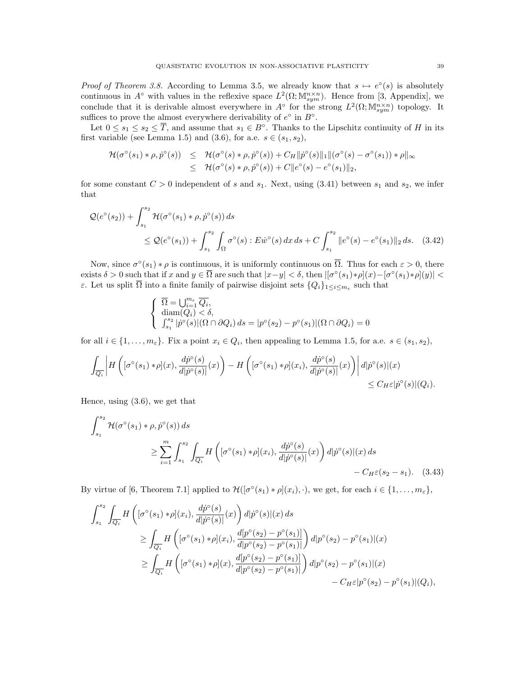*Proof of Theorem 3.8.* According to Lemma 3.5, we already know that  $s \mapsto e^{\circ}(s)$  is absolutely continuous in  $A^{\circ}$  with values in the reflexive space  $L^2(\Omega; \mathbb{M}^{n \times n}_{sym})$ . Hence from [3, Appendix], we conclude that it is derivable almost everywhere in  $A^{\circ}$  for the strong  $L^2(\Omega; \mathbb{M}^{n \times n}_{sym})$  topology. It suffices to prove the almost everywhere derivability of  $e^{\circ}$  in  $B^{\circ}$ .

Let  $0 \leq s_1 \leq s_2 \leq \overline{T}$ , and assume that  $s_1 \in B^{\circ}$ . Thanks to the Lipschitz continuity of H in its first variable (see Lemma 1.5) and (3.6), for a.e.  $s \in (s_1, s_2)$ ,

$$
\mathcal{H}(\sigma^{\circ}(s_1) * \rho, \dot{p}^{\circ}(s)) \leq \mathcal{H}(\sigma^{\circ}(s) * \rho, \dot{p}^{\circ}(s)) + C_H \|\dot{p}^{\circ}(s)\|_1 \|(\sigma^{\circ}(s) - \sigma^{\circ}(s_1)) * \rho\|_{\infty} \leq \mathcal{H}(\sigma^{\circ}(s) * \rho, \dot{p}^{\circ}(s)) + C \|e^{\circ}(s) - e^{\circ}(s_1)\|_2,
$$

for some constant  $C > 0$  independent of s and  $s_1$ . Next, using (3.41) between  $s_1$  and  $s_2$ , we infer that

$$
\mathcal{Q}(e^{\circ}(s_2)) + \int_{s_1}^{s_2} \mathcal{H}(\sigma^{\circ}(s_1) * \rho, \dot{p}^{\circ}(s)) ds
$$
  
\n
$$
\leq \mathcal{Q}(e^{\circ}(s_1)) + \int_{s_1}^{s_2} \int_{\Omega} \sigma^{\circ}(s) : E \dot{w}^{\circ}(s) dx ds + C \int_{s_1}^{s_2} ||e^{\circ}(s) - e^{\circ}(s_1)||_2 ds. \quad (3.42)
$$

Now, since  $\sigma^{\circ}(s_1) * \rho$  is continuous, it is uniformly continuous on  $\overline{\Omega}$ . Thus for each  $\varepsilon > 0$ , there exists  $\delta > 0$  such that if x and  $y \in \overline{\Omega}$  are such that  $|x-y| < \delta$ , then  $|[\sigma^{\circ}(s_1) * \rho](x) - [\sigma^{\circ}(s_1) * \rho](y)| <$ ε. Let us split Ω into a finite family of pairwise disjoint sets  $\{Q_i\}_{1 \leq i \leq m_{\varepsilon}}$  such that

$$
\begin{cases} \n\overline{\Omega} = \bigcup_{i=1}^{m_{\varepsilon}} \overline{Q_i}, \\ \n\operatorname{diam}(Q_i) < \delta, \\ \n\int_{s_1}^{s_2} |\dot{p}^\circ(s)| (\Omega \cap \partial Q_i) \, ds = |p^\circ(s_2) - p^\circ(s_1)| (\Omega \cap \partial Q_i) = 0 \n\end{cases}
$$

for all  $i \in \{1, \ldots, m_{\varepsilon}\}.$  Fix a point  $x_i \in Q_i$ , then appealing to Lemma 1.5, for a.e.  $s \in (s_1, s_2),$ 

$$
\int_{\overline{Q_i}} \left| H\left([\sigma^{\circ}(s_1) * \rho](x), \frac{d\dot{p}^{\circ}(s)}{d|\dot{p}^{\circ}(s)|}(x)\right) - H\left([\sigma^{\circ}(s_1) * \rho](x_i), \frac{d\dot{p}^{\circ}(s)}{d|\dot{p}^{\circ}(s)|}(x)\right) \right| d|\dot{p}^{\circ}(s)|(x) \leq C_H \varepsilon |\dot{p}^{\circ}(s)|(Q_i).
$$

Hence, using (3.6), we get that

$$
\int_{s_1}^{s_2} \mathcal{H}(\sigma^{\circ}(s_1) * \rho, \dot{p}^{\circ}(s)) ds
$$
  
\n
$$
\geq \sum_{i=1}^{m} \int_{s_1}^{s_2} \int_{\overline{Q_i}} H\left([\sigma^{\circ}(s_1) * \rho](x_i), \frac{d\dot{p}^{\circ}(s)}{d|\dot{p}^{\circ}(s)|}(x)\right) d|\dot{p}^{\circ}(s)|(x) ds
$$
  
\n
$$
-C_H \varepsilon(s_2 - s_1). \quad (3.43)
$$

By virtue of [6, Theorem 7.1] applied to  $\mathcal{H}([\sigma^{\circ}(s_1) * \rho](x_i), \cdot)$ , we get, for each  $i \in \{1, ..., m_{\varepsilon}\}\,$ 

$$
\int_{s_1}^{s_2} \int_{\overline{Q_i}} H\left( [\sigma^{\circ}(s_1) * \rho](x_i), \frac{dp^{\circ}(s)}{d|p^{\circ}(s)|}(x) \right) d|p^{\circ}(s)|(x) ds
$$
  
\n
$$
\geq \int_{\overline{Q_i}} H\left( [\sigma^{\circ}(s_1) * \rho](x_i), \frac{d[p^{\circ}(s_2) - p^{\circ}(s_1)]}{d|p^{\circ}(s_2) - p^{\circ}(s_1)|} \right) d|p^{\circ}(s_2) - p^{\circ}(s_1)|(x)
$$
  
\n
$$
\geq \int_{\overline{Q_i}} H\left( [\sigma^{\circ}(s_1) * \rho](x), \frac{d[p^{\circ}(s_2) - p^{\circ}(s_1)]}{d|p^{\circ}(s_2) - p^{\circ}(s_1)|} \right) d|p^{\circ}(s_2) - p^{\circ}(s_1)|(x)
$$
  
\n
$$
-C_H \varepsilon |p^{\circ}(s_2) - p^{\circ}(s_1)|(Q_i),
$$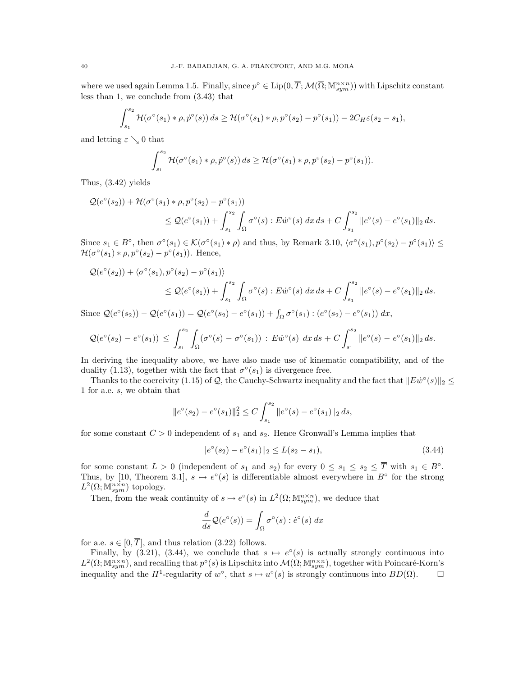where we used again Lemma 1.5. Finally, since  $p^{\circ} \in \text{Lip}(0, \overline{T}; \mathcal{M}(\overline{\Omega}; \mathbb{M}^{n \times n}_{sym}))$  with Lipschitz constant less than 1, we conclude from (3.43) that

$$
\int_{s_1}^{s_2} \mathcal{H}(\sigma^{\circ}(s_1) * \rho, \dot{p}^{\circ}(s)) ds \geq \mathcal{H}(\sigma^{\circ}(s_1) * \rho, p^{\circ}(s_2) - p^{\circ}(s_1)) - 2C_H \varepsilon(s_2 - s_1),
$$

and letting  $\varepsilon \searrow 0$  that

$$
\int_{s_1}^{s_2} \mathcal{H}(\sigma^{\circ}(s_1) * \rho, \dot{p}^{\circ}(s)) ds \geq \mathcal{H}(\sigma^{\circ}(s_1) * \rho, p^{\circ}(s_2) - p^{\circ}(s_1)).
$$

Thus, (3.42) yields

$$
\mathcal{Q}(e^{\circ}(s_2)) + \mathcal{H}(\sigma^{\circ}(s_1) * \rho, p^{\circ}(s_2) - p^{\circ}(s_1))
$$
  
\n
$$
\leq \mathcal{Q}(e^{\circ}(s_1)) + \int_{s_1}^{s_2} \int_{\Omega} \sigma^{\circ}(s) : E \dot{w}^{\circ}(s) dx ds + C \int_{s_1}^{s_2} ||e^{\circ}(s) - e^{\circ}(s_1)||_2 ds.
$$

Since  $s_1 \in B^{\circ}$ , then  $\sigma^{\circ}(s_1) \in \mathcal{K}(\sigma^{\circ}(s_1) * \rho)$  and thus, by Remark 3.10,  $\langle \sigma^{\circ}(s_1), p^{\circ}(s_2) - p^{\circ}(s_1) \rangle \leq$  $\mathcal{H}(\sigma^{\circ}(s_1) * \rho, p^{\circ}(s_2) - p^{\circ}(s_1)).$  Hence,

$$
\mathcal{Q}(e^{\circ}(s_2)) + \langle \sigma^{\circ}(s_1), p^{\circ}(s_2) - p^{\circ}(s_1) \rangle
$$
  
\n
$$
\leq \mathcal{Q}(e^{\circ}(s_1)) + \int_{s_1}^{s_2} \int_{\Omega} \sigma^{\circ}(s) : E \dot{w}^{\circ}(s) \, dx \, ds + C \int_{s_1}^{s_2} ||e^{\circ}(s) - e^{\circ}(s_1)||_2 \, ds.
$$

Since  $Q(e^{\circ}(s_2)) - Q(e^{\circ}(s_1)) = Q(e^{\circ}(s_2) - e^{\circ}(s_1)) + \int_{\Omega} \sigma^{\circ}(s_1) : (e^{\circ}(s_2) - e^{\circ}(s_1)) dx$ ,

$$
\mathcal{Q}(e^{\circ}(s_2)-e^{\circ}(s_1)) \leq \int_{s_1}^{s_2} \int_{\Omega} (\sigma^{\circ}(s)-\sigma^{\circ}(s_1)) : E\dot{w}^{\circ}(s) dx ds + C \int_{s_1}^{s_2} \|e^{\circ}(s)-e^{\circ}(s_1)\|_2 ds.
$$

In deriving the inequality above, we have also made use of kinematic compatibility, and of the duality (1.13), together with the fact that  $\sigma^{\circ}(s_1)$  is divergence free.

Thanks to the coercivity (1.15) of Q, the Cauchy-Schwartz inequality and the fact that  $||E\dot{w}^{\circ}(s)||_2 \leq$ 1 for a.e. s, we obtain that

$$
||e^{\circ}(s_2) - e^{\circ}(s_1)||_2^2 \le C \int_{s_1}^{s_2} ||e^{\circ}(s) - e^{\circ}(s_1)||_2 ds,
$$

for some constant  $C > 0$  independent of  $s_1$  and  $s_2$ . Hence Gronwall's Lemma implies that

$$
||e^{\circ}(s_2) - e^{\circ}(s_1)||_2 \le L(s_2 - s_1),
$$
\n(3.44)

for some constant  $L > 0$  (independent of  $s_1$  and  $s_2$ ) for every  $0 \leq s_1 \leq s_2 \leq \overline{T}$  with  $s_1 \in B^{\circ}$ . Thus, by [10, Theorem 3.1],  $s \mapsto e^{\circ}(s)$  is differentiable almost everywhere in  $B^{\circ}$  for the strong  $L^2(\Omega; \mathbb{M}^{n \times n}_{sym})$  topology.

Then, from the weak continuity of  $s \mapsto e^{\circ}(s)$  in  $L^2(\Omega; \mathbb{M}^{n \times n}_{sym})$ , we deduce that

$$
\frac{d}{ds}\mathcal{Q}(e^{\circ}(s)) = \int_{\Omega} \sigma^{\circ}(s) : \dot{e}^{\circ}(s) dx
$$

for a.e.  $s \in [0, \overline{T}]$ , and thus relation (3.22) follows.

Finally, by (3.21), (3.44), we conclude that  $s \mapsto e^{\circ}(s)$  is actually strongly continuous into  $L^2(\Omega; \mathbb{M}^{n\times n}_{sym})$ , and recalling that  $p^{\circ}(s)$  is Lipschitz into  $\mathcal{M}(\overline{\Omega}; \mathbb{M}^{n\times n}_{sym})$ , together with Poincaré-Korn's inequality and the H<sup>1</sup>-regularity of  $w^{\circ}$ , that  $s \mapsto u^{\circ}(s)$  is strongly continuous into  $BD(\Omega)$ .  $\square$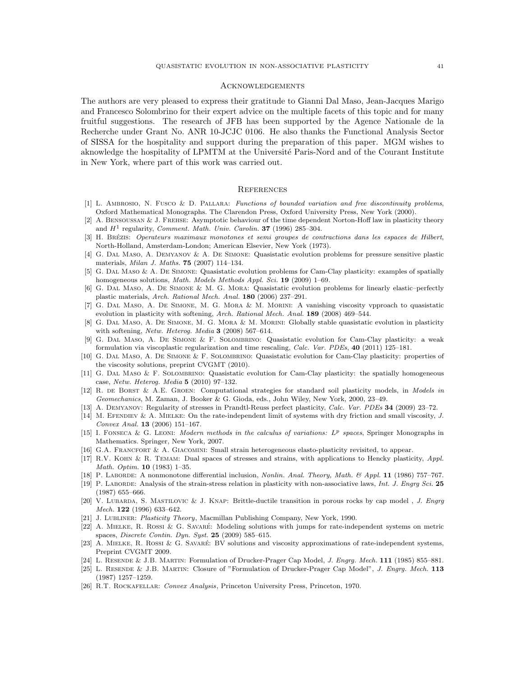### **ACKNOWLEDGEMENTS**

The authors are very pleased to express their gratitude to Gianni Dal Maso, Jean-Jacques Marigo and Francesco Solombrino for their expert advice on the multiple facets of this topic and for many fruitful suggestions. The research of JFB has been supported by the Agence Nationale de la Recherche under Grant No. ANR 10-JCJC 0106. He also thanks the Functional Analysis Sector of SISSA for the hospitality and support during the preparation of this paper. MGM wishes to aknowledge the hospitality of LPMTM at the Université Paris-Nord and of the Courant Institute in New York, where part of this work was carried out.

### **REFERENCES**

- [1] L. Ambrosio, N. Fusco & D. Pallara: Functions of bounded variation and free discontinuity problems, Oxford Mathematical Monographs. The Clarendon Press, Oxford University Press, New York (2000).
- [2] A. Bensoussan & J. Frehse: Asymptotic behaviour of the time dependent Norton-Hoff law in plasticity theory and  $H^1$  regularity, *Comment. Math. Univ. Carolin.* **37** (1996) 285-304.
- [3] H. BRÉZIS: Operateurs maximaux monotones et semi groupes de contractions dans les espaces de Hilbert, North-Holland, Amsterdam-London; American Elsevier, New York (1973).
- [4] G. Dal Maso, A. Demyanov & A. De Simone: Quasistatic evolution problems for pressure sensitive plastic materials, Milan J. Maths. 75 (2007) 114–134.
- [5] G. Dal Maso & A. De Simone: Quasistatic evolution problems for Cam-Clay plasticity: examples of spatially homogeneous solutions, Math. Models Methods Appl. Sci. 19 (2009) 1–69.
- [6] G. Dal Maso, A. De Simone & M. G. Mora: Quasistatic evolution problems for linearly elastic–perfectly plastic materials, Arch. Rational Mech. Anal. 180 (2006) 237–291.
- [7] G. Dal Maso, A. De Simone, M. G. Mora & M. Morini: A vanishing viscosity vpproach to quasistatic evolution in plasticity with softening, Arch. Rational Mech. Anal. 189 (2008) 469–544.
- [8] G. DAL MASO, A. DE SIMONE, M. G. MORA & M. MORINI: Globally stable quasistatic evolution in plasticity with softening, Netw. Heterog. Media 3 (2008) 567–614.
- [9] G. Dal Maso, A. De Simone & F. Solombrino: Quasistatic evolution for Cam-Clay plasticity: a weak formulation via viscoplastic regularization and time rescaling, Calc. Var. PDEs, 40 (2011) 125–181.
- [10] G. DAL MASO, A. DE SIMONE & F. SOLOMBRINO: Quasistatic evolution for Cam-Clay plasticity: properties of the viscosity solutions, preprint CVGMT (2010).
- [11] G. DAL MASO & F. SOLOMBRINO: Quasistatic evolution for Cam-Clay plasticity: the spatially homogeneous case, Netw. Heterog. Media 5 (2010) 97–132.
- [12] R. DE BORST & A.E. GROEN: Computational strategies for standard soil plasticity models, in Models in Geomechanics, M. Zaman, J. Booker & G. Gioda, eds., John Wiley, New York, 2000, 23–49.
- [13] A. Demyanov: Regularity of stresses in Prandtl-Reuss perfect plasticity, Calc. Var. PDEs 34 (2009) 23–72.
- [14] M. EFENDIEV & A. MIELKE: On the rate-independent limit of systems with dry friction and small viscosity, J. Convex Anal. 13 (2006) 151–167.
- [15] I. FONSECA & G. LEONI: Modern methods in the calculus of variations:  $L^p$  spaces, Springer Monographs in Mathematics. Springer, New York, 2007.
- [16] G.A. FRANCFORT & A. GIACOMINI: Small strain heterogeneous elasto-plasticity revisited, to appear.
- [17] R.V. Kohn & R. Temam: Dual spaces of stresses and strains, with applications to Hencky plasticity, Appl. Math. Optim. 10 (1983) 1–35.
- [18] P. Laborde: A nonmonotone differential inclusion, Nonlin. Anal. Theory, Math. & Appl. 11 (1986) 757–767.
- [19] P. LABORDE: Analysis of the strain-stress relation in plasticity with non-associative laws, Int. J. Engry Sci. 25 (1987) 655–666.
- [20] V. Lubarda, S. Mastilovic & J. Knap: Brittle-ductile transition in porous rocks by cap model , J. Engrg Mech. 122 (1996) 633–642.
- [21] J. Lubliner: Plasticity Theory, Macmillan Publishing Company, New York, 1990.
- [22] A. Mielke, R. Rossi & G. Savare´: Modeling solutions with jumps for rate-independent systems on metric spaces, Discrete Contin. Dyn. Syst. 25 (2009) 585–615.
- [23] A. MIELKE, R. ROSSI & G. SAVARÉ: BV solutions and viscosity approximations of rate-independent systems, Preprint CVGMT 2009.
- [24] L. Resende & J.B. Martin: Formulation of Drucker-Prager Cap Model, J. Engrg. Mech. 111 (1985) 855–881.
- [25] L. RESENDE & J.B. MARTIN: Closure of "Formulation of Drucker-Prager Cap Model", J. Engrg. Mech. 113 (1987) 1257–1259.
- [26] R.T. Rockafellar: Convex Analysis, Princeton University Press, Princeton, 1970.